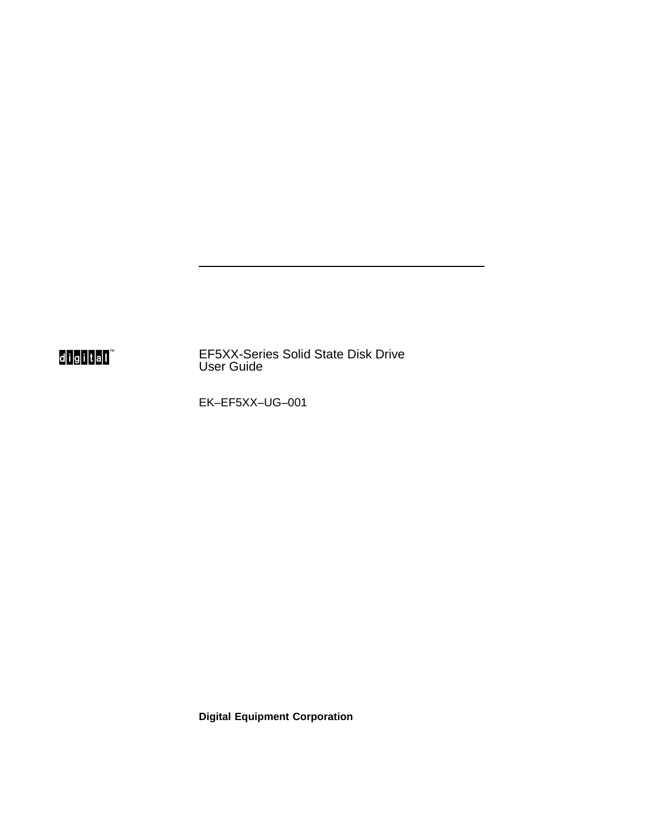## d<mark>igital</mark>"

EF5XX-Series Solid State Disk Drive User Guide

EK–EF5XX–UG–001

**Digital Equipment Corporation**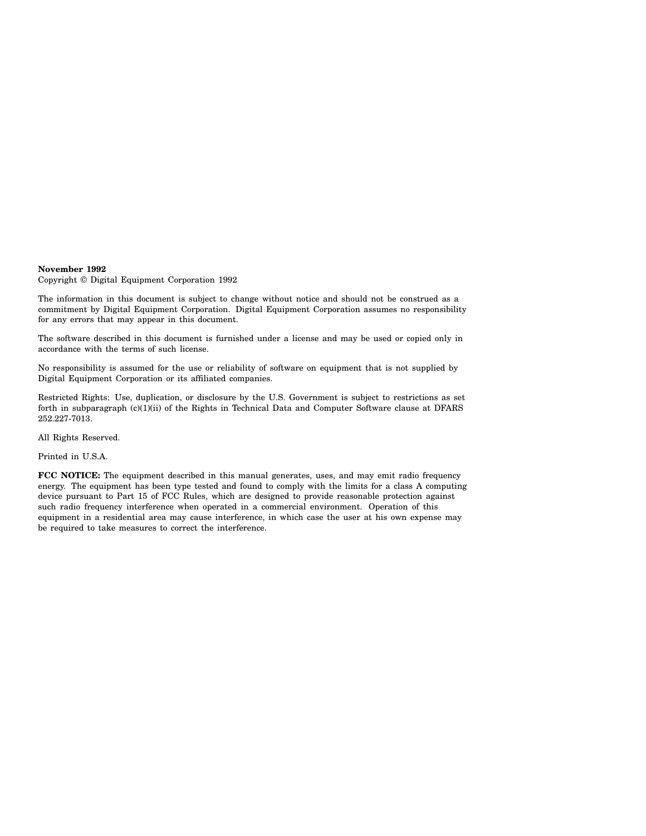#### **November 1992**

Copyright © Digital Equipment Corporation 1992

The information in this document is subject to change without notice and should not be construed as a commitment by Digital Equipment Corporation. Digital Equipment Corporation assumes no responsibility for any errors that may appear in this document.

The software described in this document is furnished under a license and may be used or copied only in accordance with the terms of such license.

No responsibility is assumed for the use or reliability of software on equipment that is not supplied by Digital Equipment Corporation or its affiliated companies.

Restricted Rights: Use, duplication, or disclosure by the U.S. Government is subject to restrictions as set forth in subparagraph (c)(1)(ii) of the Rights in Technical Data and Computer Software clause at DFARS 252.227-7013.

All Rights Reserved.

Printed in U.S.A.

**FCC NOTICE:** The equipment described in this manual generates, uses, and may emit radio frequency energy. The equipment has been type tested and found to comply with the limits for a class A computing device pursuant to Part 15 of FCC Rules, which are designed to provide reasonable protection against such radio frequency interference when operated in a commercial environment. Operation of this equipment in a residential area may cause interference, in which case the user at his own expense may be required to take measures to correct the interference.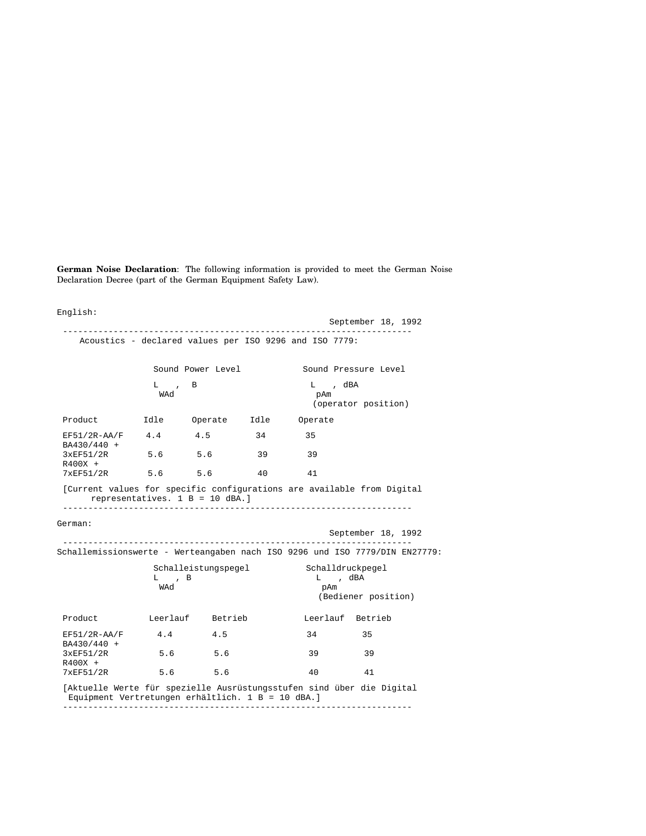**German Noise Declaration**: The following information is provided to meet the German Noise Declaration Decree (part of the German Equipment Safety Law).

English:

|                                                                                                                            | ____________________                                   |     |    |                                                       | September 18, 1992   |  |
|----------------------------------------------------------------------------------------------------------------------------|--------------------------------------------------------|-----|----|-------------------------------------------------------|----------------------|--|
|                                                                                                                            | Acoustics - declared values per ISO 9296 and ISO 7779: |     |    |                                                       |                      |  |
|                                                                                                                            | Sound Power Level                                      |     |    |                                                       | Sound Pressure Level |  |
|                                                                                                                            | $L$ , B<br>WAd                                         |     |    | L, dBA<br>pAm                                         | (operator position)  |  |
| Product 1dle Operate Idle Operate                                                                                          |                                                        |     |    |                                                       |                      |  |
| $EF51/2R-AA/F$ 4.4 4.5 34<br>BA430/440 +                                                                                   |                                                        |     |    | 35                                                    |                      |  |
| 3xEF51/2R<br>$R400X +$                                                                                                     | $5.6$ $5.6$                                            |     | 39 | 39                                                    |                      |  |
| $7 \times$ EF51/2R                                                                                                         | 5.6 5.6                                                |     | 40 | 41                                                    |                      |  |
| German:                                                                                                                    | representatives. $1 B = 10$ dBA.]                      |     |    |                                                       | September 18, 1992   |  |
| Schallemissionswerte - Werteangaben nach ISO 9296 und ISO 7779/DIN EN27779:                                                |                                                        |     |    |                                                       |                      |  |
|                                                                                                                            | $L \rightarrow B$<br>WAd                               |     |    | Schalleistungspegel Schalldruckpegel<br>L, dBA<br>pAm | (Bediener position)  |  |
| Product Leerlauf Betrieb                                                                                                   |                                                        |     |    |                                                       | Leerlauf Betrieb     |  |
| $EF51/2R-AA/F$ 4.4 4.5<br>BA430/440 +                                                                                      |                                                        |     |    | 34                                                    | 35                   |  |
| 3xEF51/2R<br>R400X +                                                                                                       | 5.6                                                    | 5.6 |    | 39                                                    | 39                   |  |
| $7 \times F51/2R$                                                                                                          | 5.6 5.6                                                |     |    | 40                                                    | 41                   |  |
| [Aktuelle Werte für spezielle Ausrüstungsstufen sind über die Digital<br>Equipment Vertretungen erhältlich. 1 B = 10 dBA.] |                                                        |     |    |                                                       |                      |  |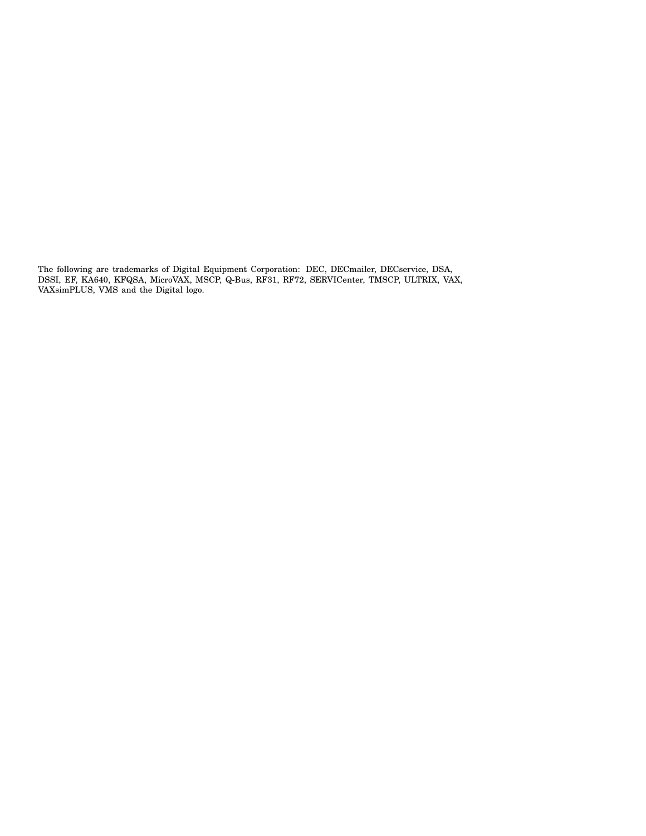The following are trademarks of Digital Equipment Corporation: DEC, DECmailer, DECservice, DSA, DSSI, EF, KA640, KFQSA, MicroVAX, MSCP, Q-Bus, RF31, RF72, SERVICenter, TMSCP, ULTRIX, VAX, VAXsimPLUS, VMS and the Digital logo.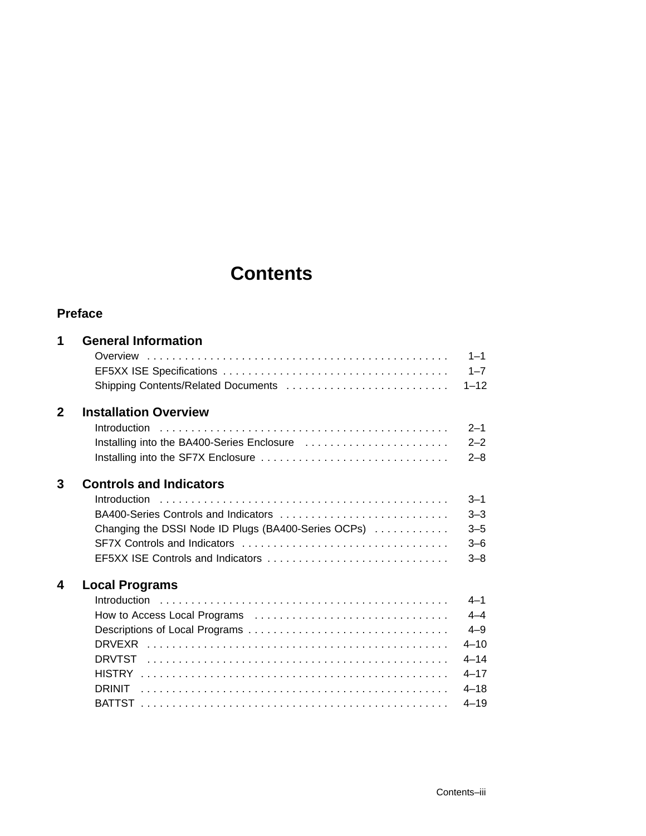# **Contents**

#### **Preface**

| 1            | <b>General Information</b>                          |          |
|--------------|-----------------------------------------------------|----------|
|              |                                                     | $1 - 1$  |
|              |                                                     | $1 - 7$  |
|              | Shipping Contents/Related Documents                 | $1 - 12$ |
| $\mathbf{2}$ | <b>Installation Overview</b>                        |          |
|              | Introduction                                        | $2 - 1$  |
|              | Installing into the BA400-Series Enclosure          | $2 - 2$  |
|              |                                                     | $2 - 8$  |
| 3            | <b>Controls and Indicators</b>                      |          |
|              | Introduction                                        | $3 - 1$  |
|              | BA400-Series Controls and Indicators                | $3 - 3$  |
|              | Changing the DSSI Node ID Plugs (BA400-Series OCPs) | $3 - 5$  |
|              |                                                     | $3 - 6$  |
|              | EF5XX ISE Controls and Indicators                   | $3 - 8$  |
| 4            | <b>Local Programs</b>                               |          |
|              |                                                     | $4 - 1$  |
|              | How to Access Local Programs                        | $4 - 4$  |
|              |                                                     | $4 - 9$  |
|              |                                                     | $4 - 10$ |
|              | DRVTST                                              | $4 - 14$ |
|              |                                                     | $4 - 17$ |
|              |                                                     | $4 - 18$ |
|              |                                                     | $4 - 19$ |
|              |                                                     |          |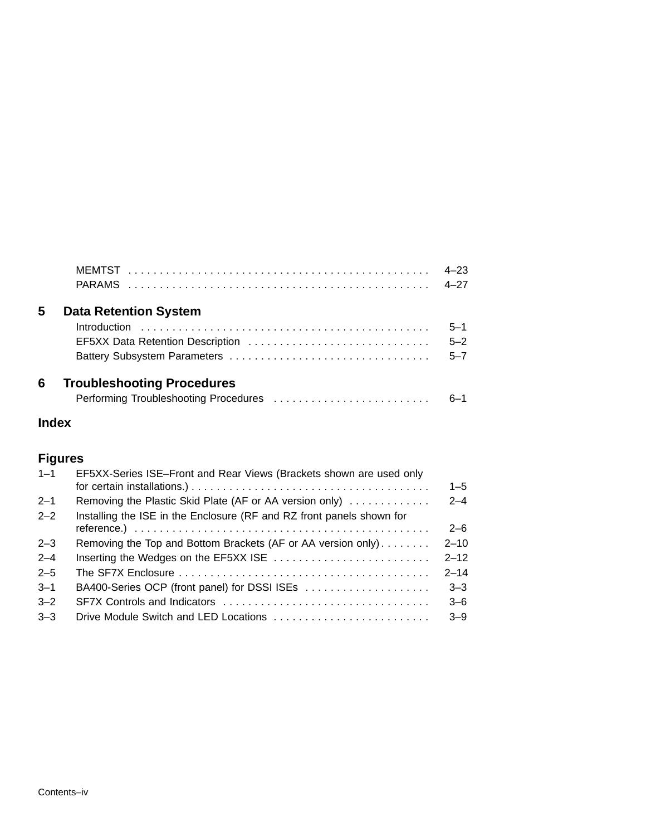|   |                                   | $4 - 23$<br>$4 - 27$ |
|---|-----------------------------------|----------------------|
| 5 | <b>Data Retention System</b>      |                      |
|   |                                   | $5 - 1$              |
|   | EF5XX Data Retention Description  | $5 - 2$              |
|   |                                   | $5 - 7$              |
| 6 | <b>Troubleshooting Procedures</b> |                      |
|   |                                   | $6 - 1$              |
|   |                                   |                      |

### **Index**

### **Figures**

| $1 - 1$ | EF5XX-Series ISE-Front and Rear Views (Brackets shown are used only   | $1 - 5$  |
|---------|-----------------------------------------------------------------------|----------|
| $2 - 1$ | Removing the Plastic Skid Plate (AF or AA version only)               | $2 - 4$  |
| $2 - 2$ | Installing the ISE in the Enclosure (RF and RZ front panels shown for |          |
|         |                                                                       | $2 - 6$  |
| $2 - 3$ | Removing the Top and Bottom Brackets (AF or AA version only)          | $2 - 10$ |
| $2 - 4$ | Inserting the Wedges on the EF5XX ISE                                 | $2 - 12$ |
| $2 - 5$ |                                                                       | $2 - 14$ |
| $3 - 1$ | BA400-Series OCP (front panel) for DSSI ISEs                          | $3 - 3$  |
| $3 - 2$ |                                                                       | $3 - 6$  |
| $3 - 3$ | Drive Module Switch and LED Locations                                 | $3 - 9$  |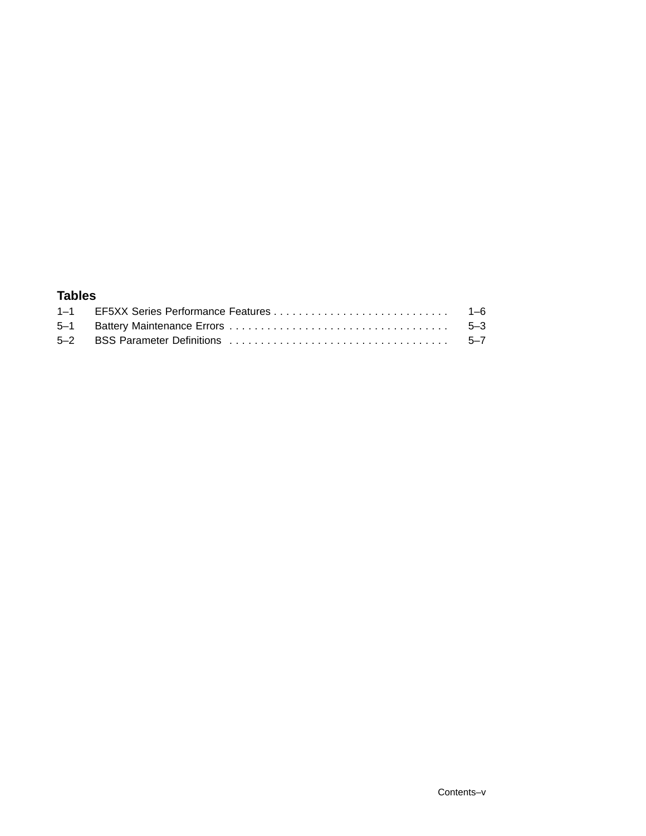#### **Tables**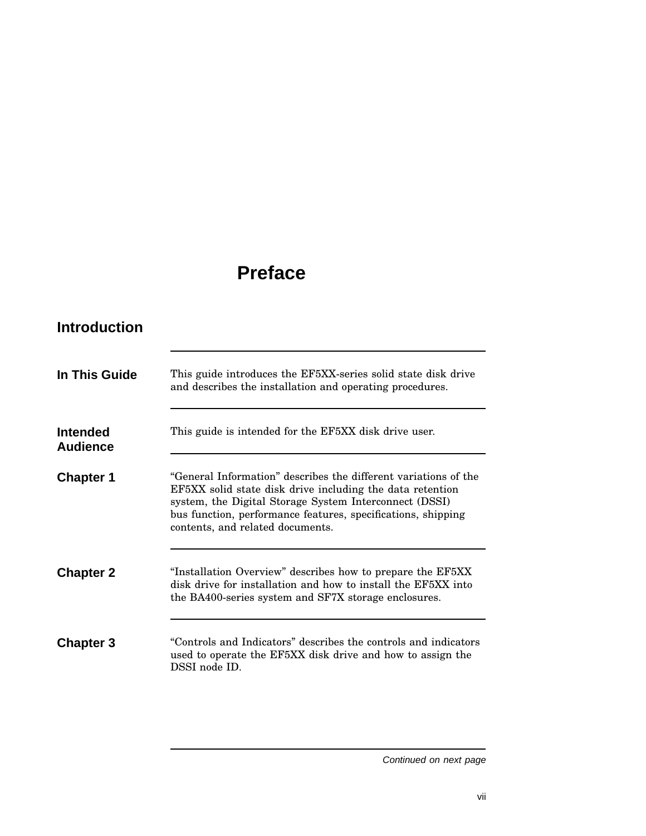# **Preface**

### **Introduction**

| In This Guide               | This guide introduces the EF5XX-series solid state disk drive<br>and describes the installation and operating procedures.                                                                                                                                                                  |
|-----------------------------|--------------------------------------------------------------------------------------------------------------------------------------------------------------------------------------------------------------------------------------------------------------------------------------------|
| Intended<br><b>Audience</b> | This guide is intended for the EF5XX disk drive user.                                                                                                                                                                                                                                      |
| <b>Chapter 1</b>            | "General Information" describes the different variations of the<br>EF5XX solid state disk drive including the data retention<br>system, the Digital Storage System Interconnect (DSSI)<br>bus function, performance features, specifications, shipping<br>contents, and related documents. |
| <b>Chapter 2</b>            | "Installation Overview" describes how to prepare the EF5XX<br>disk drive for installation and how to install the EF5XX into<br>the BA400-series system and SF7X storage enclosures.                                                                                                        |
| <b>Chapter 3</b>            | "Controls and Indicators" describes the controls and indicators<br>used to operate the EF5XX disk drive and how to assign the<br>DSSI node ID.                                                                                                                                             |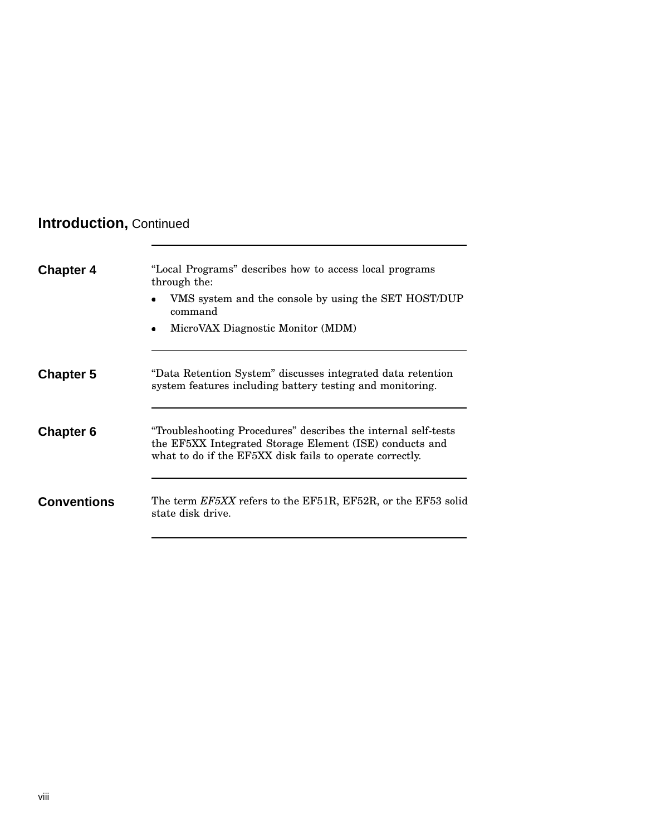## **Introduction,** Continued

| <b>Chapter 4</b>   | "Local Programs" describes how to access local programs<br>through the:<br>VMS system and the console by using the SET HOST/DUP<br>command<br>MicroVAX Diagnostic Monitor (MDM)       |
|--------------------|---------------------------------------------------------------------------------------------------------------------------------------------------------------------------------------|
| <b>Chapter 5</b>   | "Data Retention System" discusses integrated data retention<br>system features including battery testing and monitoring.                                                              |
| <b>Chapter 6</b>   | "Troubleshooting Procedures" describes the internal self-tests<br>the EF5XX Integrated Storage Element (ISE) conducts and<br>what to do if the EF5XX disk fails to operate correctly. |
| <b>Conventions</b> | The term EF5XX refers to the EF51R, EF52R, or the EF53 solid<br>state disk drive.                                                                                                     |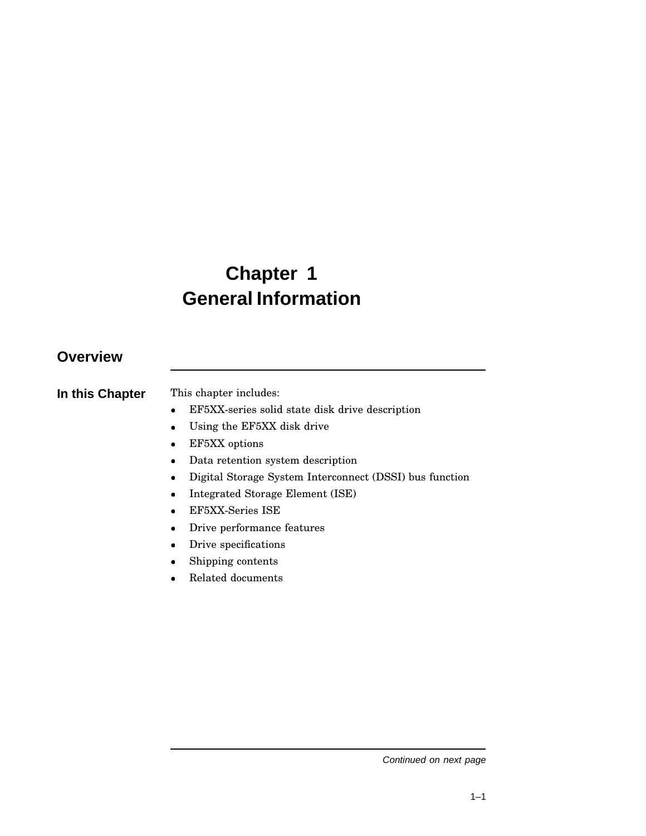# **Chapter 1 General Information**

### **Overview**

| In this Chapter | This chapter includes: |
|-----------------|------------------------|
|                 |                        |

- EF5XX-series solid state disk drive description
- Using the EF5XX disk drive
- EF5XX options
- Data retention system description
- Digital Storage System Interconnect (DSSI) bus function
- Integrated Storage Element (ISE)
- EF5XX-Series ISE
- Drive performance features
- Drive specifications
- Shipping contents
- Related documents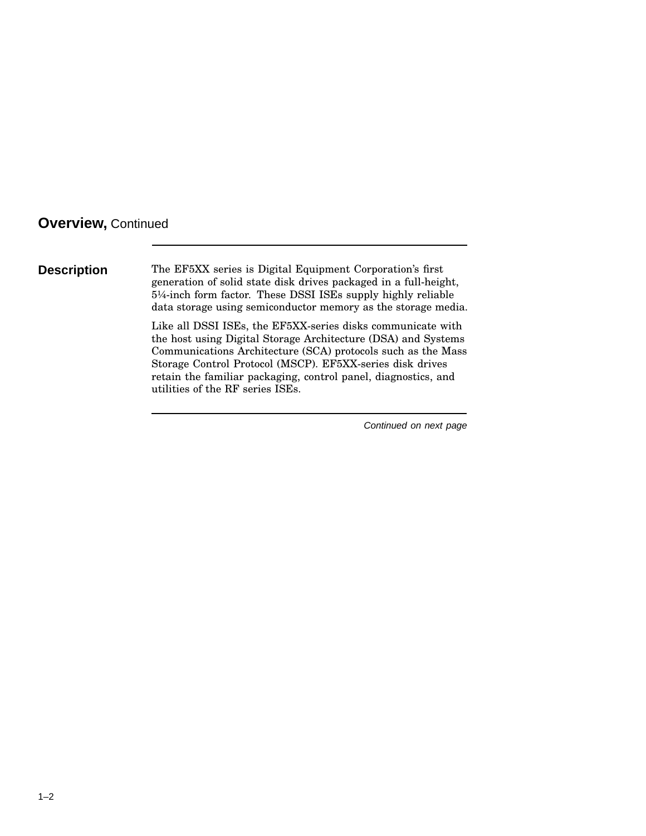**Description** The EF5XX series is Digital Equipment Corporation's first generation of solid state disk drives packaged in a full-height, 5¼-inch form factor. These DSSI ISEs supply highly reliable data storage using semiconductor memory as the storage media.

> Like all DSSI ISEs, the EF5XX-series disks communicate with the host using Digital Storage Architecture (DSA) and Systems Communications Architecture (SCA) protocols such as the Mass Storage Control Protocol (MSCP). EF5XX-series disk drives retain the familiar packaging, control panel, diagnostics, and utilities of the RF series ISEs.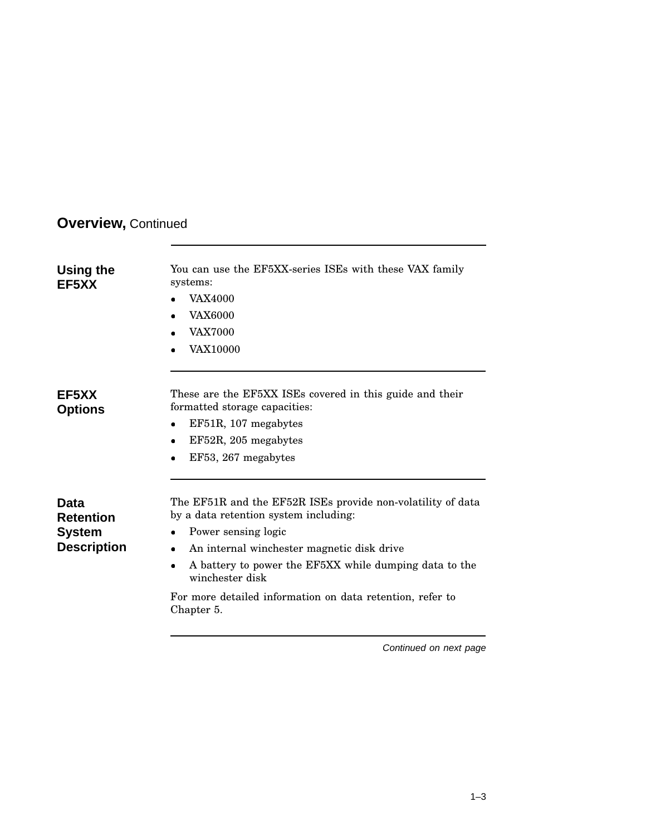| Using the<br>EF5XX | You can use the EF5XX-series ISEs with these VAX family<br>systems:<br><b>VAX4000</b><br><b>VAX6000</b><br><b>VAX7000</b><br><b>VAX10000</b> |
|--------------------|----------------------------------------------------------------------------------------------------------------------------------------------|
| EF5XX<br>Options   | These are the EF5XX ISEs covered in this guide and their<br>formatted storage capacities:<br>EF51R, 107 megabytes                            |
|                    | EF52R, 205 megabytes<br>٠                                                                                                                    |
|                    | EF53, 267 megabytes                                                                                                                          |
| Data<br>Retention  | The EF51R and the EF52R ISEs provide non-volatility of data<br>by a data retention system including:                                         |
| System             | Power sensing logic                                                                                                                          |
| <b>Description</b> | An internal winchester magnetic disk drive<br>٠                                                                                              |
|                    | A battery to power the EF5XX while dumping data to the<br>winchester disk                                                                    |
|                    | For more detailed information on data retention, refer to<br>Chapter 5.                                                                      |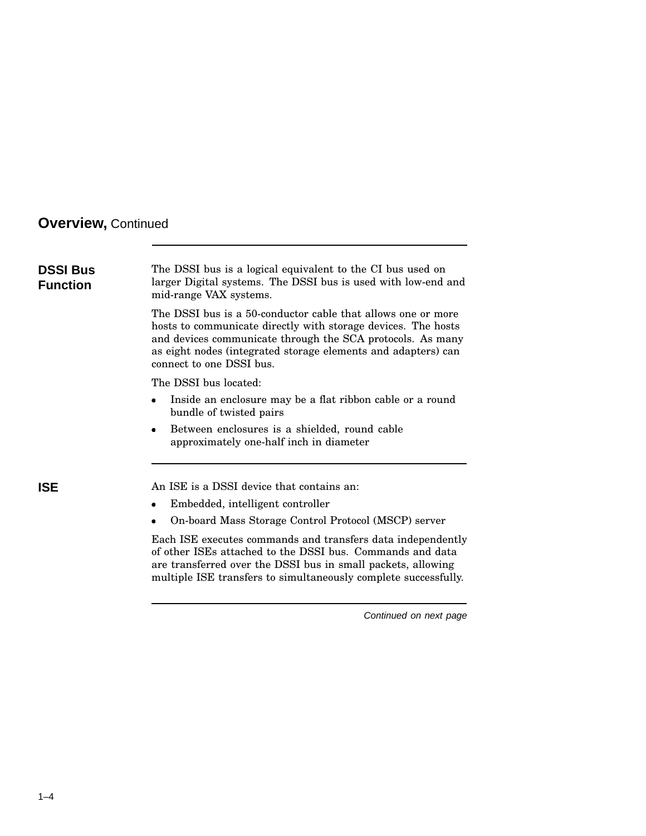| The DSSI bus is a logical equivalent to the CI bus used on<br>larger Digital systems. The DSSI bus is used with low-end and<br>mid-range VAX systems.                                                                                                                                    |
|------------------------------------------------------------------------------------------------------------------------------------------------------------------------------------------------------------------------------------------------------------------------------------------|
| The DSSI bus is a 50-conductor cable that allows one or more<br>hosts to communicate directly with storage devices. The hosts<br>and devices communicate through the SCA protocols. As many<br>as eight nodes (integrated storage elements and adapters) can<br>connect to one DSSI bus. |
| The DSSI bus located:                                                                                                                                                                                                                                                                    |
| Inside an enclosure may be a flat ribbon cable or a round<br>bundle of twisted pairs                                                                                                                                                                                                     |
| Between enclosures is a shielded, round cable<br>$\bullet$<br>approximately one-half inch in diameter                                                                                                                                                                                    |
| An ISE is a DSSI device that contains an:                                                                                                                                                                                                                                                |
| Embedded, intelligent controller                                                                                                                                                                                                                                                         |
| On-board Mass Storage Control Protocol (MSCP) server<br>٠                                                                                                                                                                                                                                |
| Each ISE executes commands and transfers data independently<br>of other ISEs attached to the DSSI bus. Commands and data<br>are transferred over the DSSI bus in small packets, allowing<br>multiple ISE transfers to simultaneously complete successfully.                              |
| Continued on next page                                                                                                                                                                                                                                                                   |
|                                                                                                                                                                                                                                                                                          |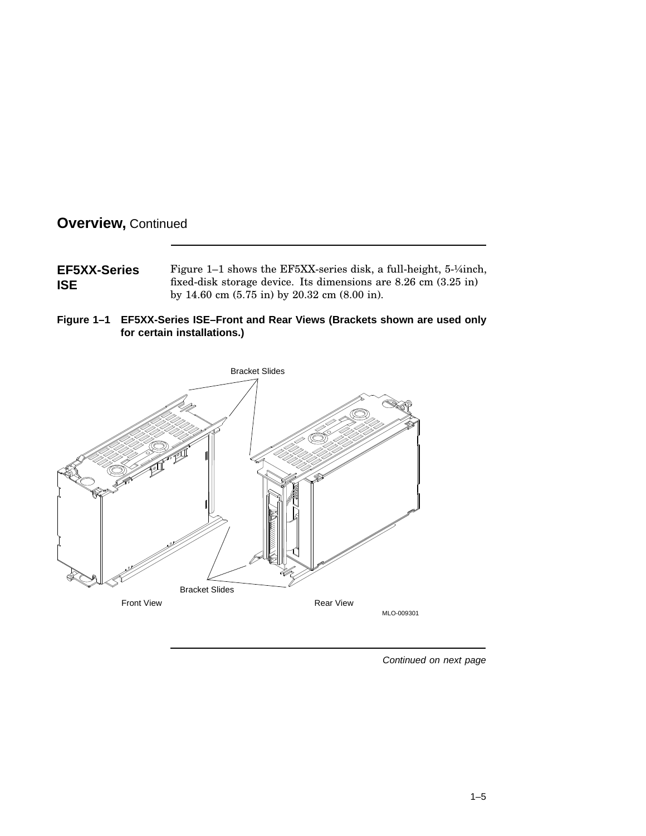| <b>EF5XX-Series</b> | Figure 1–1 shows the EF5XX-series disk, a full-height, $5\frac{1}{4}$ inch, |
|---------------------|-----------------------------------------------------------------------------|
| <b>ISE</b>          | fixed-disk storage device. Its dimensions are $8.26$ cm $(3.25 \text{ in})$ |
|                     | by 14.60 cm $(5.75 \text{ in})$ by 20.32 cm $(8.00 \text{ in})$ .           |



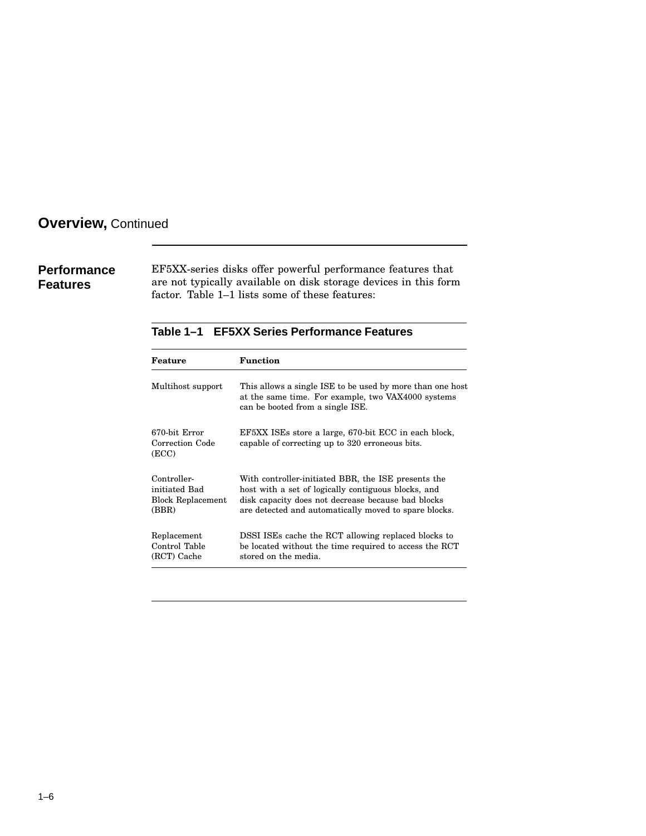**Performance Features**

EF5XX-series disks offer powerful performance features that are not typically available on disk storage devices in this form factor. Table 1–1 lists some of these features:

#### **Table 1–1 EF5XX Series Performance Features**

| Feature                                                           | <b>Function</b>                                                                                                                                                                                                           |
|-------------------------------------------------------------------|---------------------------------------------------------------------------------------------------------------------------------------------------------------------------------------------------------------------------|
| Multihost support                                                 | This allows a single ISE to be used by more than one host<br>at the same time. For example, two VAX4000 systems<br>can be booted from a single ISE.                                                                       |
| 670-bit Error<br>Correction Code<br>(ECC)                         | EF5XX ISEs store a large, 670-bit ECC in each block,<br>capable of correcting up to 320 erroneous bits.                                                                                                                   |
| Controller-<br>initiated Bad<br><b>Block Replacement</b><br>(BBR) | With controller-initiated BBR, the ISE presents the<br>host with a set of logically contiguous blocks, and<br>disk capacity does not decrease because bad blocks<br>are detected and automatically moved to spare blocks. |
| Replacement<br>Control Table<br>(RCT) Cache                       | DSSI ISEs cache the RCT allowing replaced blocks to<br>be located without the time required to access the RCT<br>stored on the media.                                                                                     |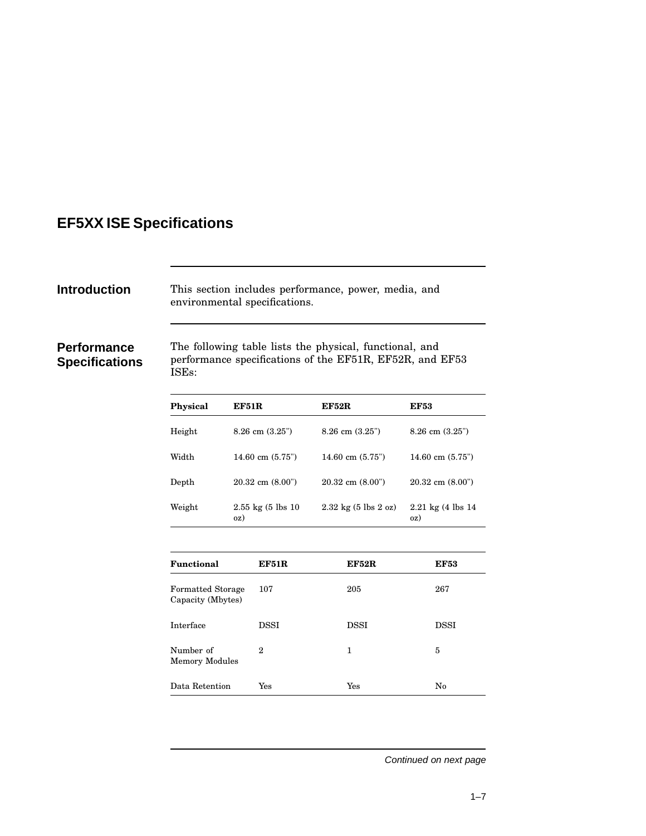### **EF5XX ISE Specifications**

**Introduction** This section includes performance, power, media, and environmental specifications.

#### **Performance Specifications**

The following table lists the physical, functional, and performance specifications of the EF51R, EF52R, and EF53 ISEs:

| Physical      | EF51R                               | EF52R                                           | <b>EF53</b>                             |
|---------------|-------------------------------------|-------------------------------------------------|-----------------------------------------|
| Height        | $8.26$ cm $(3.25)$                  | $8.26$ cm $(3.25)$                              | $8.26$ cm $(3.25)$                      |
| Width         | 14.60 cm $(5.75)$                   | 14.60 cm $(5.75)$                               | 14.60 cm $(5.75)$                       |
| ${\rm Depth}$ | $20.32$ cm $(8.00)$                 | $20.32$ cm $(8.00)$                             | $20.32$ cm $(8.00")$                    |
| Weight        | $2.55 \text{ kg}$ (5 lbs 10)<br>0Z) | $2.32 \text{ kg} (5 \text{ lbs } 2 \text{ oz})$ | $2.21 \text{ kg}$ (4 lbs 14)<br>$_{0Z}$ |

| Functional                                    | EF51R | <b>EF52R</b> | <b>EF53</b> |
|-----------------------------------------------|-------|--------------|-------------|
| <b>Formatted Storage</b><br>Capacity (Mbytes) | 107   | 205          | 267         |
| Interface                                     | DSSI  | DSSI         | DSSI        |
| Number of<br><b>Memory Modules</b>            | 2     | 1            | 5           |
| Data Retention                                | Yes   | Yes          | No          |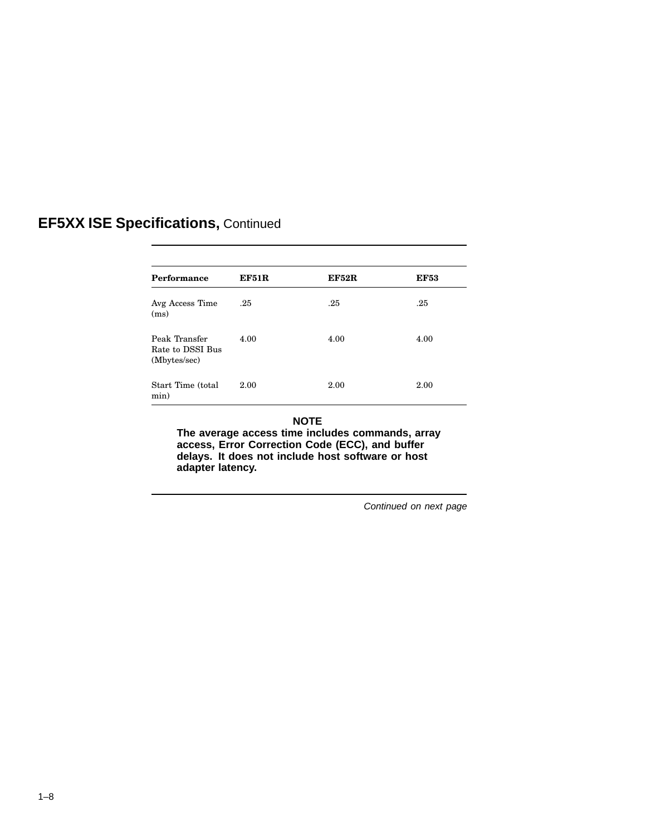| Performance                                       | EF51R | <b>EF52R</b> | <b>EF53</b> |
|---------------------------------------------------|-------|--------------|-------------|
| Avg Access Time<br>(ms)                           | .25   | .25          | .25         |
| Peak Transfer<br>Rate to DSSI Bus<br>(Mbytes/sec) | 4.00  | 4.00         | 4.00        |
| Start Time (total<br>min)                         | 2.00  | 2.00         | 2.00        |

#### **NOTE**

**The average access time includes commands, array access, Error Correction Code (ECC), and buffer delays. It does not include host software or host adapter latency.**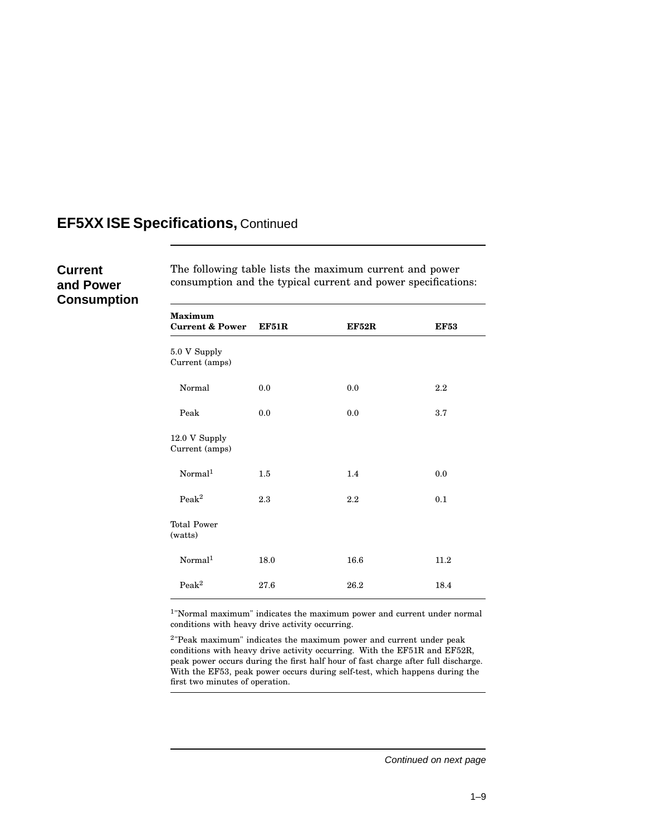#### **Current and Power Consumption**

The following table lists the maximum current and power consumption and the typical current and power specifications:

| <b>Maximum</b><br><b>Current &amp; Power</b> | EF51R | <b>EF52R</b> | <b>EF53</b> |
|----------------------------------------------|-------|--------------|-------------|
| 5.0 V Supply<br>Current (amps)               |       |              |             |
| Normal                                       | 0.0   | 0.0          | $2.2\,$     |
| Peak                                         | 0.0   | 0.0          | 3.7         |
| 12.0 V Supply<br>Current (amps)              |       |              |             |
| Normal <sup>1</sup>                          | 1.5   | 1.4          | 0.0         |
| Peak <sup>2</sup>                            | 2.3   | 2.2          | 0.1         |
| <b>Total Power</b><br>(watts)                |       |              |             |
| Normal <sup>1</sup>                          | 18.0  | 16.6         | 11.2        |
| Peak <sup>2</sup>                            | 27.6  | 26.2         | 18.4        |

1 "Normal maximum" indicates the maximum power and current under normal conditions with heavy drive activity occurring.

2 "Peak maximum" indicates the maximum power and current under peak conditions with heavy drive activity occurring. With the EF51R and EF52R, peak power occurs during the first half hour of fast charge after full discharge. With the EF53, peak power occurs during self-test, which happens during the first two minutes of operation.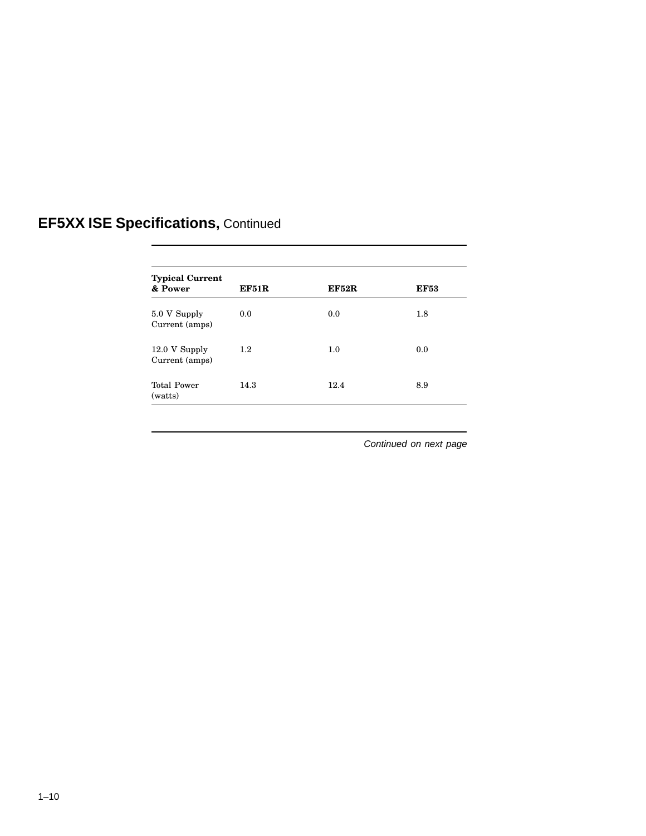| <b>Typical Current</b><br>& Power | EF51R | <b>EF52R</b> | <b>EF53</b> |
|-----------------------------------|-------|--------------|-------------|
| 5.0 V Supply<br>Current (amps)    | 0.0   | 0.0          | 1.8         |
| 12.0 V Supply<br>Current (amps)   | 1.2   | 1.0          | 0.0         |
| <b>Total Power</b><br>(watts)     | 14.3  | 12.4         | 8.9         |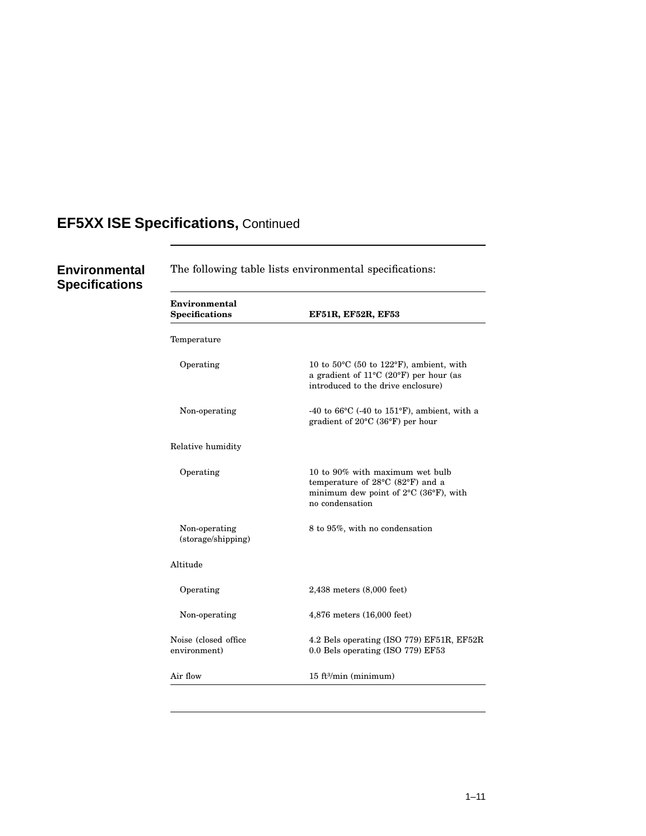**Environmental Specifications**

The following table lists environmental specifications: **Environmental Specifications EF51R, EF52R, EF53** Temperature Operating 10 to 50°C (50 to 122°F), ambient, with a gradient of 11°C (20°F) per hour (as introduced to the drive enclosure) Non-operating -40 to 66°C (-40 to 151°F), ambient, with a gradient of 20°C (36°F) per hour Relative humidity Operating 10 to 90% with maximum wet bulb temperature of 28°C (82°F) and a minimum dew point of 2°C (36°F), with no condensation Non-operating (storage/shipping) 8 to 95%, with no condensation Altitude Operating 2,438 meters (8,000 feet) Non-operating 4,876 meters (16,000 feet) Noise (closed office environment) 4.2 Bels operating (ISO 779) EF51R, EF52R 0.0 Bels operating (ISO 779) EF53 Air flow 15 ft<sup>3</sup>/min (minimum)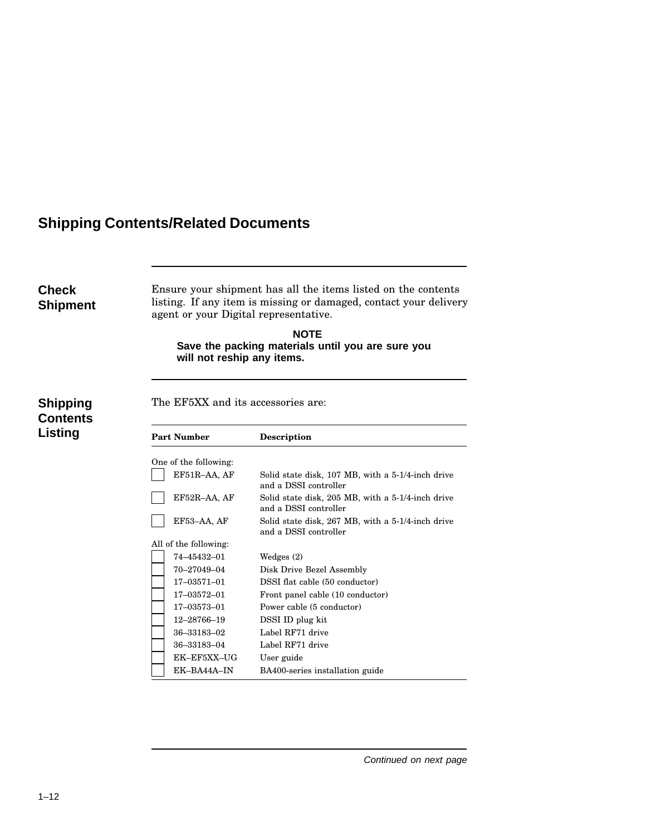## **Shipping Contents/Related Documents**

| Check<br><b>Shipment</b>               |                                    | Ensure your shipment has all the items listed on the contents<br>listing. If any item is missing or damaged, contact your delivery<br>agent or your Digital representative.<br><b>NOTE</b><br>Save the packing materials until you are sure you<br>will not reship any items. |  |  |  |
|----------------------------------------|------------------------------------|-------------------------------------------------------------------------------------------------------------------------------------------------------------------------------------------------------------------------------------------------------------------------------|--|--|--|
| Shipping<br><b>Contents</b><br>Listing | The EF5XX and its accessories are: |                                                                                                                                                                                                                                                                               |  |  |  |
|                                        | <b>Part Number</b>                 | <b>Description</b>                                                                                                                                                                                                                                                            |  |  |  |
|                                        | One of the following:              |                                                                                                                                                                                                                                                                               |  |  |  |
|                                        | EF51R-AA, AF                       | Solid state disk, 107 MB, with a 5-1/4-inch drive<br>and a DSSI controller                                                                                                                                                                                                    |  |  |  |
|                                        | EF52R-AA, AF                       | Solid state disk, 205 MB, with a 5-1/4-inch drive<br>and a DSSI controller                                                                                                                                                                                                    |  |  |  |
|                                        | EF53-AA, AF                        | Solid state disk, 267 MB, with a 5-1/4-inch drive<br>and a DSSI controller                                                                                                                                                                                                    |  |  |  |
|                                        | All of the following:              |                                                                                                                                                                                                                                                                               |  |  |  |
|                                        | 74-45432-01                        | Wedges $(2)$                                                                                                                                                                                                                                                                  |  |  |  |
|                                        | 70-27049-04                        | Disk Drive Bezel Assembly                                                                                                                                                                                                                                                     |  |  |  |
|                                        | 17-03571-01                        | DSSI flat cable (50 conductor)                                                                                                                                                                                                                                                |  |  |  |
|                                        | 17-03572-01                        | Front panel cable (10 conductor)                                                                                                                                                                                                                                              |  |  |  |
|                                        | 17-03573-01                        | Power cable (5 conductor)                                                                                                                                                                                                                                                     |  |  |  |
|                                        | 12-28766-19                        | DSSI ID plug kit                                                                                                                                                                                                                                                              |  |  |  |
|                                        | 36-33183-02                        | Label RF71 drive                                                                                                                                                                                                                                                              |  |  |  |
|                                        | 36-33183-04                        | Label RF71 drive                                                                                                                                                                                                                                                              |  |  |  |
|                                        | EK-EF5XX-UG                        | User guide                                                                                                                                                                                                                                                                    |  |  |  |
|                                        | EK-BA44A-IN                        | BA400-series installation guide                                                                                                                                                                                                                                               |  |  |  |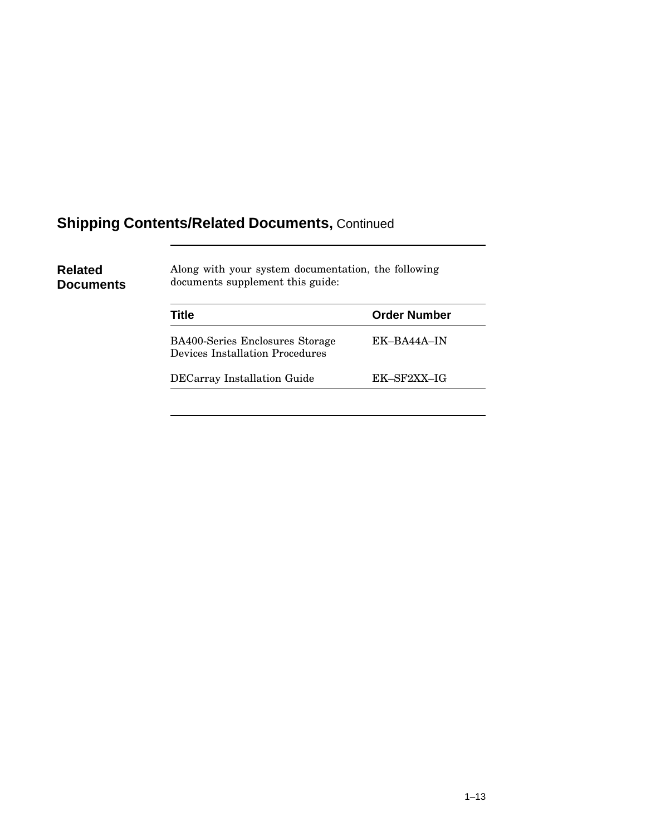## **Shipping Contents/Related Documents,** Continued

| <b>Related</b><br>Documents | Along with your system documentation, the following<br>documents supplement this guide: |                     |  |  |
|-----------------------------|-----------------------------------------------------------------------------------------|---------------------|--|--|
|                             | Title                                                                                   | <b>Order Number</b> |  |  |
|                             | <b>BA400-Series Enclosures Storage</b><br>Devices Installation Procedures               | EK-BA44A-IN         |  |  |
|                             | <b>DECarray Installation Guide</b>                                                      | EK-SF2XX-IG         |  |  |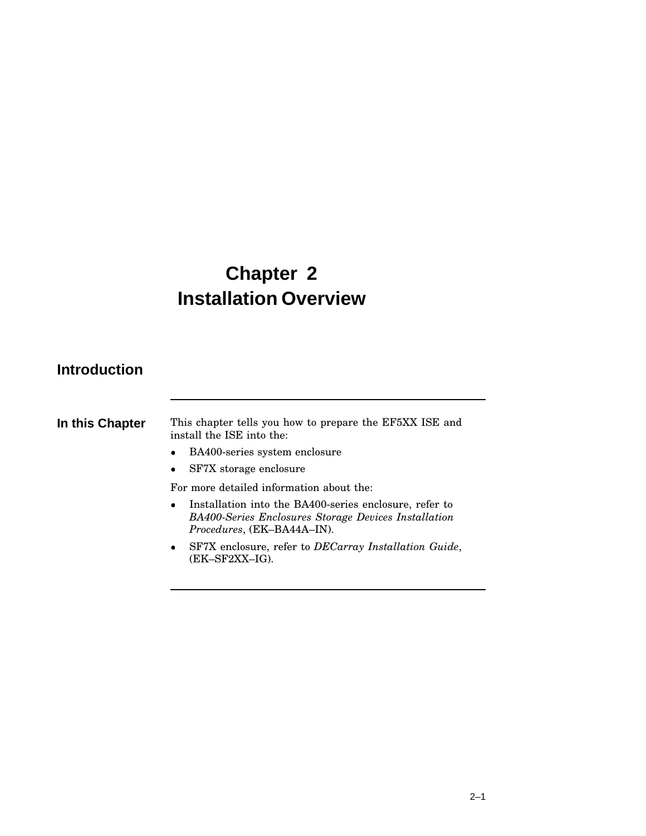# **Chapter 2 Installation Overview**

### **Introduction**

| In this Chapter | This chapter tells you how to prepare the EF5XX ISE and<br>install the ISE into the:                                                                             |
|-----------------|------------------------------------------------------------------------------------------------------------------------------------------------------------------|
|                 | BA400-series system enclosure<br>$\bullet$                                                                                                                       |
|                 | SF7X storage enclosure<br>$\bullet$                                                                                                                              |
|                 | For more detailed information about the:                                                                                                                         |
|                 | Installation into the BA400-series enclosure, refer to<br>$\bullet$<br><b>BA400-Series Enclosures Storage Devices Installation</b><br>Procedures, (EK-BA44A-IN). |
|                 | SF7X enclosure, refer to <i>DECarray Installation Guide</i> ,<br>$\bullet$<br>(EK–SF2XX–IG).                                                                     |
|                 |                                                                                                                                                                  |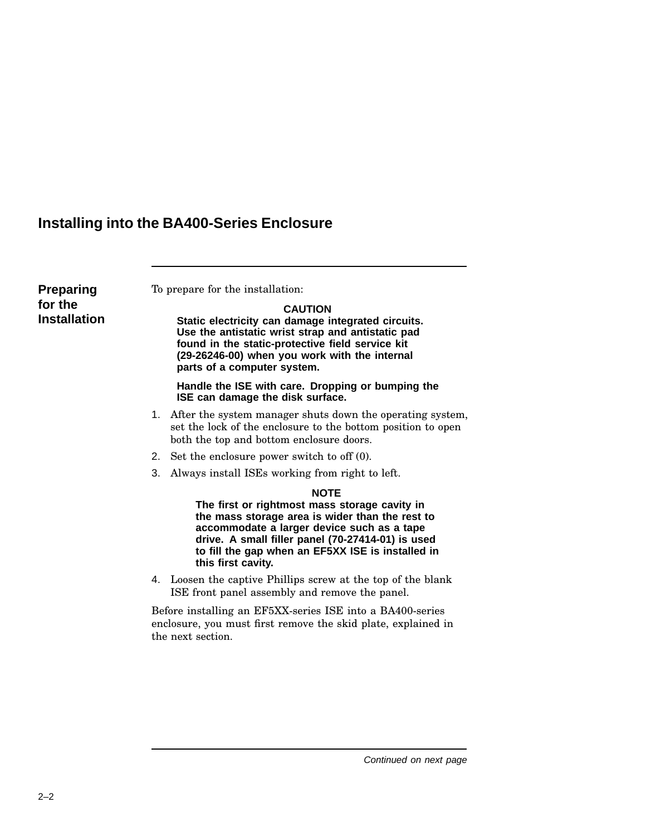## **Installing into the BA400-Series Enclosure**

| <b>Preparing</b><br>for the<br><b>Installation</b> |    | To prepare for the installation:<br><b>CAUTION</b><br>Static electricity can damage integrated circuits.<br>Use the antistatic wrist strap and antistatic pad<br>found in the static-protective field service kit<br>(29-26246-00) when you work with the internal<br>parts of a computer system. |
|----------------------------------------------------|----|---------------------------------------------------------------------------------------------------------------------------------------------------------------------------------------------------------------------------------------------------------------------------------------------------|
|                                                    |    | Handle the ISE with care. Dropping or bumping the<br>ISE can damage the disk surface.                                                                                                                                                                                                             |
|                                                    |    | 1. After the system manager shuts down the operating system,<br>set the lock of the enclosure to the bottom position to open<br>both the top and bottom enclosure doors.                                                                                                                          |
|                                                    |    | 2. Set the enclosure power switch to off (0).                                                                                                                                                                                                                                                     |
|                                                    | 3. | Always install ISEs working from right to left.                                                                                                                                                                                                                                                   |
|                                                    |    | <b>NOTE</b><br>The first or rightmost mass storage cavity in<br>the mass storage area is wider than the rest to<br>accommodate a larger device such as a tape<br>drive. A small filler panel (70-27414-01) is used<br>to fill the gap when an EF5XX ISE is installed in<br>this first cavity.     |
|                                                    |    | 4. Loosen the captive Phillips screw at the top of the blank<br>ISE front panel assembly and remove the panel.                                                                                                                                                                                    |
|                                                    |    | Before installing an EF5XX-series ISE into a BA400-series<br>enclosure, you must first remove the skid plate, explained in<br>the next section.                                                                                                                                                   |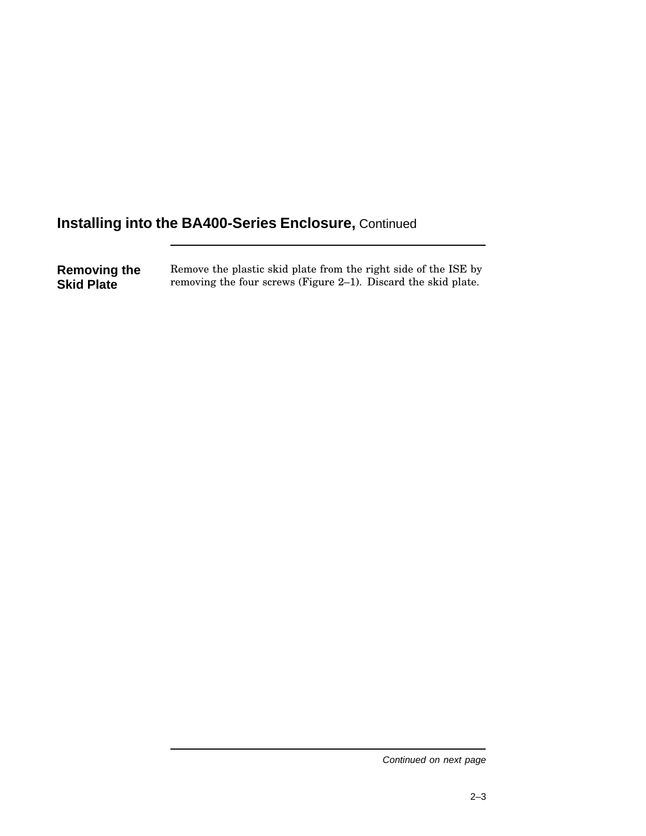**Removing the Skid Plate** Remove the plastic skid plate from the right side of the ISE by removing the four screws (Figure 2–1). Discard the skid plate.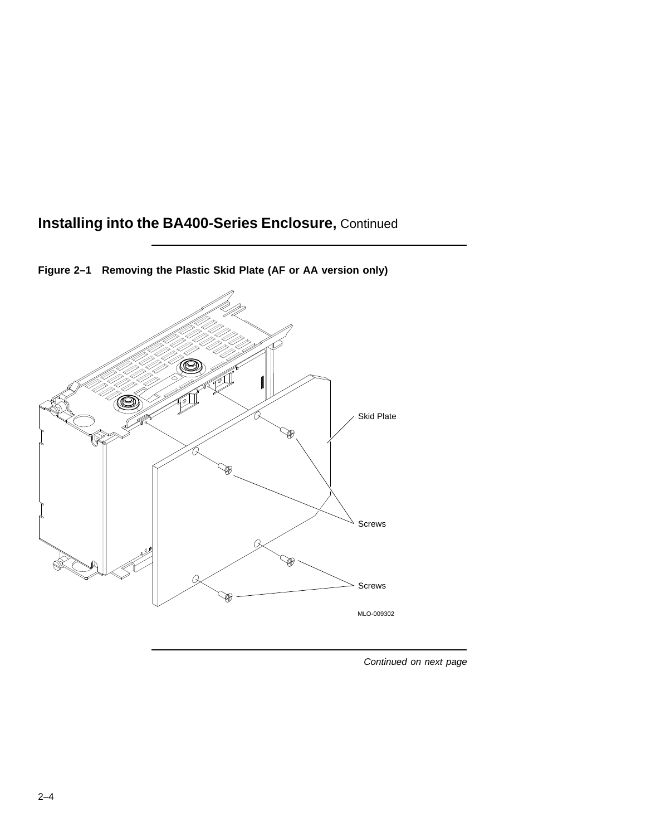

**Figure 2–1 Removing the Plastic Skid Plate (AF or AA version only)**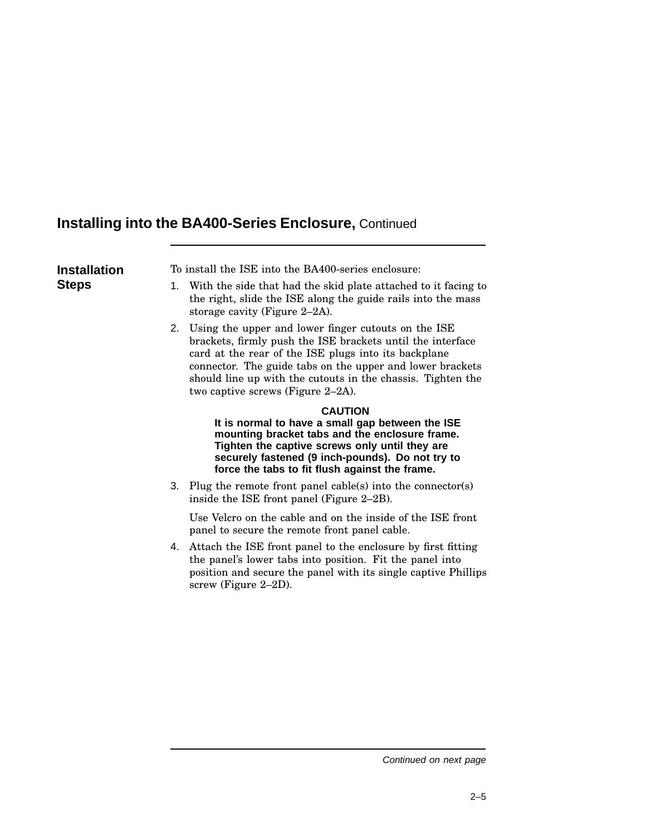| <b>Installation</b> | To install the ISE into the BA400-series enclosure:                                                                                                                                                                                                                                                                                           |
|---------------------|-----------------------------------------------------------------------------------------------------------------------------------------------------------------------------------------------------------------------------------------------------------------------------------------------------------------------------------------------|
| <b>Steps</b>        | 1. With the side that had the skid plate attached to it facing to<br>the right, slide the ISE along the guide rails into the mass<br>storage cavity (Figure 2–2A).                                                                                                                                                                            |
|                     | 2. Using the upper and lower finger cutouts on the ISE<br>brackets, firmly push the ISE brackets until the interface<br>card at the rear of the ISE plugs into its backplane<br>connector. The guide tabs on the upper and lower brackets<br>should line up with the cutouts in the chassis. Tighten the<br>two captive screws (Figure 2-2A). |
|                     | <b>CAUTION</b><br>It is normal to have a small gap between the ISE<br>mounting bracket tabs and the enclosure frame.<br>Tighten the captive screws only until they are<br>securely fastened (9 inch-pounds). Do not try to<br>force the tabs to fit flush against the frame.                                                                  |
|                     | 3. Plug the remote front panel cable(s) into the connector(s)<br>inside the ISE front panel (Figure 2–2B).                                                                                                                                                                                                                                    |
|                     | Use Velcro on the cable and on the inside of the ISE front<br>panel to secure the remote front panel cable.                                                                                                                                                                                                                                   |
|                     | 4. Attach the ISE front panel to the enclosure by first fitting<br>the panel's lower tabs into position. Fit the panel into<br>position and secure the panel with its single captive Phillips<br>screw (Figure 2-2D).                                                                                                                         |
|                     |                                                                                                                                                                                                                                                                                                                                               |
|                     |                                                                                                                                                                                                                                                                                                                                               |
|                     |                                                                                                                                                                                                                                                                                                                                               |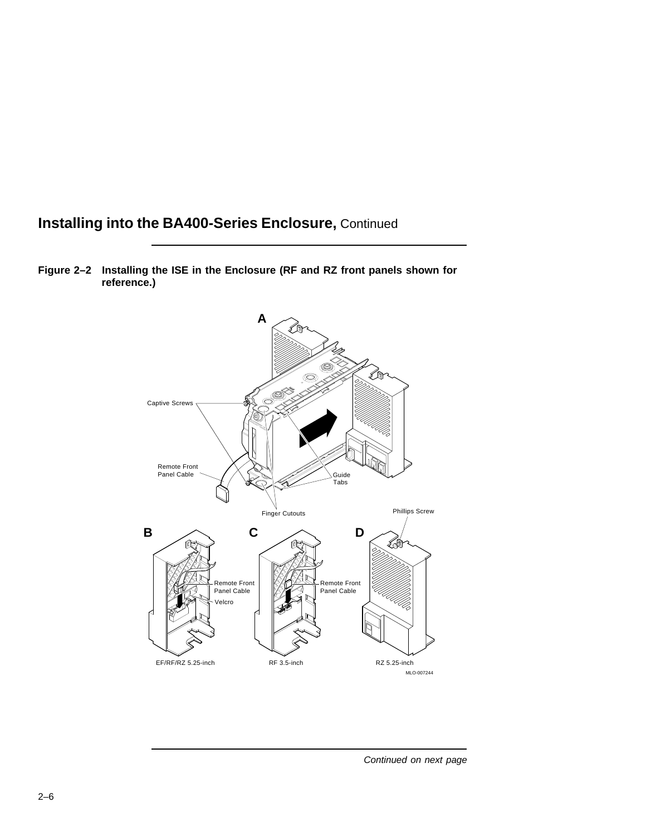

**Figure 2–2 Installing the ISE in the Enclosure (RF and RZ front panels shown for reference.)**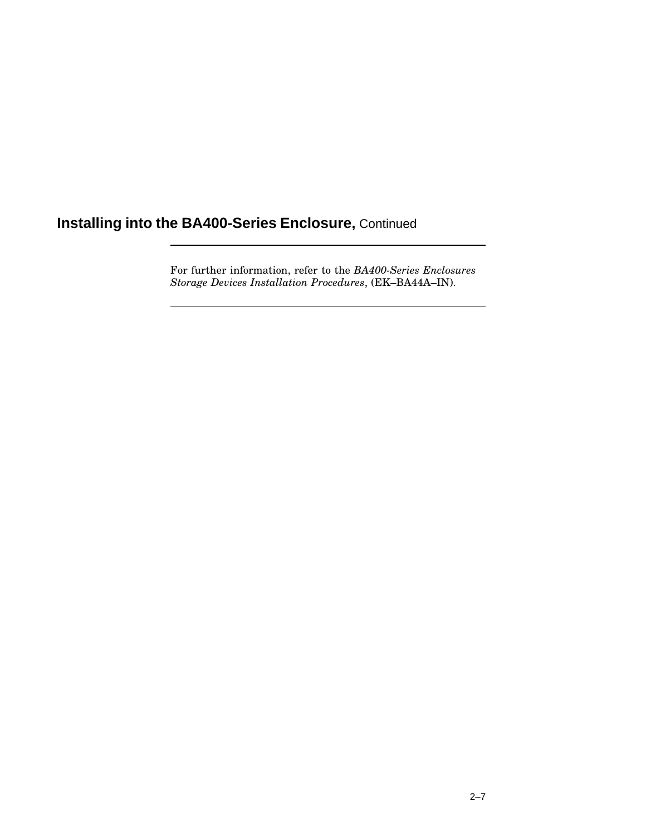For further information, refer to the *BA400-Series Enclosures Storage Devices Installation Procedures*, (EK–BA44A–IN).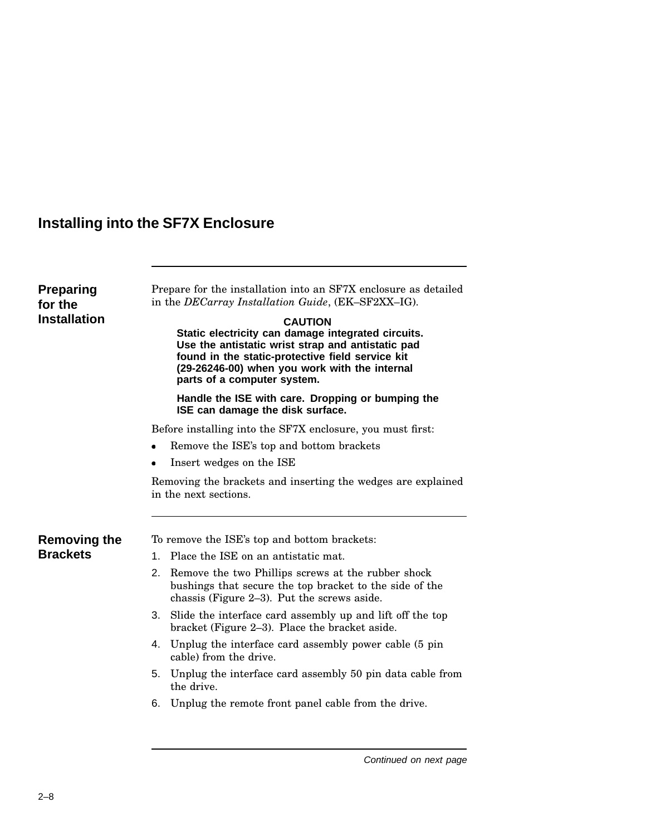## **Installing into the SF7X Enclosure**

| <b>Preparing</b><br>for the<br><b>Installation</b> | Prepare for the installation into an SF7X enclosure as detailed<br>in the DECarray Installation Guide, (EK-SF2XX-IG).<br><b>CAUTION</b><br>Static electricity can damage integrated circuits.<br>Use the antistatic wrist strap and antistatic pad<br>found in the static-protective field service kit<br>(29-26246-00) when you work with the internal<br>parts of a computer system.<br>Handle the ISE with care. Dropping or bumping the<br>ISE can damage the disk surface. |
|----------------------------------------------------|---------------------------------------------------------------------------------------------------------------------------------------------------------------------------------------------------------------------------------------------------------------------------------------------------------------------------------------------------------------------------------------------------------------------------------------------------------------------------------|
|                                                    | Before installing into the SF7X enclosure, you must first:                                                                                                                                                                                                                                                                                                                                                                                                                      |
|                                                    | Remove the ISE's top and bottom brackets<br>$\bullet$                                                                                                                                                                                                                                                                                                                                                                                                                           |
|                                                    | Insert wedges on the ISE                                                                                                                                                                                                                                                                                                                                                                                                                                                        |
| <b>Removing the</b>                                | Removing the brackets and inserting the wedges are explained<br>in the next sections.<br>To remove the ISE's top and bottom brackets:                                                                                                                                                                                                                                                                                                                                           |
| <b>Brackets</b>                                    | 1. Place the ISE on an antistatic mat.                                                                                                                                                                                                                                                                                                                                                                                                                                          |
|                                                    | 2.<br>Remove the two Phillips screws at the rubber shock<br>bushings that secure the top bracket to the side of the<br>chassis (Figure 2-3). Put the screws aside.                                                                                                                                                                                                                                                                                                              |
|                                                    | 3. Slide the interface card assembly up and lift off the top<br>bracket (Figure 2–3). Place the bracket aside.                                                                                                                                                                                                                                                                                                                                                                  |
|                                                    | 4. Unplug the interface card assembly power cable (5 pin)<br>cable) from the drive.                                                                                                                                                                                                                                                                                                                                                                                             |
|                                                    | 5. Unplug the interface card assembly 50 pin data cable from<br>the drive.                                                                                                                                                                                                                                                                                                                                                                                                      |
|                                                    | Unplug the remote front panel cable from the drive.<br>6.                                                                                                                                                                                                                                                                                                                                                                                                                       |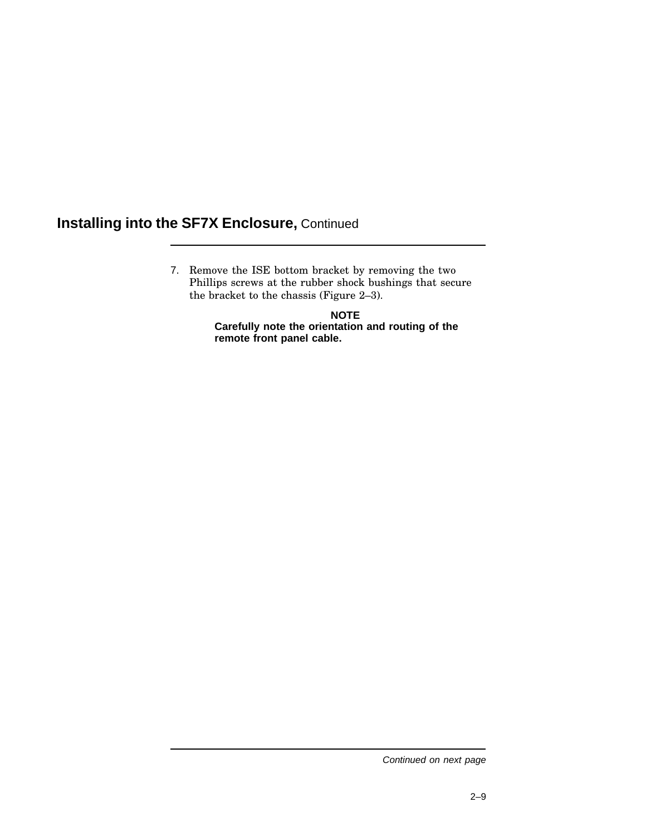7. Remove the ISE bottom bracket by removing the two Phillips screws at the rubber shock bushings that secure the bracket to the chassis (Figure 2–3).

> **NOTE Carefully note the orientation and routing of the remote front panel cable.**

Continued on next page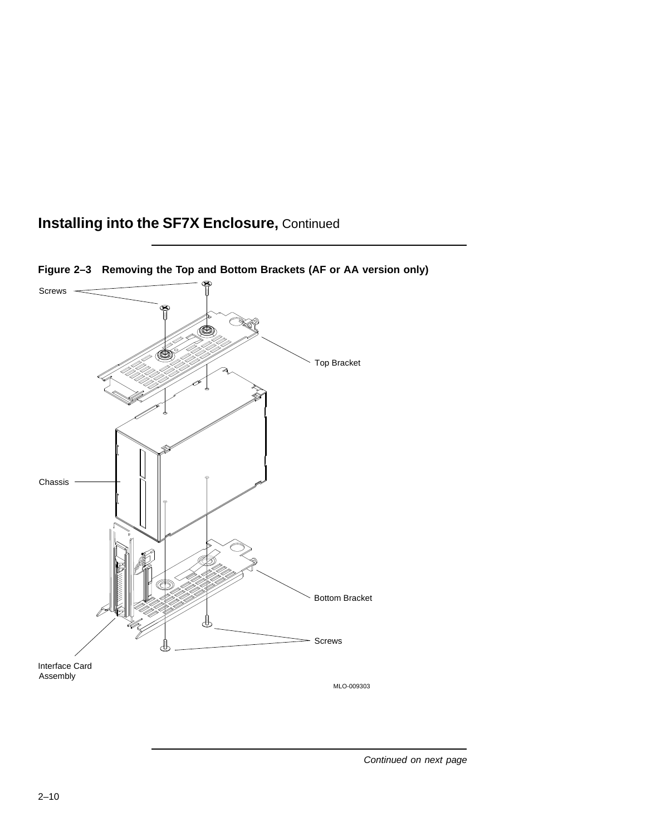

**Figure 2–3 Removing the Top and Bottom Brackets (AF or AA version only)**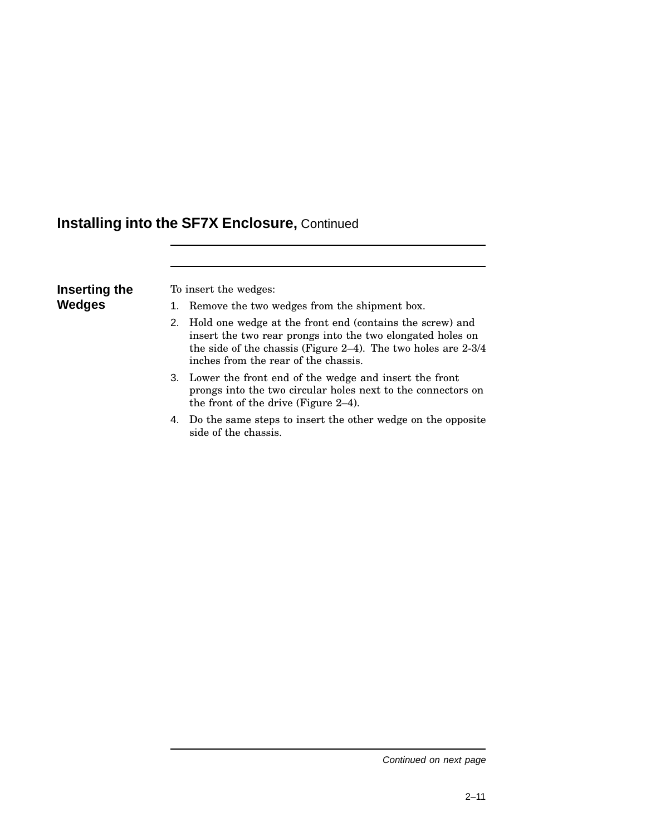| Inserting the | т |
|---------------|---|
| <b>Wedges</b> |   |

b insert the wedges:

- Remove the two wedges from the shipment box.
- 2. Hold one wedge at the front end (contains the screw) and insert the two rear prongs into the two elongated holes on the side of the chassis (Figure 2–4). The two holes are 2-3/4 inches from the rear of the chassis.
- 3. Lower the front end of the wedge and insert the front prongs into the two circular holes next to the connectors on the front of the drive (Figure 2–4).
- 4. Do the same steps to insert the other wedge on the opposite side of the chassis.

Continued on next page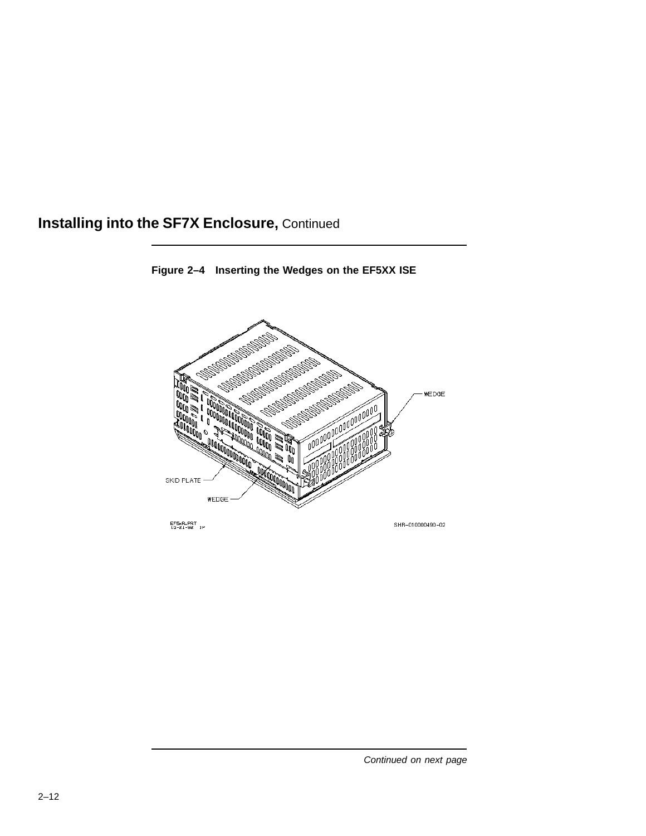

**Figure 2–4 Inserting the Wedges on the EF5XX ISE**

EF5xR.PRT<br>10-21-92 1P

SHR-010000490-02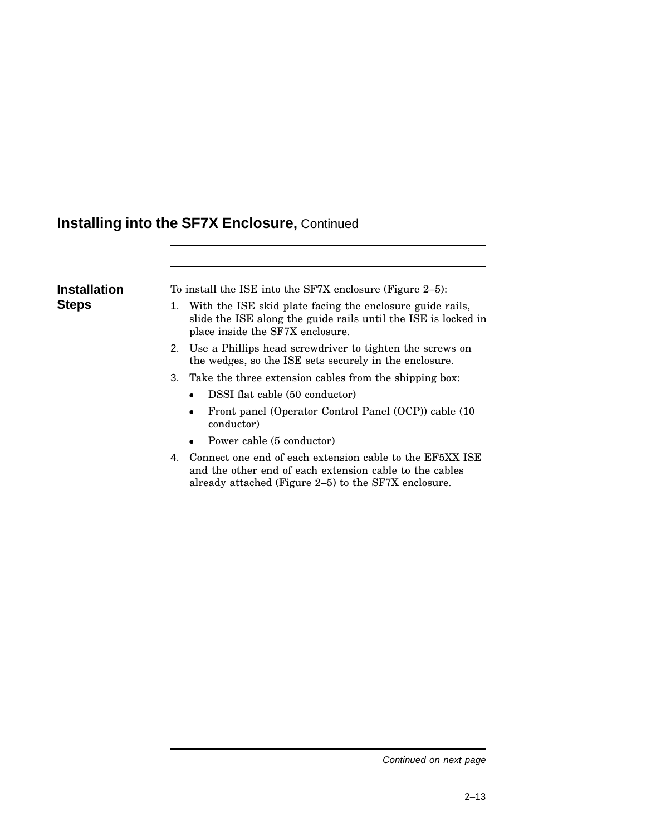## **Installing into the SF7X Enclosure,** Continued

| Installation | To install the ISE into the SF7X enclosure (Figure 2–5):                                                                                                        |  |  |
|--------------|-----------------------------------------------------------------------------------------------------------------------------------------------------------------|--|--|
| Steps        | With the ISE skid plate facing the enclosure guide rails,<br>slide the ISE along the guide rails until the ISE is locked in<br>place inside the SF7X enclosure. |  |  |
|              | 2. Use a Phillips head screwdriver to tighten the screws on<br>the wedges, so the ISE sets securely in the enclosure.                                           |  |  |
|              | 3. Take the three extension cables from the shipping box:                                                                                                       |  |  |
|              | DSSI flat cable (50 conductor)                                                                                                                                  |  |  |
|              | Front panel (Operator Control Panel (OCP)) cable (10)<br>conductor)                                                                                             |  |  |
|              | Power cable (5 conductor)                                                                                                                                       |  |  |

4. Connect one end of each extension cable to the EF5XX ISE and the other end of each extension cable to the cables already attached (Figure 2–5) to the SF7X enclosure.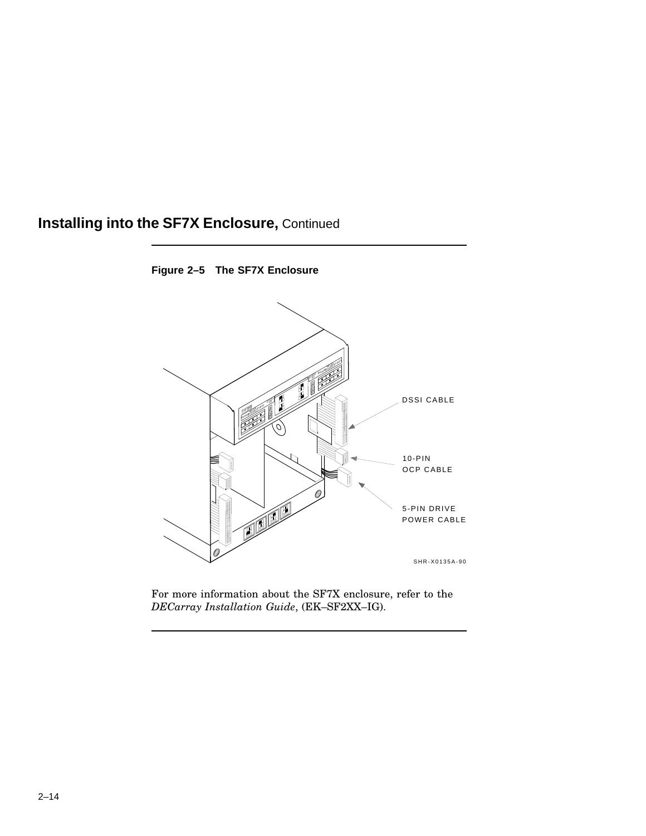### **Installing into the SF7X Enclosure,** Continued



**Figure 2–5 The SF7X Enclosure**

For more information about the SF7X enclosure, refer to the *DECarray Installation Guide*, (EK–SF2XX–IG).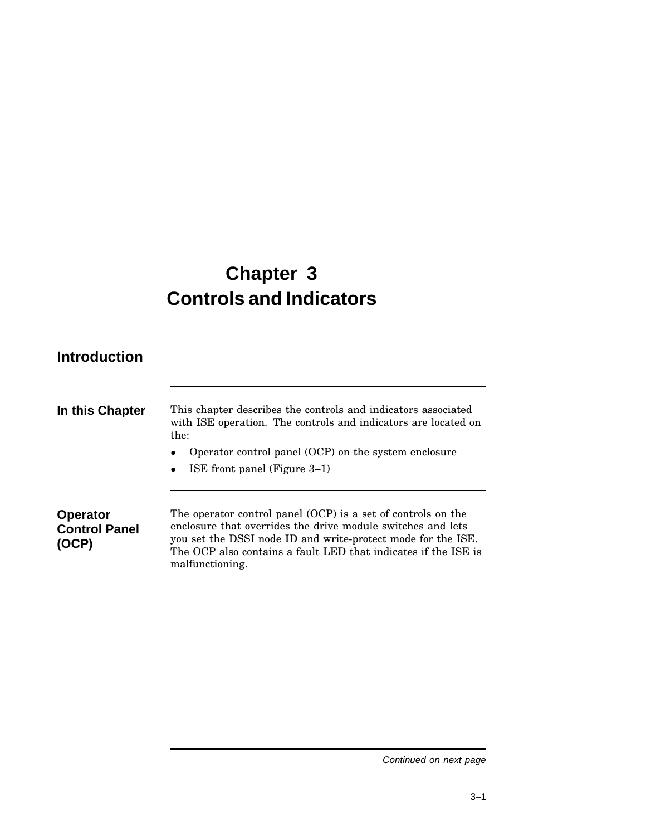# **Chapter 3 Controls and Indicators**

### **Introduction**

**(OCP)**

| In this Chapter                         | This chapter describes the controls and indicators associated<br>with ISE operation. The controls and indicators are located on<br>the: |
|-----------------------------------------|-----------------------------------------------------------------------------------------------------------------------------------------|
|                                         | Operator control panel (OCP) on the system enclosure<br>$\bullet$<br>ISE front panel (Figure $3-1$ )<br>$\bullet$                       |
| <b>Operator</b><br><b>Control Panel</b> | The operator control panel (OCP) is a set of controls on the<br>enclosure that overrides the drive module switches and lets             |

enclosure that overrides the drive module switches and lets you set the DSSI node ID and write-protect mode for the ISE. The OCP also contains a fault LED that indicates if the ISE is malfunctioning.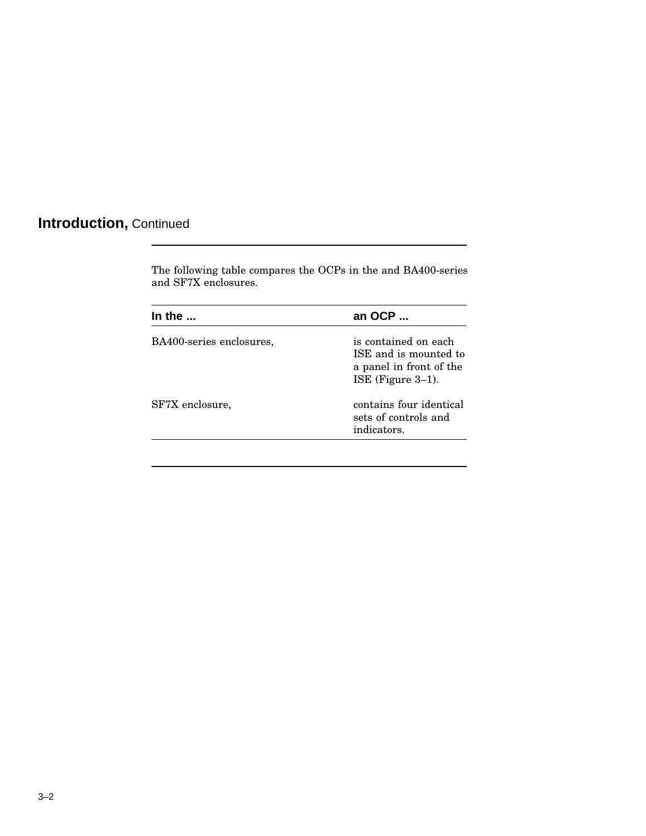## **Introduction,** Continued

The following table compares the OCPs in the and BA400-series and SF7X enclosures.

| an OCP                                                                                           |
|--------------------------------------------------------------------------------------------------|
| is contained on each<br>ISE and is mounted to<br>a panel in front of the<br>ISE (Figure $3-1$ ). |
| contains four identical<br>sets of controls and<br>indicators.                                   |
|                                                                                                  |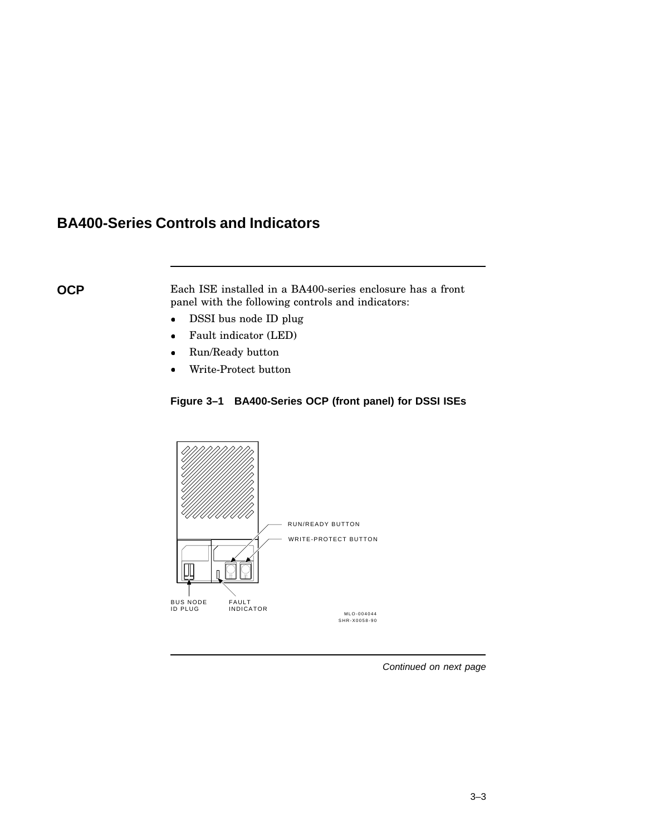### **BA400-Series Controls and Indicators**

**OCP** Each ISE installed in a BA400-series enclosure has a front panel with the following controls and indicators:

- DSSI bus node ID plug
- Fault indicator (LED)
- Run/Ready button
- Write-Protect button

### **Figure 3–1 BA400-Series OCP (front panel) for DSSI ISEs**

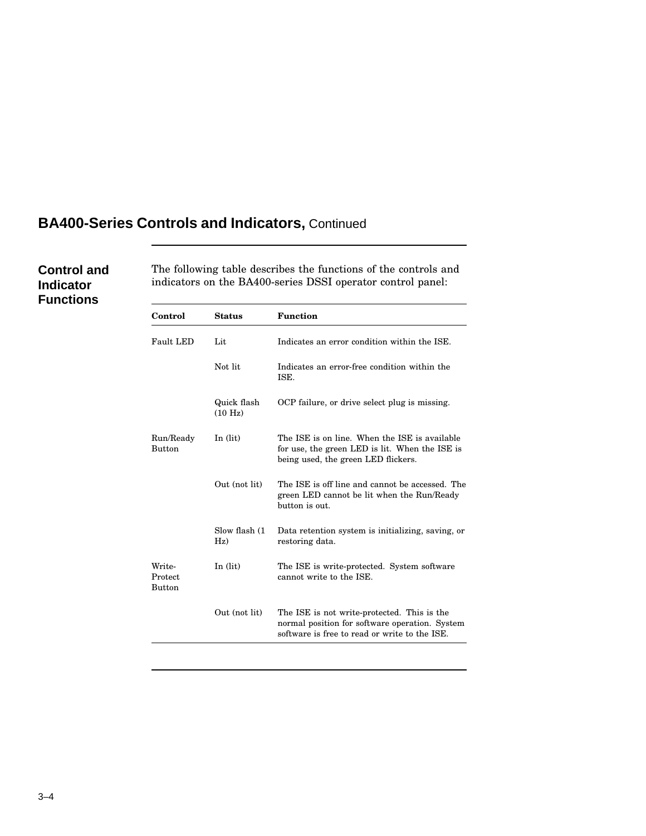### **BA400-Series Controls and Indicators,** Continued

### **Control and Indicator Functions**

The following table describes the functions of the controls and indicators on the BA400-series DSSI operator control panel:

| Control                            | <b>Status</b>          | <b>Function</b>                                                                                                                                |
|------------------------------------|------------------------|------------------------------------------------------------------------------------------------------------------------------------------------|
| Fault LED                          | Lit                    | Indicates an error condition within the ISE.                                                                                                   |
|                                    | Not lit                | Indicates an error-free condition within the<br>ISE.                                                                                           |
|                                    | Quick flash<br>(10 Hz) | OCP failure, or drive select plug is missing.                                                                                                  |
| Run/Ready<br><b>Button</b>         | In $(lit)$             | The ISE is on line. When the ISE is available<br>for use, the green LED is lit. When the ISE is<br>being used, the green LED flickers.         |
|                                    | Out (not lit)          | The ISE is off line and cannot be accessed. The<br>green LED cannot be lit when the Run/Ready<br>button is out.                                |
|                                    | Slow flash (1<br>Hz)   | Data retention system is initializing, saving, or<br>restoring data.                                                                           |
| Write-<br>Protect<br><b>Button</b> | In $(lit)$             | The ISE is write-protected. System software<br>cannot write to the ISE.                                                                        |
|                                    | Out (not lit)          | The ISE is not write-protected. This is the<br>normal position for software operation. System<br>software is free to read or write to the ISE. |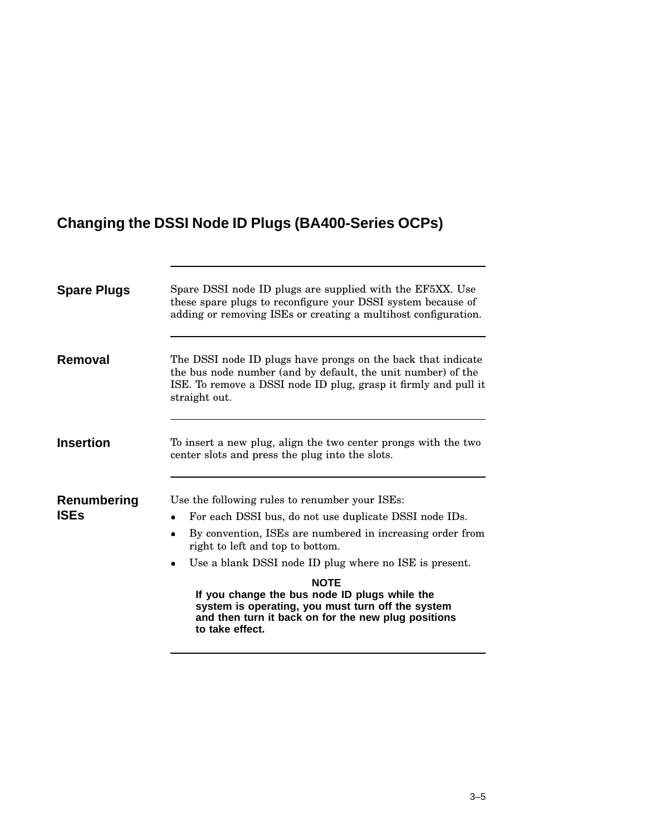## **Changing the DSSI Node ID Plugs (BA400-Series OCPs)**

| <b>Spare Plugs</b>         | Spare DSSI node ID plugs are supplied with the EF5XX. Use<br>these spare plugs to reconfigure your DSSI system because of<br>adding or removing ISEs or creating a multihost configuration.                                                                                                                                                                                                                                                                                               |
|----------------------------|-------------------------------------------------------------------------------------------------------------------------------------------------------------------------------------------------------------------------------------------------------------------------------------------------------------------------------------------------------------------------------------------------------------------------------------------------------------------------------------------|
| Removal                    | The DSSI node ID plugs have prongs on the back that indicate<br>the bus node number (and by default, the unit number) of the<br>ISE. To remove a DSSI node ID plug, grasp it firmly and pull it<br>straight out.                                                                                                                                                                                                                                                                          |
| <b>Insertion</b>           | To insert a new plug, align the two center prongs with the two<br>center slots and press the plug into the slots.                                                                                                                                                                                                                                                                                                                                                                         |
| Renumbering<br><b>ISEs</b> | Use the following rules to renumber your ISEs:<br>For each DSSI bus, do not use duplicate DSSI node IDs.<br>٠<br>By convention, ISEs are numbered in increasing order from<br>٠<br>right to left and top to bottom.<br>Use a blank DSSI node ID plug where no ISE is present.<br>$\bullet$<br><b>NOTE</b><br>If you change the bus node ID plugs while the<br>system is operating, you must turn off the system<br>and then turn it back on for the new plug positions<br>to take effect. |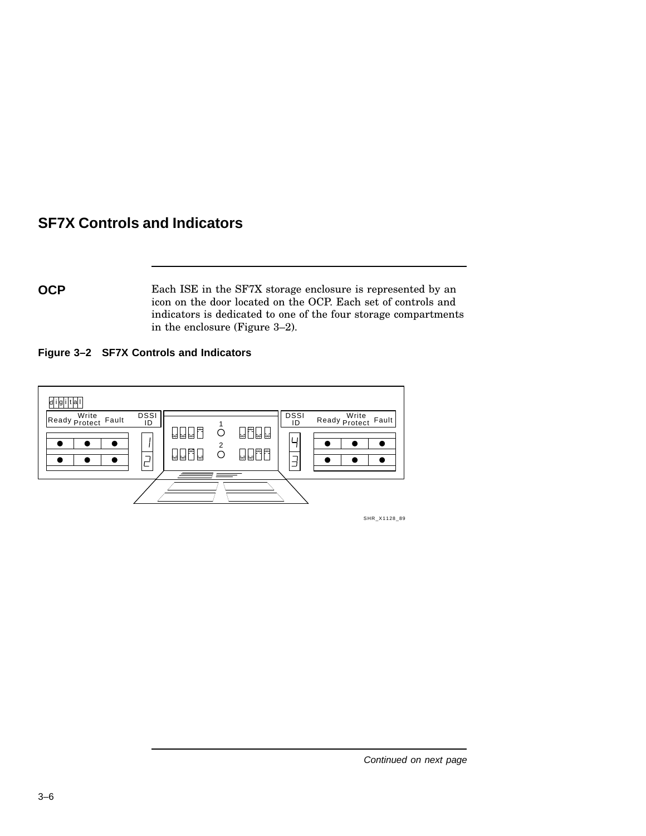### **SF7X Controls and Indicators**

**OCP** Each ISE in the SF7X storage enclosure is represented by an icon on the door located on the OCP. Each set of controls and indicators is dedicated to one of the four storage compartments in the enclosure (Figure 3–2).

**Figure 3–2 SF7X Controls and Indicators**



SHR\_X1128\_89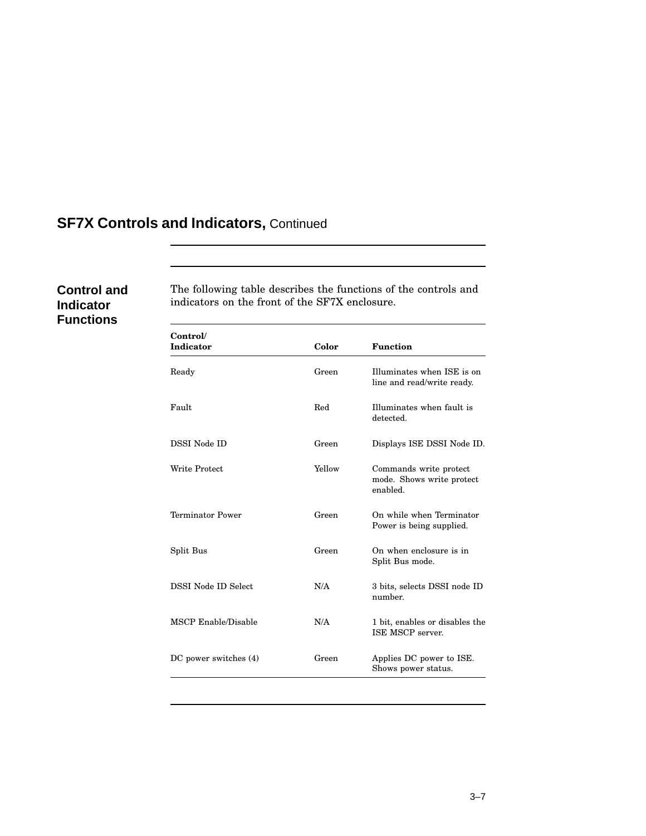## **SF7X Controls and Indicators,** Continued

### **Control and Indicator Functions**

The following table describes the functions of the controls and indicators on the front of the SF7X enclosure.

| Control/<br><b>Indicator</b> | Color  | <b>Function</b>                                                 |
|------------------------------|--------|-----------------------------------------------------------------|
| Ready                        | Green  | Illuminates when ISE is on<br>line and read/write ready.        |
| Fault                        | Red    | Illuminates when fault is<br>detected.                          |
| <b>DSSI</b> Node ID          | Green  | Displays ISE DSSI Node ID.                                      |
| <b>Write Protect</b>         | Yellow | Commands write protect<br>mode. Shows write protect<br>enabled. |
| <b>Terminator Power</b>      | Green  | On while when Terminator<br>Power is being supplied.            |
| Split Bus                    | Green  | On when enclosure is in<br>Split Bus mode.                      |
| DSSI Node ID Select          | N/A    | 3 bits, selects DSSI node ID<br>number.                         |
| MSCP Enable/Disable          | N/A    | 1 bit, enables or disables the<br>ISE MSCP server.              |
| DC power switches (4)        | Green  | Applies DC power to ISE.<br>Shows power status.                 |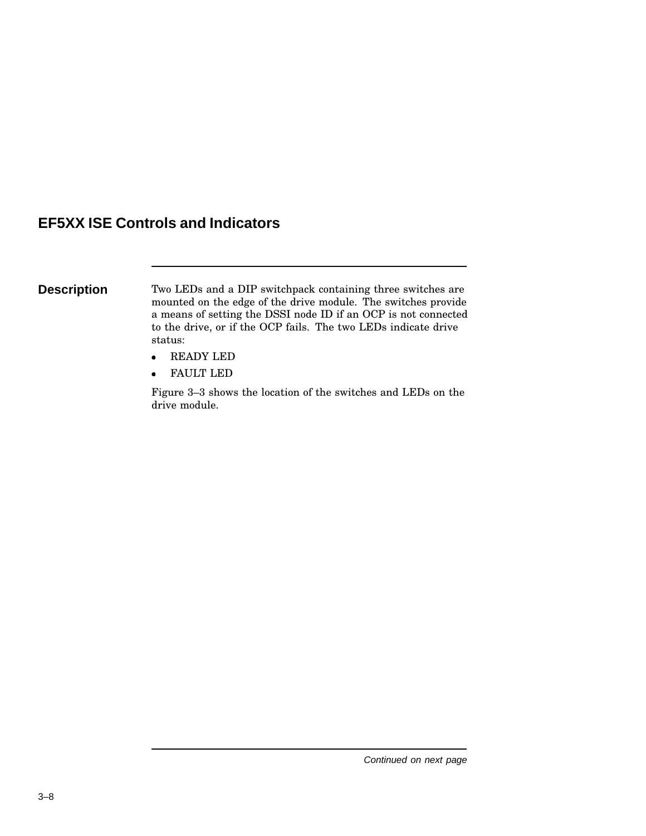### **EF5XX ISE Controls and Indicators**

**Description** Two LEDs and a DIP switchpack containing three switches are mounted on the edge of the drive module. The switches provide a means of setting the DSSI node ID if an OCP is not connected to the drive, or if the OCP fails. The two LEDs indicate drive status:

- READY LED
- FAULT LED

Figure 3–3 shows the location of the switches and LEDs on the drive module.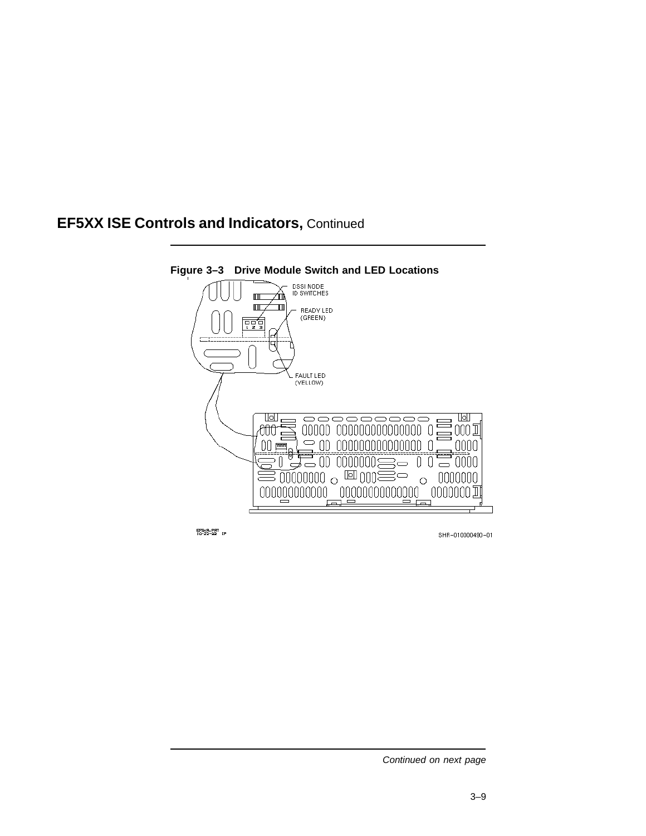### **EF5XX ISE Controls and Indicators,** Continued



EFEXR.PRT<br>10-22-92 (P

SHR-010000490-01

Continued on next page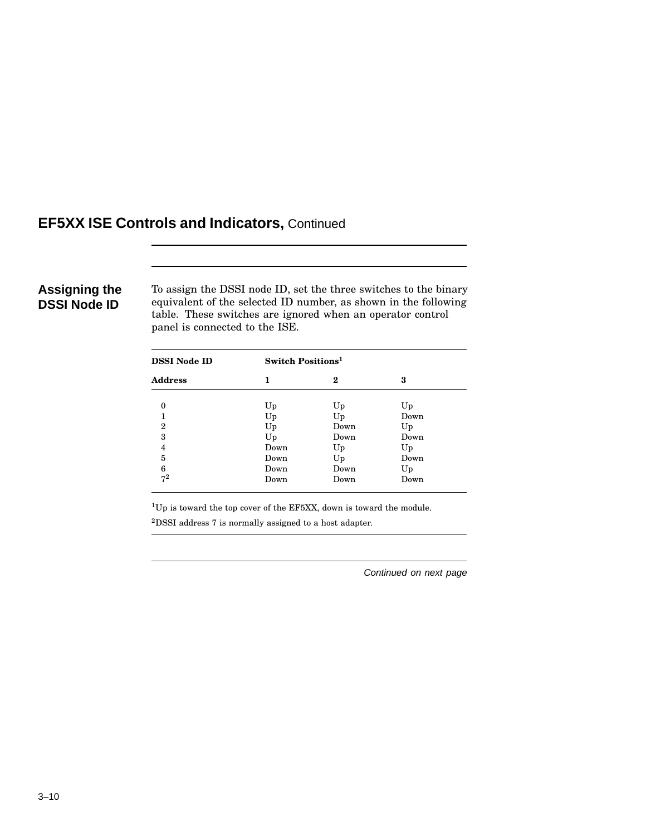### **EF5XX ISE Controls and Indicators,** Continued

### **Assigning the DSSI Node ID**

To assign the DSSI node ID, set the three switches to the binary equivalent of the selected ID number, as shown in the following table. These switches are ignored when an operator control panel is connected to the ISE.

| <b>DSSI Node ID</b> | Switch Positions <sup>1</sup> |          |      |
|---------------------|-------------------------------|----------|------|
| <b>Address</b>      | 1                             | $\bf{2}$ | 3    |
| $\Omega$            | Up                            | Up       | Up   |
| 1                   | Up                            | Up       | Down |
| $\overline{2}$      | Up                            | Down     | Up   |
| 3                   | Up                            | Down     | Down |
| 4                   | Down                          | Up       | Up   |
| 5                   | Down                          | Up       | Down |
| 6                   | Down                          | Down     | Up   |
| $7^2$               | Down                          | Down     | Down |

<sup>1</sup>Up is toward the top cover of the EF5XX, down is toward the module.

 ${\rm ^2DSSI}$  address 7 is normally assigned to a host adapter.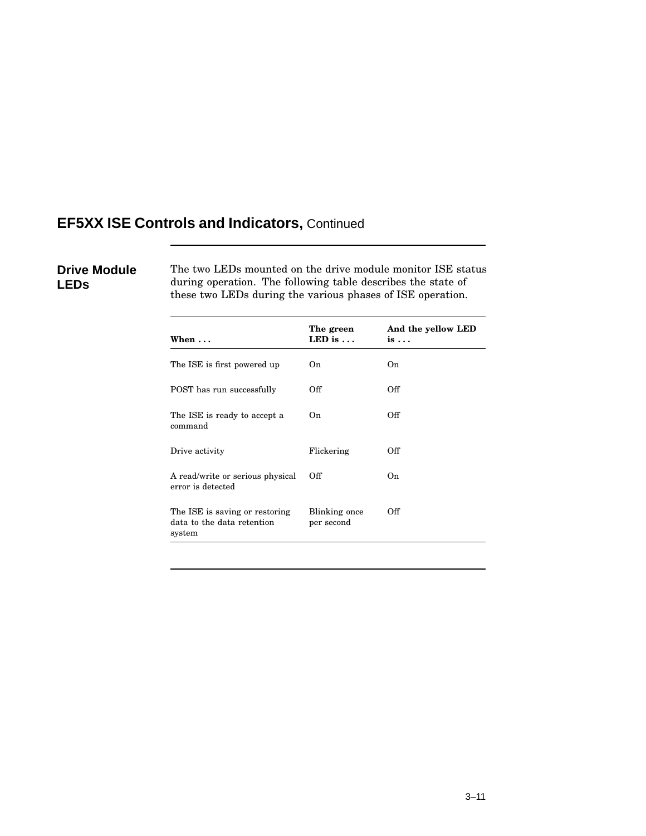### **EF5XX ISE Controls and Indicators,** Continued

### **Drive Module LEDs**

The two LEDs mounted on the drive module monitor ISE status during operation. The following table describes the state of these two LEDs during the various phases of ISE operation.

| When $\ldots$                                                          | The green<br>LED is $\dots$ | And the yellow LED<br>$is \ldots$ |
|------------------------------------------------------------------------|-----------------------------|-----------------------------------|
| The ISE is first powered up                                            | On.                         | On.                               |
| POST has run successfully                                              | Off                         | Off                               |
| The ISE is ready to accept a<br>command                                | On.                         | Off                               |
| Drive activity                                                         | Flickering                  | Off                               |
| A read/write or serious physical<br>error is detected                  | Off                         | On.                               |
| The ISE is saving or restoring<br>data to the data retention<br>system | Blinking once<br>per second | Off                               |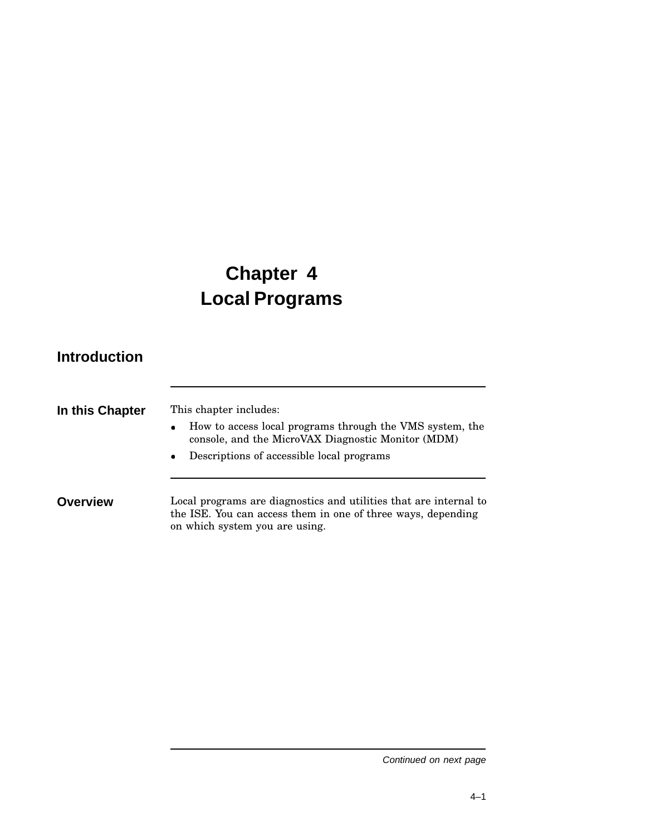# **Chapter 4 Local Programs**

### **Introduction**

| In this Chapter | This chapter includes:<br>How to access local programs through the VMS system, the<br>$\bullet$<br>console, and the MicroVAX Diagnostic Monitor (MDM)               |
|-----------------|---------------------------------------------------------------------------------------------------------------------------------------------------------------------|
|                 | Descriptions of accessible local programs<br>$\bullet$                                                                                                              |
| <b>Overview</b> | Local programs are diagnostics and utilities that are internal to<br>the ISE. You can access them in one of three ways, depending<br>on which system you are using. |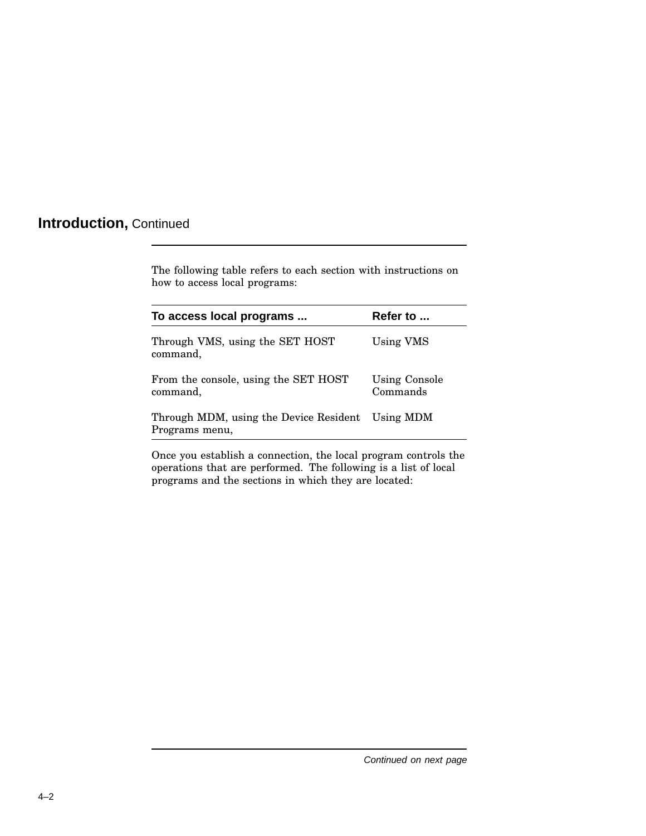### **Introduction,** Continued

The following table refers to each section with instructions on how to access local programs:

| To access local programs                                           | Refer to                         |
|--------------------------------------------------------------------|----------------------------------|
| Through VMS, using the SET HOST<br>command,                        | Using VMS                        |
| From the console, using the SET HOST<br>command,                   | <b>Using Console</b><br>Commands |
| Through MDM, using the Device Resident Using MDM<br>Programs menu, |                                  |
|                                                                    |                                  |

Once you establish a connection, the local program controls the operations that are performed. The following is a list of local programs and the sections in which they are located: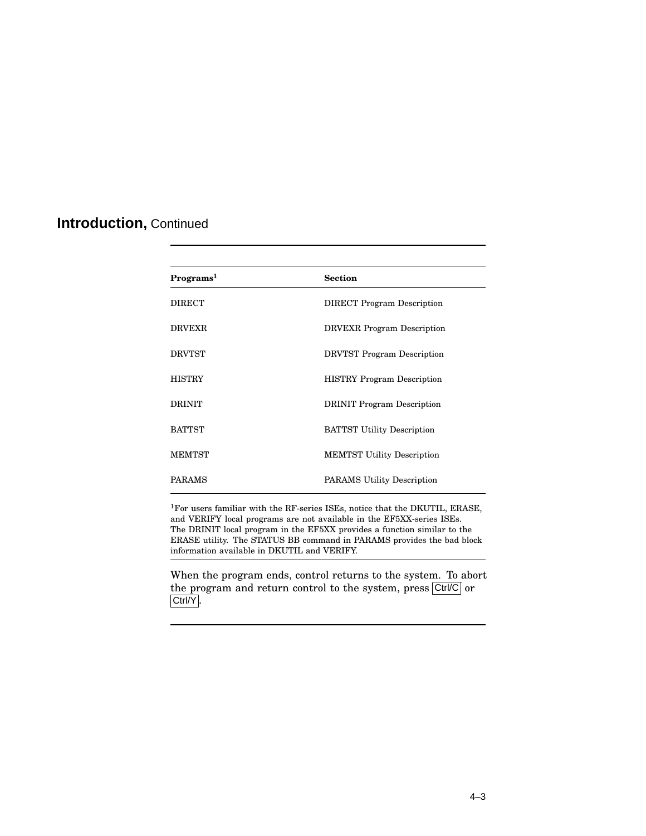### **Introduction,** Continued

| Programs <sup>1</sup> | <b>Section</b>                    |
|-----------------------|-----------------------------------|
| <b>DIRECT</b>         | <b>DIRECT</b> Program Description |
| <b>DRVEXR</b>         | <b>DRVEXR</b> Program Description |
| <b>DRVTST</b>         | <b>DRVTST</b> Program Description |
| <b>HISTRY</b>         | <b>HISTRY Program Description</b> |
| <b>DRINIT</b>         | <b>DRINIT</b> Program Description |
| <b>BATTST</b>         | <b>BATTST Utility Description</b> |
| <b>MEMTST</b>         | <b>MEMTST Utility Description</b> |
| <b>PARAMS</b>         | <b>PARAMS</b> Utility Description |
|                       |                                   |

 $^1\rm{For}$  users familiar with the RF-series ISEs, notice that the DKUTIL, ERASE, and VERIFY local programs are not available in the EF5XX-series ISEs. The DRINIT local program in the EF5XX provides a function similar to the ERASE utility. The STATUS BB command in PARAMS provides the bad block information available in DKUTIL and VERIFY.

When the program ends, control returns to the system. To abort the program and return control to the system, press  $\boxed{\text{Ctrl/C}}$  or Ctrl/Y.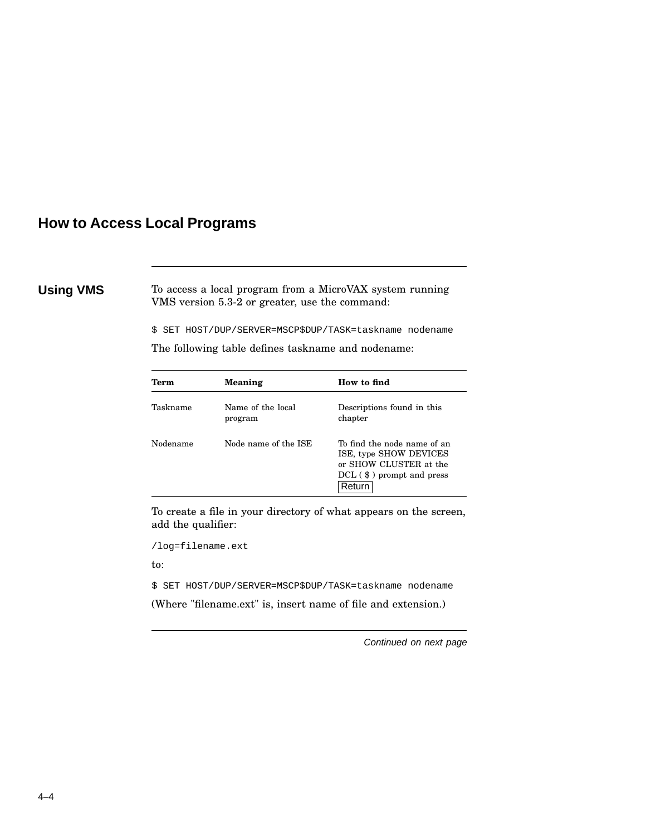### **How to Access Local Programs**

**Using VMS** To access a local program from a MicroVAX system running VMS version 5.3-2 or greater, use the command:

\$ SET HOST/DUP/SERVER=MSCP\$DUP/TASK=taskname nodename

The following table defines taskname and nodename:

| Term     | <b>Meaning</b>               | How to find                                                                                                                 |
|----------|------------------------------|-----------------------------------------------------------------------------------------------------------------------------|
| Taskname | Name of the local<br>program | Descriptions found in this<br>chapter                                                                                       |
| Nodename | Node name of the ISE         | To find the node name of an<br>ISE, type SHOW DEVICES<br>or SHOW CLUSTER at the<br>$DCL$ ( $\$ ) prompt and press<br>Return |

To create a file in your directory of what appears on the screen, add the qualifier:

/log=filename.ext

to:

\$ SET HOST/DUP/SERVER=MSCP\$DUP/TASK=taskname nodename

(Where "filename.ext" is, insert name of file and extension.)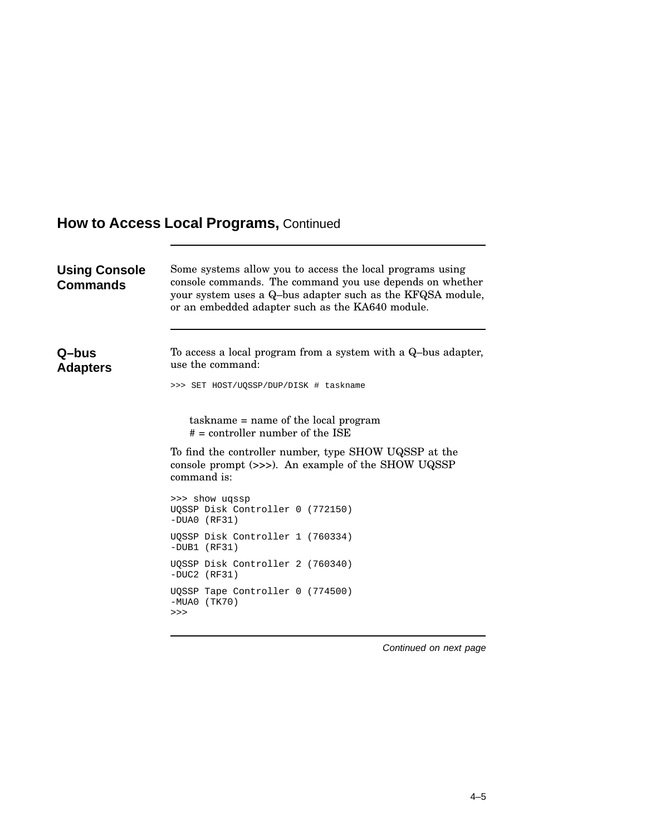| <b>Using Console</b><br><b>Commands</b> | Some systems allow you to access the local programs using<br>console commands. The command you use depends on whether<br>your system uses a Q-bus adapter such as the KFQSA module,<br>or an embedded adapter such as the KA640 module. |
|-----------------------------------------|-----------------------------------------------------------------------------------------------------------------------------------------------------------------------------------------------------------------------------------------|
| Q–bus<br><b>Adapters</b>                | To access a local program from a system with a Q-bus adapter,<br>use the command:<br>>>> SET HOST/UQSSP/DUP/DISK # taskname                                                                                                             |
|                                         | taskname = name of the local program<br>$# =$ controller number of the ISE<br>To find the controller number, type SHOW UQSSP at the                                                                                                     |
|                                         | console prompt (>>>). An example of the SHOW UQSSP<br>command is:                                                                                                                                                                       |
|                                         | >>> show ugssp<br>UQSSP Disk Controller 0 (772150)<br>$-DUAO (RF31)$                                                                                                                                                                    |
|                                         | UQSSP Disk Controller 1 (760334)<br>$-DUB1$ (RF31)                                                                                                                                                                                      |
|                                         | UQSSP Disk Controller 2 (760340)<br>$-DUC2$ (RF31)                                                                                                                                                                                      |
|                                         | UQSSP Tape Controller 0 (774500)<br>$-MUAO$ (TK70)<br>>>>                                                                                                                                                                               |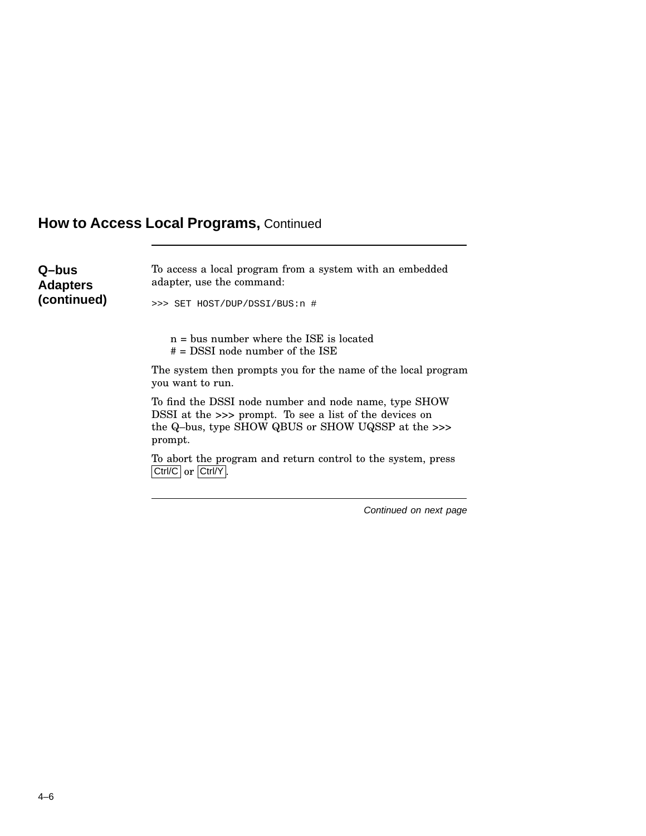| Q-bus<br><b>Adapters</b><br>(continued) | To access a local program from a system with an embedded<br>adapter, use the command:                                                                                             |
|-----------------------------------------|-----------------------------------------------------------------------------------------------------------------------------------------------------------------------------------|
|                                         | >>> SET HOST/DUP/DSSI/BUS:n #                                                                                                                                                     |
|                                         | $n =$ bus number where the ISE is located<br>$# =$ DSSI node number of the ISE                                                                                                    |
|                                         | The system then prompts you for the name of the local program<br>you want to run.                                                                                                 |
|                                         | To find the DSSI node number and node name, type SHOW<br>DSSI at the >>> prompt. To see a list of the devices on<br>the Q-bus, type SHOW QBUS or SHOW UQSSP at the >>><br>prompt. |
|                                         | To abort the program and return control to the system, press<br>Ctrl/C   or   Ctrl/Y                                                                                              |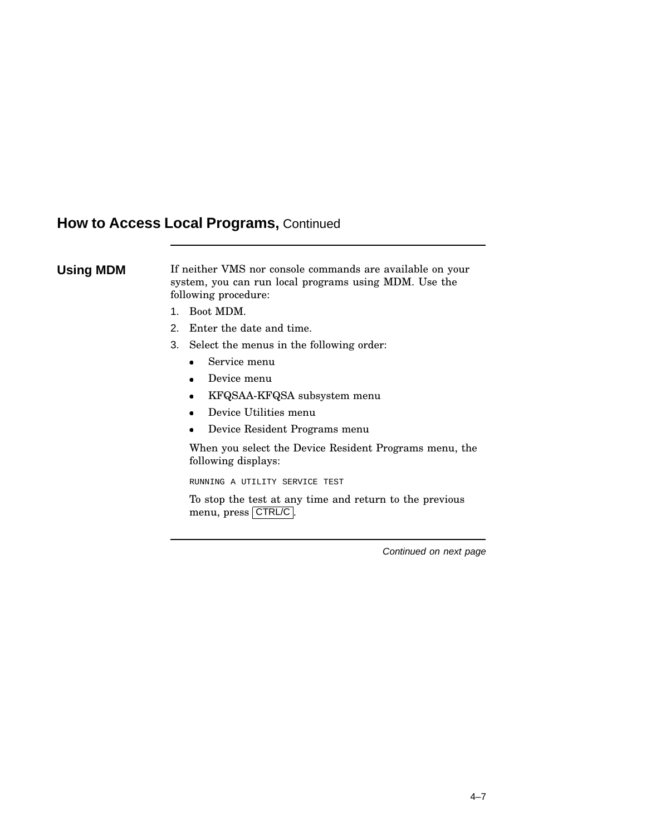### **Using MDM** If neither VMS nor console commands are available on your system, you can run local programs using MDM. Use the following procedure:

- 1. Boot MDM.
- 2. Enter the date and time.
- 3. Select the menus in the following order:
	- Service menu
	- Device menu
	- KFQSAA-KFQSA subsystem menu
	- Device Utilities menu
	- Device Resident Programs menu

When you select the Device Resident Programs menu, the following displays:

RUNNING A UTILITY SERVICE TEST

To stop the test at any time and return to the previous menu, press CTRL/C.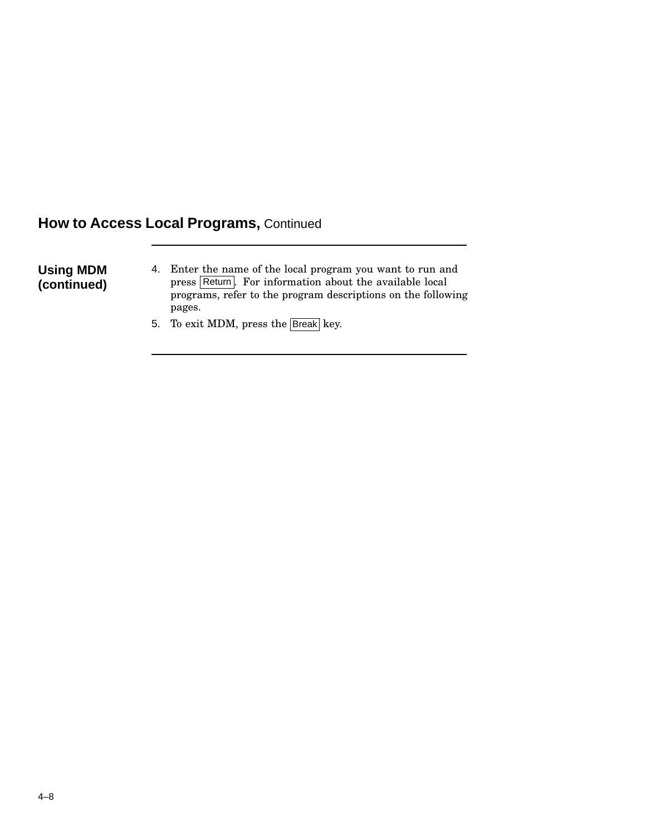**Using MDM (continued)**

- 4. Enter the name of the local program you want to run and press Return. For information about the available local programs, refer to the program descriptions on the following pages.
- 5. To exit MDM, press the Break key.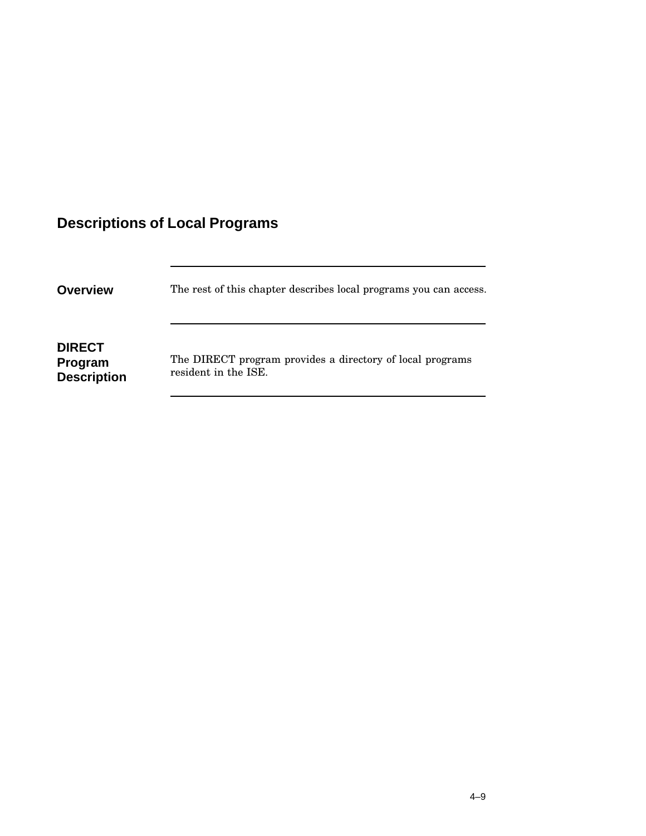## **Descriptions of Local Programs**

| <b>Overview</b>                                | The rest of this chapter describes local programs you can access.                 |
|------------------------------------------------|-----------------------------------------------------------------------------------|
| <b>DIRECT</b><br>Program<br><b>Description</b> | The DIRECT program provides a directory of local programs<br>resident in the ISE. |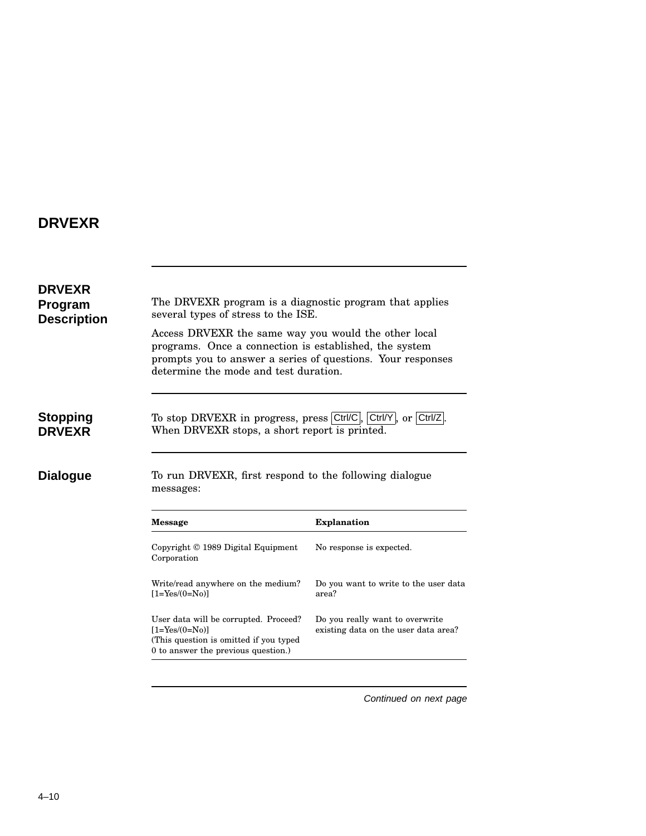## **DRVEXR**

| <b>DRVEXR</b><br>Program<br><b>Description</b> | The DRVEXR program is a diagnostic program that applies<br>several types of stress to the ISE.                                                                                                                         |                                                |  |
|------------------------------------------------|------------------------------------------------------------------------------------------------------------------------------------------------------------------------------------------------------------------------|------------------------------------------------|--|
|                                                | Access DRVEXR the same way you would the other local<br>programs. Once a connection is established, the system<br>prompts you to answer a series of questions. Your responses<br>determine the mode and test duration. |                                                |  |
| Stopping                                       | To stop DRVEXR in progress, press Ctrl/C, Ctrl/Y, or Ctrl/Z.                                                                                                                                                           |                                                |  |
| <b>DRVEXR</b>                                  | When DRVEXR stops, a short report is printed.                                                                                                                                                                          |                                                |  |
| <b>Dialogue</b>                                | To run DRVEXR, first respond to the following dialogue<br>messages:                                                                                                                                                    |                                                |  |
|                                                | <b>Message</b>                                                                                                                                                                                                         | <b>Explanation</b>                             |  |
|                                                | Copyright © 1989 Digital Equipment<br>Corporation                                                                                                                                                                      | No response is expected.                       |  |
|                                                | Write/read anywhere on the medium?<br>$[1 = Yes/(0 = No)]$                                                                                                                                                             | Do you want to write to the user data<br>area? |  |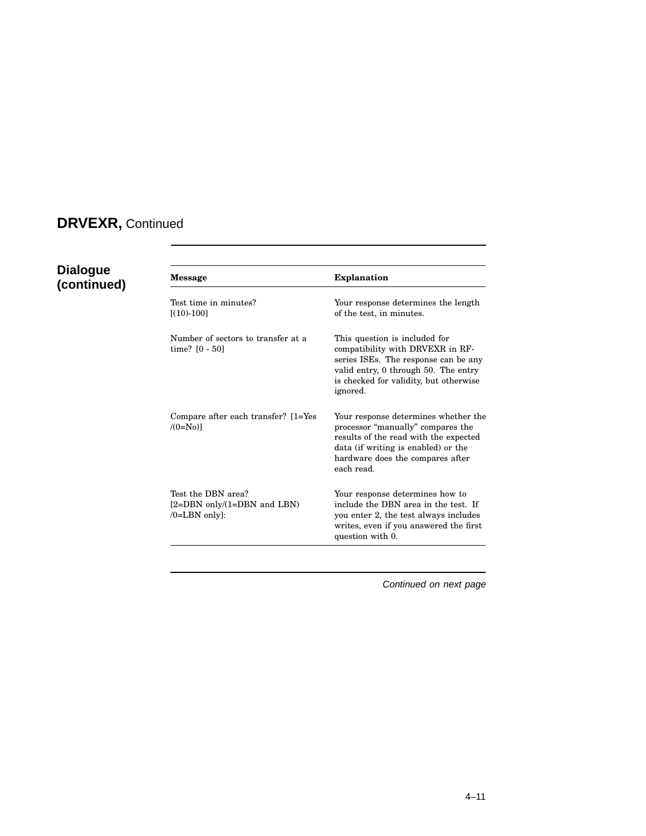## **DRVEXR,** Continued

# **Dialogue**

| <b>Dialogue</b><br>(continued) | Message                                                               | <b>Explanation</b>                                                                                                                                                                                          |
|--------------------------------|-----------------------------------------------------------------------|-------------------------------------------------------------------------------------------------------------------------------------------------------------------------------------------------------------|
|                                | Test time in minutes?<br>$[(10)-100]$                                 | Your response determines the length<br>of the test, in minutes.                                                                                                                                             |
|                                | Number of sectors to transfer at a<br>time? $[0 - 50]$                | This question is included for<br>compatibility with DRVEXR in RF-<br>series ISEs. The response can be any<br>valid entry, 0 through 50. The entry<br>is checked for validity, but otherwise<br>ignored.     |
|                                | Compare after each transfer? [1=Yes]<br>$/(0=N_0)$                    | Your response determines whether the<br>processor "manually" compares the<br>results of the read with the expected<br>data (if writing is enabled) or the<br>hardware does the compares after<br>each read. |
|                                | Test the DBN area?<br>[2=DBN only/(1=DBN and LBN)<br>$/O=$ LBN only]: | Your response determines how to<br>include the DBN area in the test. If<br>you enter 2, the test always includes<br>writes, even if you answered the first<br>question with 0.                              |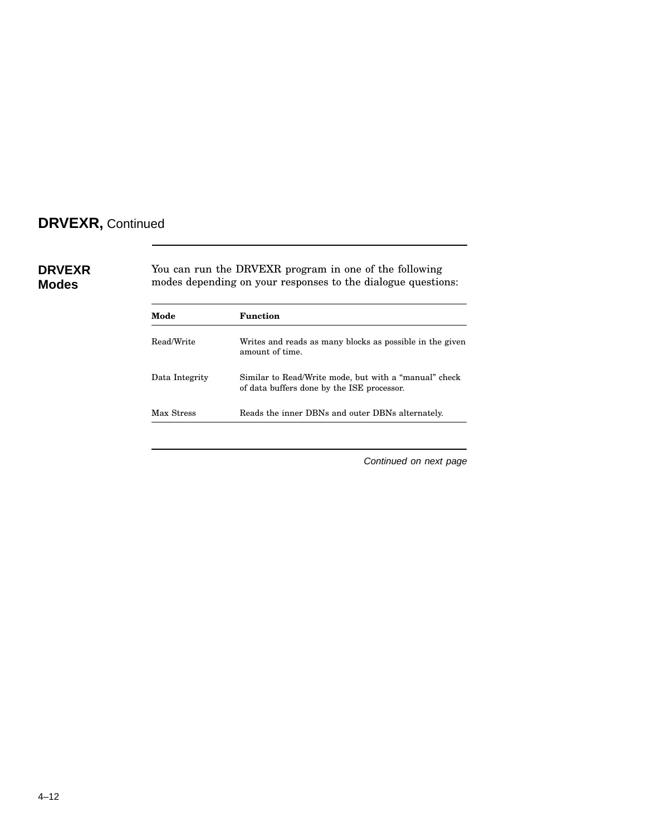## **DRVEXR,** Continued

| <b>DRVEXR</b><br><b>Modes</b> |                | You can run the DRVEXR program in one of the following<br>modes depending on your responses to the dialogue questions: |  |  |
|-------------------------------|----------------|------------------------------------------------------------------------------------------------------------------------|--|--|
|                               | Mode           | Function                                                                                                               |  |  |
|                               | Read/Write     | Writes and reads as many blocks as possible in the given<br>amount of time.                                            |  |  |
|                               | Data Integrity | Similar to Read/Write mode, but with a "manual" check<br>of data buffers done by the ISE processor.                    |  |  |
|                               | Max Stress     | Reads the inner DBNs and outer DBNs alternately.                                                                       |  |  |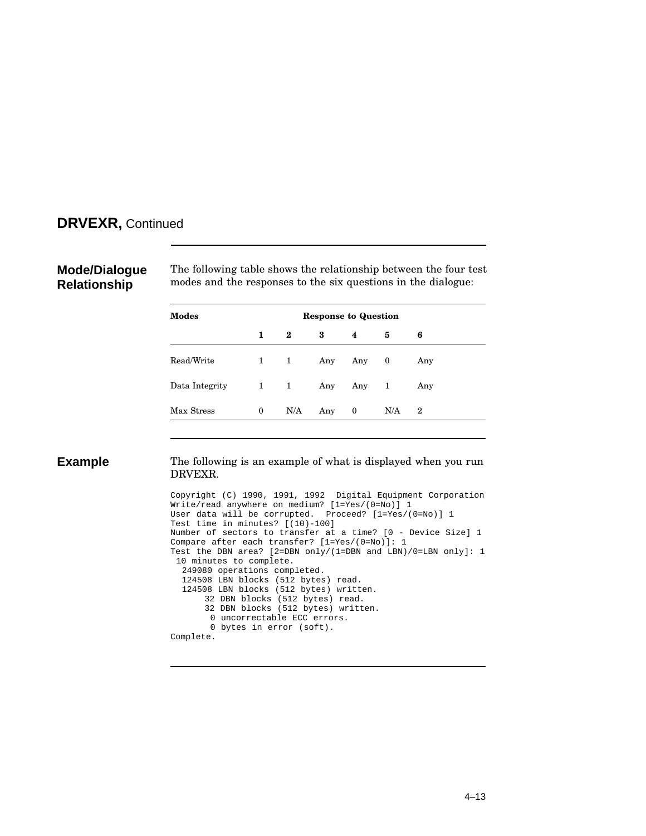### **DRVEXR,** Continued

### **Mode/Dialogue Relationship**

The following table shows the relationship between the four test modes and the responses to the six questions in the dialogue:

| Modes          | <b>Response to Question</b> |          |     |           |     |                  |  |
|----------------|-----------------------------|----------|-----|-----------|-----|------------------|--|
|                | 1                           | $\bf{2}$ | 3   | 4         | 5   | 6                |  |
| Read/Write     | $1 \quad 1$                 |          |     | Any Any 0 |     | Any              |  |
| Data Integrity | $1 \quad 1$                 |          |     | Any Any 1 |     | Any              |  |
| Max Stress     | $\mathbf{0}$                | N/A      | Any | $\bf{0}$  | N/A | $\boldsymbol{2}$ |  |

**Example** The following is an example of what is displayed when you run DRVEXR.

> Copyright (C) 1990, 1991, 1992 Digital Equipment Corporation Write/read anywhere on medium? [1=Yes/(0=No)] 1 User data will be corrupted. Proceed? [1=Yes/(0=No)] 1 Test time in minutes? [(10)-100] Number of sectors to transfer at a time? [0 - Device Size] 1 Compare after each transfer? [1=Yes/(0=No)]: 1 Test the DBN area? [2=DBN only/(1=DBN and LBN)/0=LBN only]: 1 10 minutes to complete. 249080 operations completed. 124508 LBN blocks (512 bytes) read. 124508 LBN blocks (512 bytes) written. 32 DBN blocks (512 bytes) read. 32 DBN blocks (512 bytes) written. 0 uncorrectable ECC errors. 0 bytes in error (soft). Complete.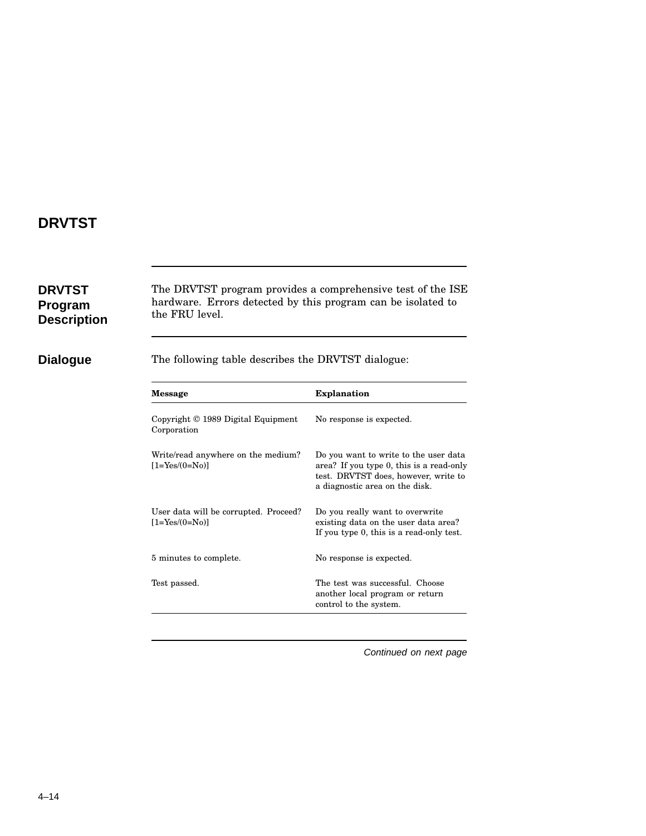## **DRVTST**

| <b>DRVTST</b><br><b>Program</b><br><b>Description</b> | The DRVTST program provides a comprehensive test of the ISE<br>hardware. Errors detected by this program can be isolated to<br>the FRU level. |                                                                                                                                                             |  |
|-------------------------------------------------------|-----------------------------------------------------------------------------------------------------------------------------------------------|-------------------------------------------------------------------------------------------------------------------------------------------------------------|--|
| <b>Dialogue</b>                                       | The following table describes the DRVTST dialogue:                                                                                            |                                                                                                                                                             |  |
|                                                       | <b>Message</b>                                                                                                                                | <b>Explanation</b>                                                                                                                                          |  |
|                                                       | Copyright © 1989 Digital Equipment<br>Corporation                                                                                             | No response is expected.                                                                                                                                    |  |
|                                                       | Write/read anywhere on the medium?<br>$[1 = Yes/(0 = No)]$                                                                                    | Do you want to write to the user data<br>area? If you type 0, this is a read-only<br>test. DRVTST does, however, write to<br>a diagnostic area on the disk. |  |
|                                                       | User data will be corrupted. Proceed?<br>$[1 = Yes/(0 = No)]$                                                                                 | Do you really want to overwrite<br>existing data on the user data area?<br>If you type 0, this is a read-only test.                                         |  |
|                                                       | 5 minutes to complete.                                                                                                                        | No response is expected.                                                                                                                                    |  |
|                                                       | Test passed.                                                                                                                                  | The test was successful. Choose<br>another local program or return<br>control to the system.                                                                |  |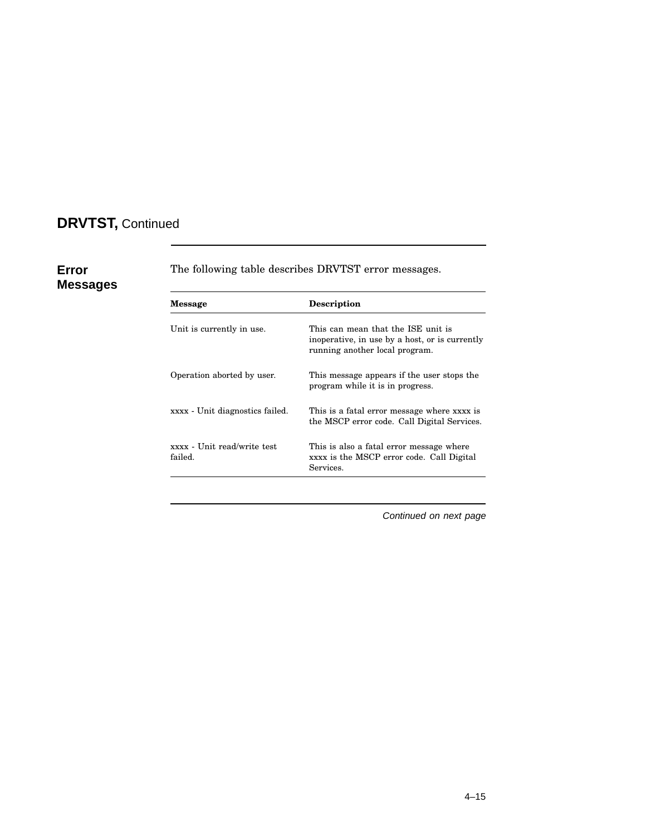## **DRVTST,** Continued

**Error**

**Messages**

| <b>Message</b>                         | <b>Description</b>                                                                                                     |
|----------------------------------------|------------------------------------------------------------------------------------------------------------------------|
| Unit is currently in use.              | This can mean that the ISE unit is<br>inoperative, in use by a host, or is currently<br>running another local program. |
| Operation aborted by user.             | This message appears if the user stops the<br>program while it is in progress.                                         |
| xxxx - Unit diagnostics failed.        | This is a fatal error message where xxxx is<br>the MSCP error code. Call Digital Services.                             |
| xxxx - Unit read/write test<br>failed. | This is also a fatal error message where<br>xxxx is the MSCP error code. Call Digital<br>Services.                     |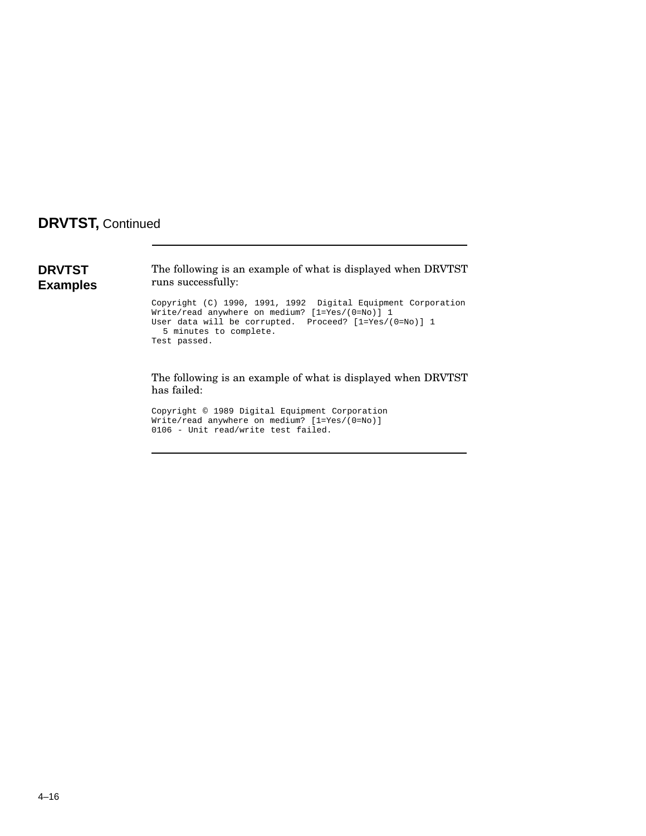### **DRVTST,** Continued

**DRVTST Examples** The following is an example of what is displayed when DRVTST runs successfully: Copyright (C) 1990, 1991, 1992 Digital Equipment Corporation Write/read anywhere on medium? [1=Yes/(0=No)] 1 User data will be corrupted. Proceed? [1=Yes/(0=No)] 1 5 minutes to complete. Test passed.

> The following is an example of what is displayed when DRVTST has failed:

Copyright © 1989 Digital Equipment Corporation Write/read anywhere on medium? [1=Yes/(0=No)] 0106 - Unit read/write test failed.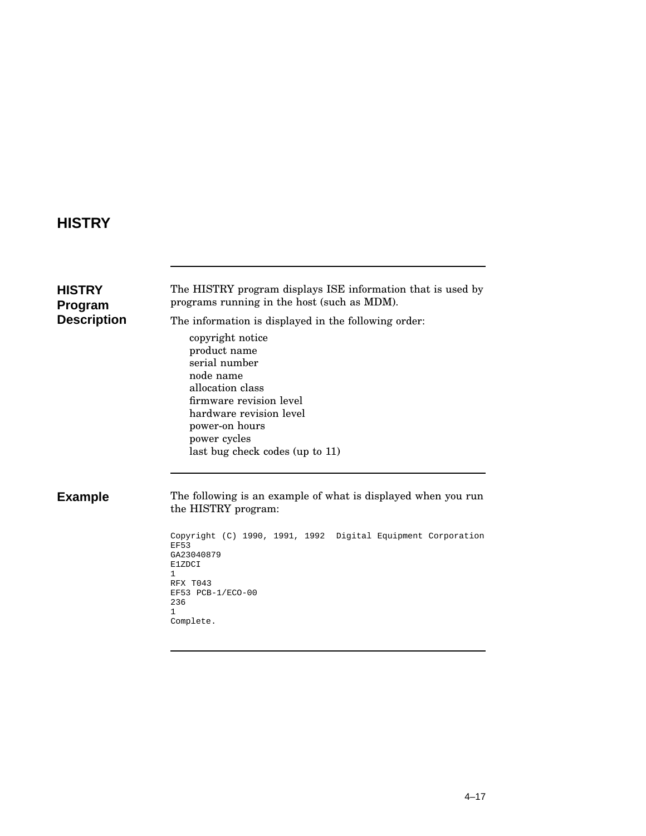## **HISTRY**

| HISTRY<br>Program<br><b>Description</b> | The HISTRY program displays ISE information that is used by<br>programs running in the host (such as MDM).<br>The information is displayed in the following order:<br>copyright notice<br>product name<br>serial number<br>node name<br>allocation class<br>firmware revision level<br>hardware revision level<br>power-on hours<br>power cycles<br>last bug check codes (up to 11) |
|-----------------------------------------|-------------------------------------------------------------------------------------------------------------------------------------------------------------------------------------------------------------------------------------------------------------------------------------------------------------------------------------------------------------------------------------|
| <b>Example</b>                          | The following is an example of what is displayed when you run<br>the HISTRY program:<br>Copyright (C) 1990, 1991, 1992 Digital Equipment Corporation<br><b>EF53</b><br>GA23040879<br>E1ZDCI<br>$\mathbf{1}$<br>RFX T043<br>EF53 PCB-1/ECO-00<br>236<br>1.<br>Complete.                                                                                                              |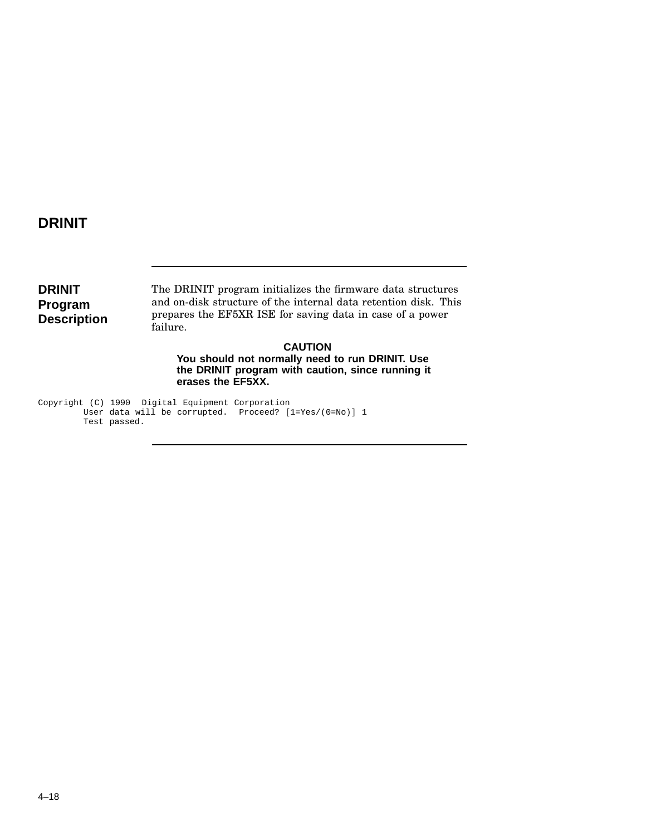### **DRINIT**

**DRINIT Program Description** The DRINIT program initializes the firmware data structures and on-disk structure of the internal data retention disk. This prepares the EF5XR ISE for saving data in case of a power failure.

**CAUTION You should not normally need to run DRINIT. Use the DRINIT program with caution, since running it erases the EF5XX.**

Copyright (C) 1990 Digital Equipment Corporation User data will be corrupted. Proceed? [1=Yes/(0=No)] 1 Test passed.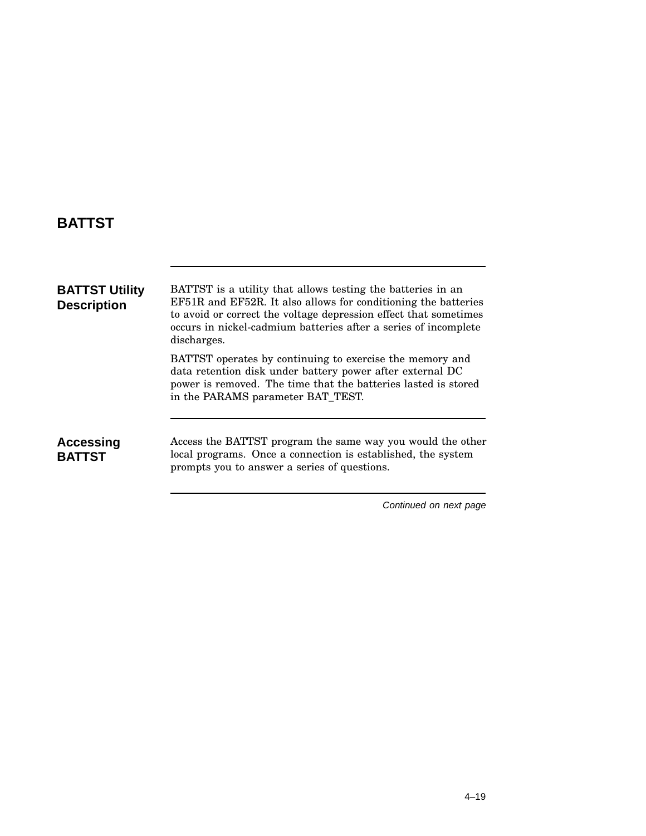### **BATTST**

| <b>BATTST Utility</b><br><b>Description</b> | BATTST is a utility that allows testing the batteries in an<br>EF51R and EF52R. It also allows for conditioning the batteries<br>to avoid or correct the voltage depression effect that sometimes<br>occurs in nickel-cadmium batteries after a series of incomplete<br>discharges. |
|---------------------------------------------|-------------------------------------------------------------------------------------------------------------------------------------------------------------------------------------------------------------------------------------------------------------------------------------|
|                                             | BATTST operates by continuing to exercise the memory and<br>data retention disk under battery power after external DC<br>power is removed. The time that the batteries lasted is stored<br>in the PARAMS parameter BAT_TEST.                                                        |
| Accessing<br><b>BATTST</b>                  | Access the BATTST program the same way you would the other<br>local programs. Once a connection is established, the system<br>prompts you to answer a series of questions.                                                                                                          |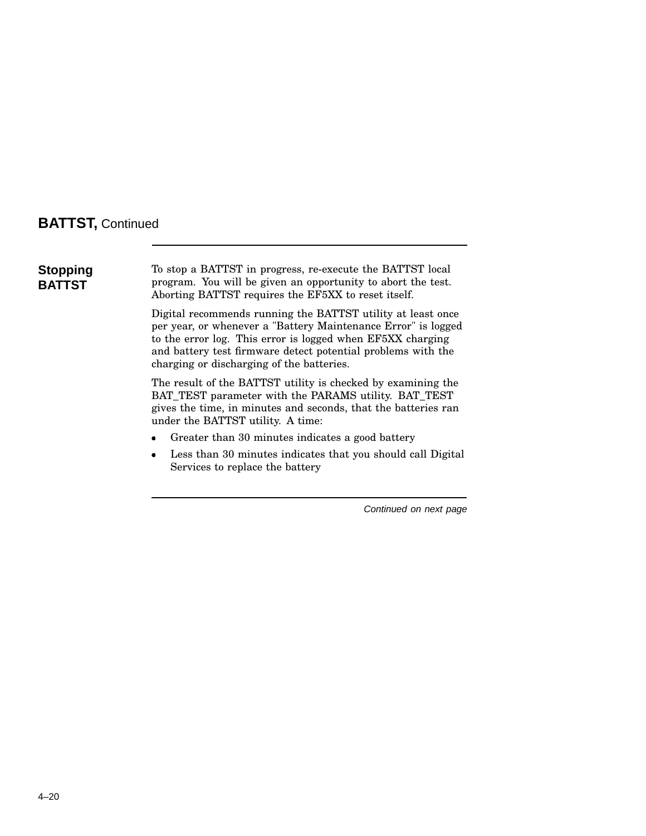### **BATTST,** Continued

**Stopping BATTST**

To stop a BATTST in progress, re-execute the BATTST local program. You will be given an opportunity to abort the test. Aborting BATTST requires the EF5XX to reset itself.

Digital recommends running the BATTST utility at least once per year, or whenever a "Battery Maintenance Error" is logged to the error log. This error is logged when EF5XX charging and battery test firmware detect potential problems with the charging or discharging of the batteries.

The result of the BATTST utility is checked by examining the BAT\_TEST parameter with the PARAMS utility. BAT\_TEST gives the time, in minutes and seconds, that the batteries ran under the BATTST utility. A time:

- Greater than 30 minutes indicates a good battery
- Less than 30 minutes indicates that you should call Digital Services to replace the battery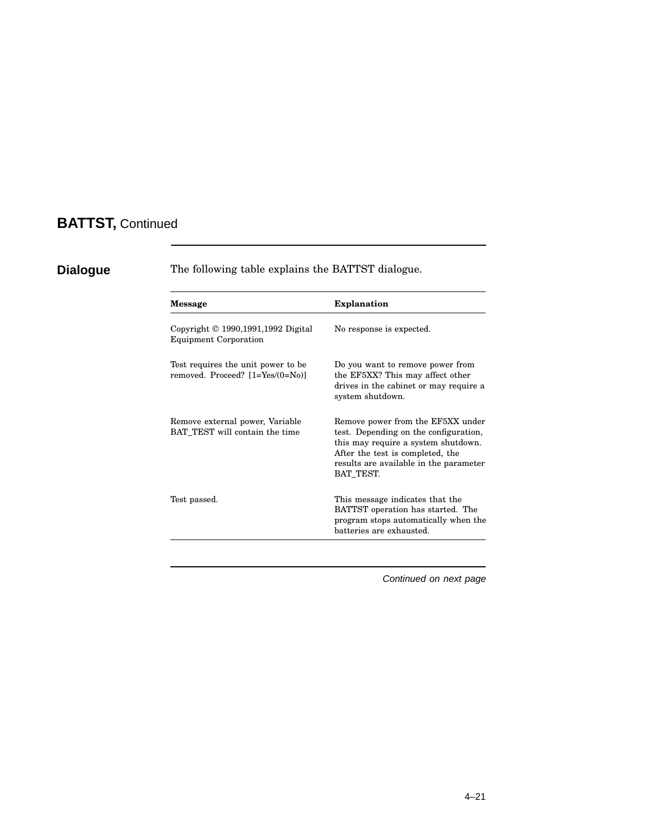## **BATTST,** Continued

| <b>Message</b>                                                               | <b>Explanation</b>                                                                                                                                                                                           |
|------------------------------------------------------------------------------|--------------------------------------------------------------------------------------------------------------------------------------------------------------------------------------------------------------|
| Copyright $\odot$ 1990, 1991, 1992 Digital<br><b>Equipment Corporation</b>   | No response is expected.                                                                                                                                                                                     |
| Test requires the unit power to be<br>removed. Proceed? $[1 = Yes/(0 = No)]$ | Do you want to remove power from<br>the EF5XX? This may affect other<br>drives in the cabinet or may require a<br>system shutdown.                                                                           |
| Remove external power, Variable<br>BAT_TEST will contain the time            | Remove power from the EF5XX under<br>test. Depending on the configuration,<br>this may require a system shutdown.<br>After the test is completed, the<br>results are available in the parameter<br>BAT_TEST. |
| Test passed.                                                                 | This message indicates that the<br>BATTST operation has started. The<br>program stops automatically when the<br>batteries are exhausted.                                                                     |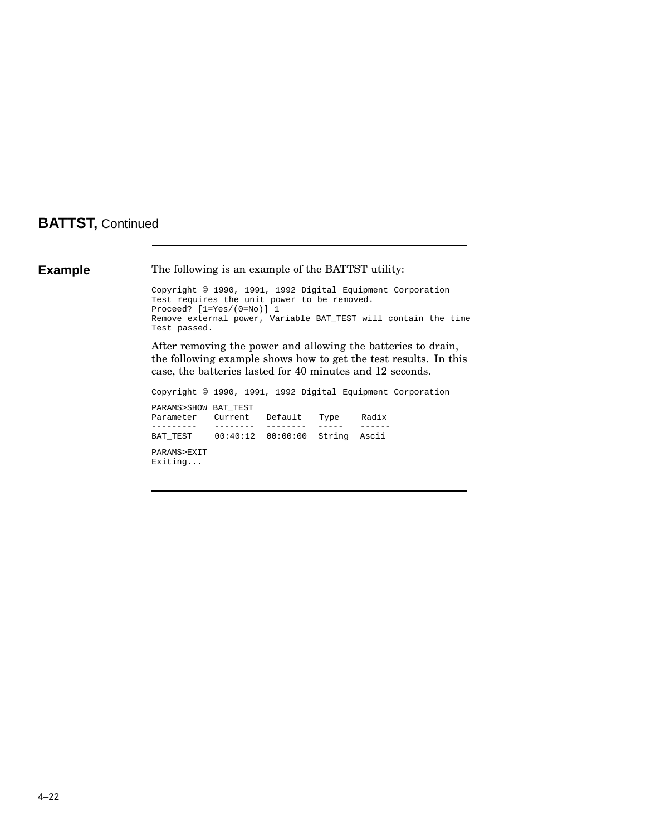### **BATTST,** Continued

**Example** The following is an example of the BATTST utility: Copyright © 1990, 1991, 1992 Digital Equipment Corporation Test requires the unit power to be removed. Proceed? [1=Yes/(0=No)] 1 Remove external power, Variable BAT\_TEST will contain the time Test passed. After removing the power and allowing the batteries to drain, the following example shows how to get the test results. In this case, the batteries lasted for 40 minutes and 12 seconds. Copyright © 1990, 1991, 1992 Digital Equipment Corporation PARAMS>SHOW BAT\_TEST Parameter Current Default Type Radix --------- -------- -------- ----- ------ 00:40:12 00:00:00 String Ascii PARAMS>EXIT Exiting...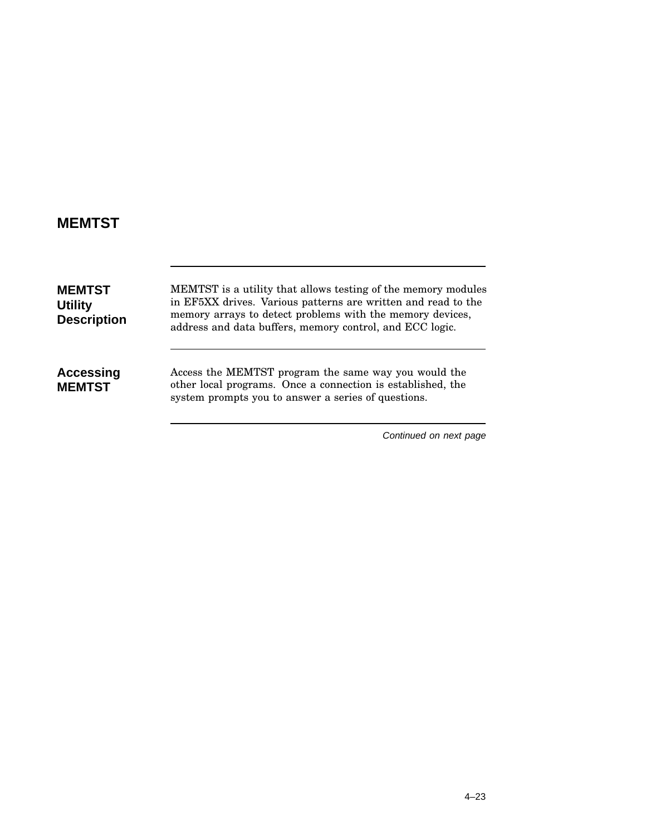# **MEMTST**

| <b>MEMTST</b><br><b>Utility</b><br><b>Description</b> | MEMTST is a utility that allows testing of the memory modules<br>in EF5XX drives. Various patterns are written and read to the<br>memory arrays to detect problems with the memory devices,<br>address and data buffers, memory control, and ECC logic. |
|-------------------------------------------------------|---------------------------------------------------------------------------------------------------------------------------------------------------------------------------------------------------------------------------------------------------------|
| Accessing<br><b>MEMTST</b>                            | Access the MEMTST program the same way you would the<br>other local programs. Once a connection is established, the<br>system prompts you to answer a series of questions.                                                                              |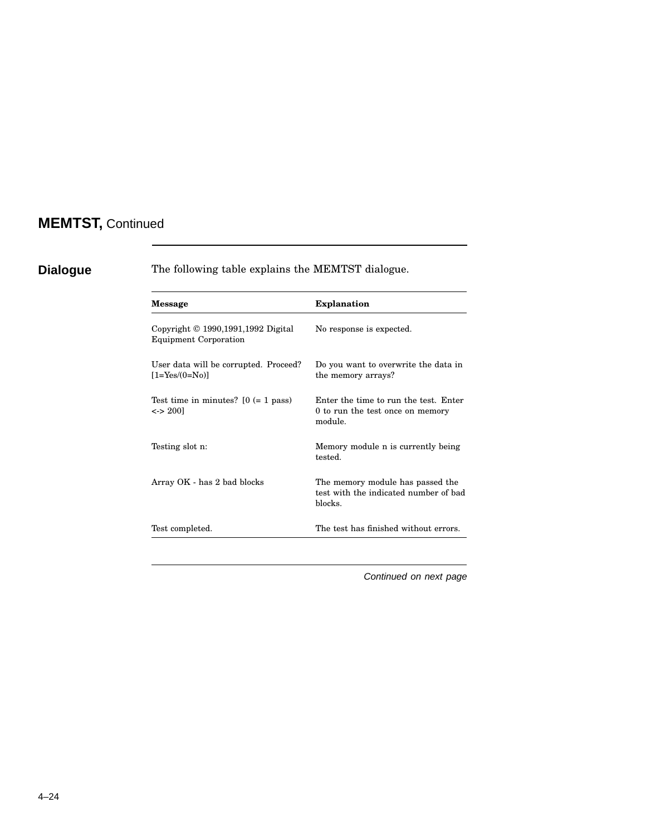# **MEMTST,** Continued

| <b>Message</b>                                                         | <b>Explanation</b>                                                                   |  |
|------------------------------------------------------------------------|--------------------------------------------------------------------------------------|--|
| Copyright $© 1990, 1991, 1992$ Digital<br><b>Equipment Corporation</b> | No response is expected.                                                             |  |
| User data will be corrupted. Proceed?<br>$[1 = Yes/(0 = No)]$          | Do you want to overwrite the data in<br>the memory arrays?                           |  |
| Test time in minutes? $[0 (= 1$ pass)<br>$\langle$ -> 2001             | Enter the time to run the test. Enter<br>0 to run the test once on memory<br>module. |  |
| Testing slot n:                                                        | Memory module n is currently being<br>tested.                                        |  |
| Array OK - has 2 bad blocks                                            | The memory module has passed the<br>test with the indicated number of bad<br>blocks. |  |
| Test completed.                                                        | The test has finished without errors.                                                |  |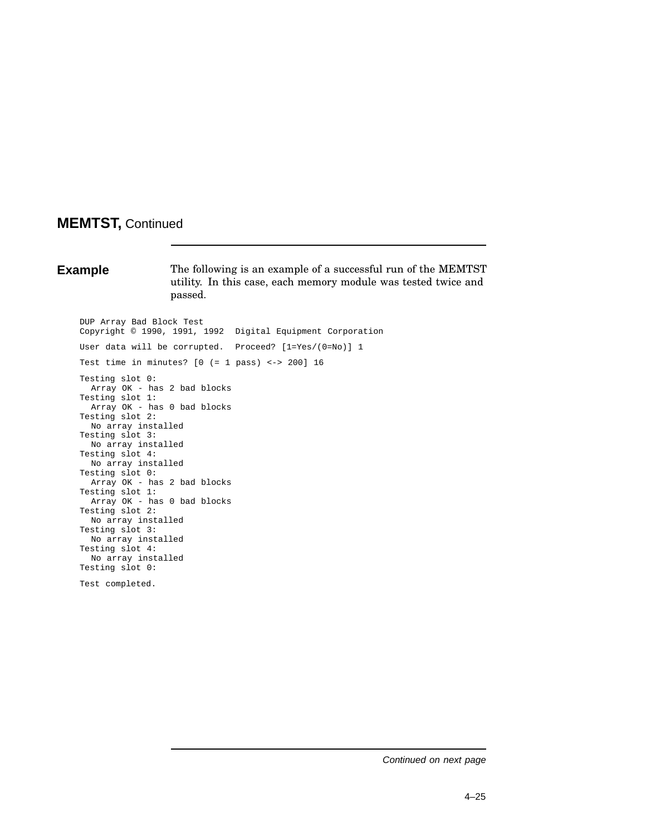# **MEMTST,** Continued

**Example** The following is an example of a successful run of the MEMTST utility. In this case, each memory module was tested twice and passed.

DUP Array Bad Block Test Copyright © 1990, 1991, 1992 Digital Equipment Corporation User data will be corrupted. Proceed? [1=Yes/(0=No)] 1 Test time in minutes? [0 (= 1 pass) <-> 200] 16 Testing slot 0: Array OK - has 2 bad blocks Testing slot 1: Array OK - has 0 bad blocks Testing slot 2: No array installed Testing slot 3: No array installed Testing slot 4: No array installed Testing slot 0: Array OK - has 2 bad blocks Testing slot 1: Array OK - has 0 bad blocks Testing slot 2: No array installed Testing slot 3: No array installed Testing slot 4: No array installed Testing slot 0: Test completed.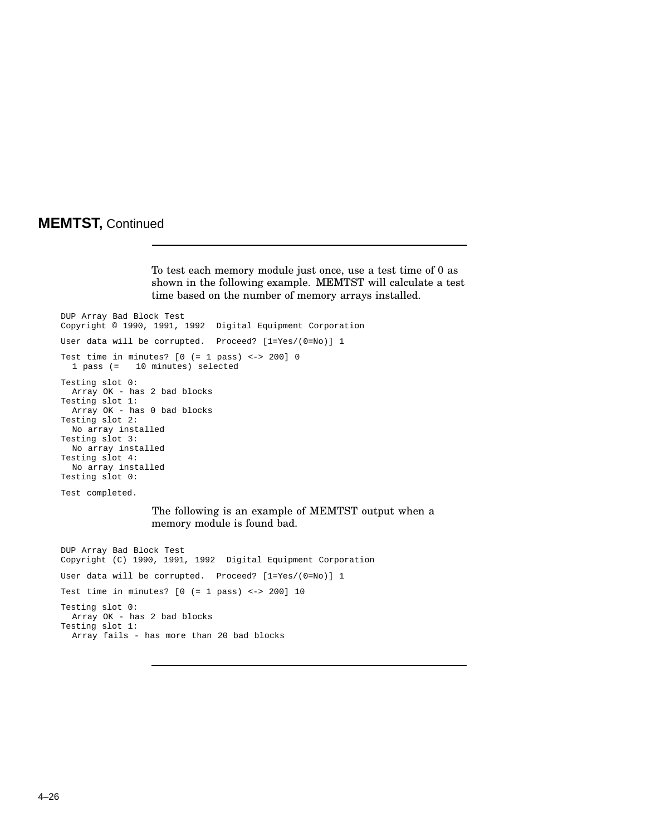# **MEMTST,** Continued

To test each memory module just once, use a test time of 0 as shown in the following example. MEMTST will calculate a test time based on the number of memory arrays installed.

DUP Array Bad Block Test Copyright © 1990, 1991, 1992 Digital Equipment Corporation User data will be corrupted. Proceed? [1=Yes/(0=No)] 1 Test time in minutes?  $[0 (= 1 \text{ pass}) < - > 200]$  0 1 pass (= 10 minutes) selected Testing slot 0: Array OK - has 2 bad blocks Testing slot 1: Array OK - has 0 bad blocks Testing slot 2: No array installed Testing slot 3: No array installed Testing slot 4: No array installed Testing slot 0: Test completed. The following is an example of MEMTST output when a memory module is found bad. DUP Array Bad Block Test Copyright (C) 1990, 1991, 1992 Digital Equipment Corporation User data will be corrupted. Proceed? [1=Yes/(0=No)] 1 Test time in minutes?  $[0 (= 1 \text{ pass}) \leftarrow > 200] 10$ Testing slot 0: Array OK - has 2 bad blocks Testing slot 1: Array fails - has more than 20 bad blocks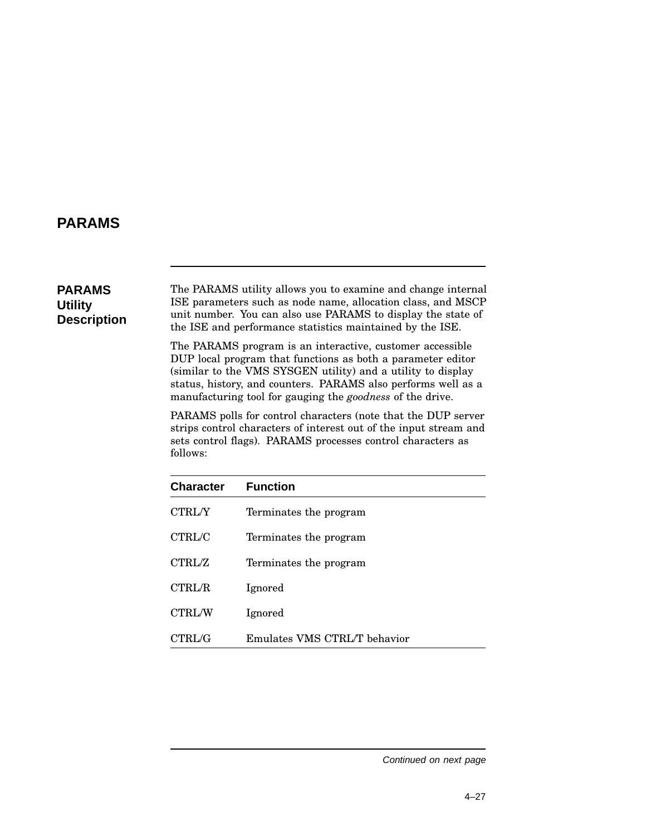# **PARAMS**

## **PARAMS Utility Description**

The PARAMS utility allows you to examine and change internal ISE parameters such as node name, allocation class, and MSCP unit number. You can also use PARAMS to display the state of the ISE and performance statistics maintained by the ISE.

The PARAMS program is an interactive, customer accessible DUP local program that functions as both a parameter editor (similar to the VMS SYSGEN utility) and a utility to display status, history, and counters. PARAMS also performs well as a manufacturing tool for gauging the *goodness* of the drive.

PARAMS polls for control characters (note that the DUP server strips control characters of interest out of the input stream and sets control flags). PARAMS processes control characters as follows:

| <b>Character</b> | <b>Function</b>              |
|------------------|------------------------------|
| <b>CTRL/Y</b>    | Terminates the program       |
| CTRL/C           | Terminates the program       |
| CTRL/Z           | Terminates the program       |
| <b>CTRL/R</b>    | Ignored                      |
| <b>CTRL/W</b>    | Ignored                      |
| CTRL/G           | Emulates VMS CTRL/T behavior |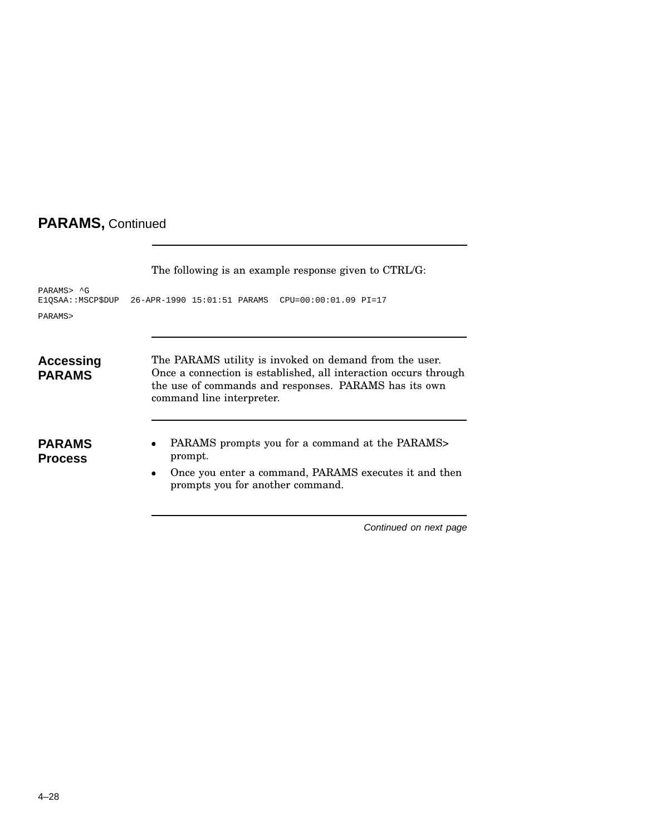|                                 | The following is an example response given to CTRL/G:                                                                                                                                                            |
|---------------------------------|------------------------------------------------------------------------------------------------------------------------------------------------------------------------------------------------------------------|
| PARAMS> ^G<br>E1QSAA::MSCP\$DUP | 26-APR-1990 15:01:51 PARAMS CPU=00:00:01.09 PI=17                                                                                                                                                                |
| PARAMS>                         |                                                                                                                                                                                                                  |
| Accessing<br><b>PARAMS</b>      | The PARAMS utility is invoked on demand from the user.<br>Once a connection is established, all interaction occurs through<br>the use of commands and responses. PARAMS has its own<br>command line interpreter. |
| <b>PARAMS</b><br><b>Process</b> | PARAMS prompts you for a command at the PARAMS><br>٠<br>prompt.<br>Once you enter a command, PARAMS executes it and then<br>$\bullet$<br>prompts you for another command.                                        |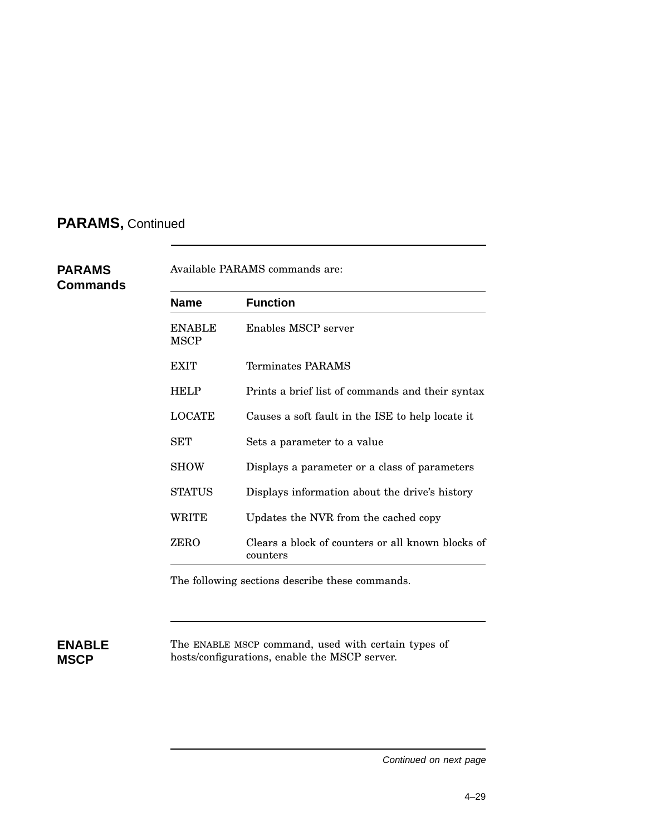**PARAMS Commands**

| Name                         | <b>Function</b>                                               |
|------------------------------|---------------------------------------------------------------|
| <b>ENABLE</b><br><b>MSCP</b> | Enables MSCP server                                           |
| <b>EXIT</b>                  | Terminates PARAMS                                             |
| <b>HELP</b>                  | Prints a brief list of commands and their syntax              |
| <b>LOCATE</b>                | Causes a soft fault in the ISE to help locate it              |
| SET                          | Sets a parameter to a value                                   |
| <b>SHOW</b>                  | Displays a parameter or a class of parameters                 |
| <b>STATUS</b>                | Displays information about the drive's history                |
| WRITE                        | Updates the NVR from the cached copy                          |
| ZERO                         | Clears a block of counters or all known blocks of<br>counters |

The following sections describe these commands.

## **ENABLE MSCP**

The ENABLE MSCP command, used with certain types of hosts/configurations, enable the MSCP server.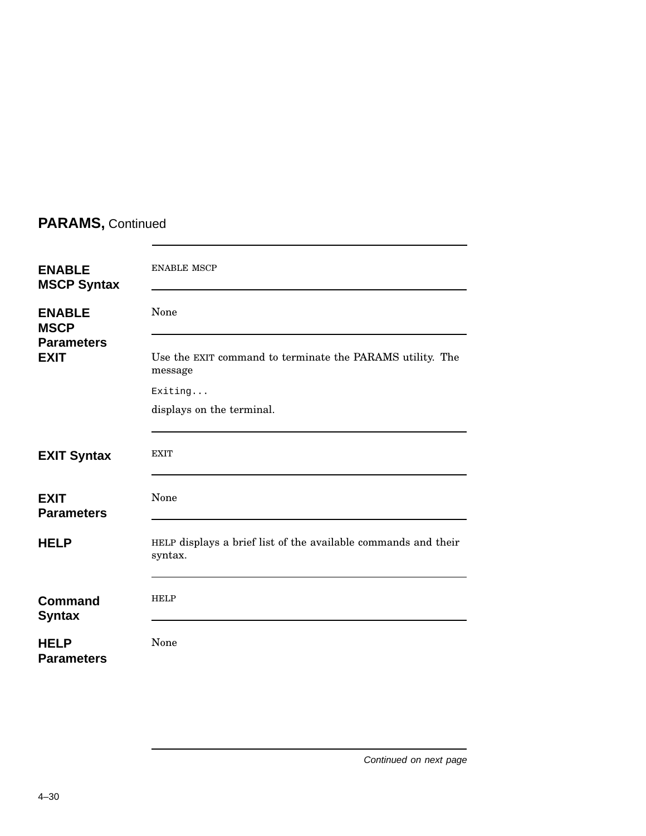| <b>ENABLE</b><br><b>MSCP Syntax</b> | <b>ENABLE MSCP</b>                                                        |
|-------------------------------------|---------------------------------------------------------------------------|
| <b>ENABLE</b><br><b>MSCP</b>        | None                                                                      |
| <b>Parameters</b><br><b>EXIT</b>    | Use the EXIT command to terminate the PARAMS utility. The<br>message      |
|                                     | Exiting                                                                   |
|                                     | displays on the terminal.                                                 |
| <b>EXIT Syntax</b>                  | <b>EXIT</b>                                                               |
| <b>EXIT</b><br><b>Parameters</b>    | None                                                                      |
| <b>HELP</b>                         | HELP displays a brief list of the available commands and their<br>syntax. |
| <b>Command</b><br><b>Syntax</b>     | <b>HELP</b>                                                               |
| <b>HELP</b><br><b>Parameters</b>    | None                                                                      |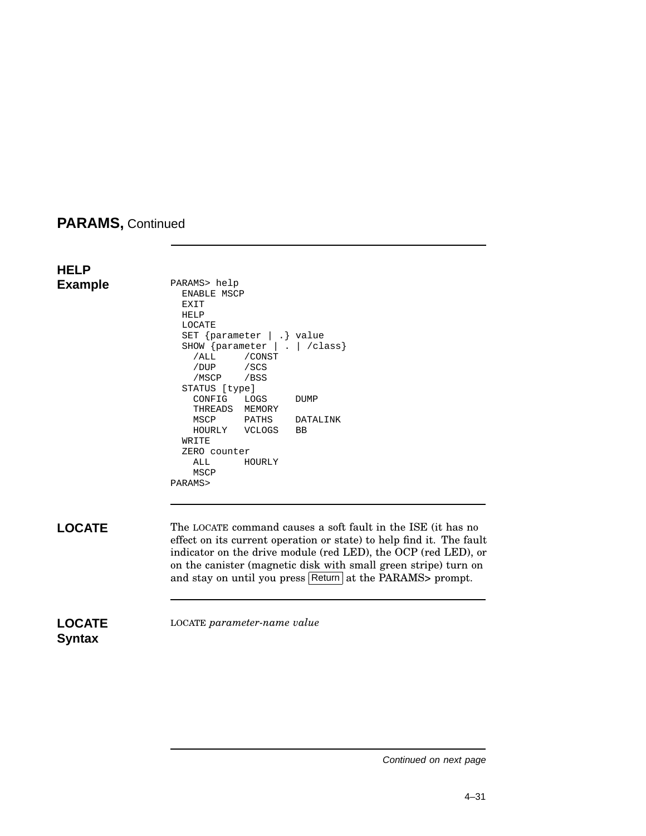**HELP Example** PARAMS> help ENABLE MSCP EXIT HELP LOCATE SET {parameter | .} value SHOW {parameter | . | /class}<br>
/ALL /CONST /CONST /DUP /SCS /MSCP /BSS STATUS [type] CONFIG LOGS DUMP THREADS MEMORY MSCP PATHS DATALINK<br>HOURLY VCLOGS BB VCLOGS WRITE ZERO counter ALL HOURLY MSCP PARAMS> **LOCATE** The LOCATE command causes a soft fault in the ISE (it has no effect on its current operation or state) to help find it. The fault indicator on the drive module (red LED), the OCP (red LED), or on the canister (magnetic disk with small green stripe) turn on and stay on until you press Return at the PARAMS> prompt. **LOCATE Syntax** LOCATE *parameter-name value*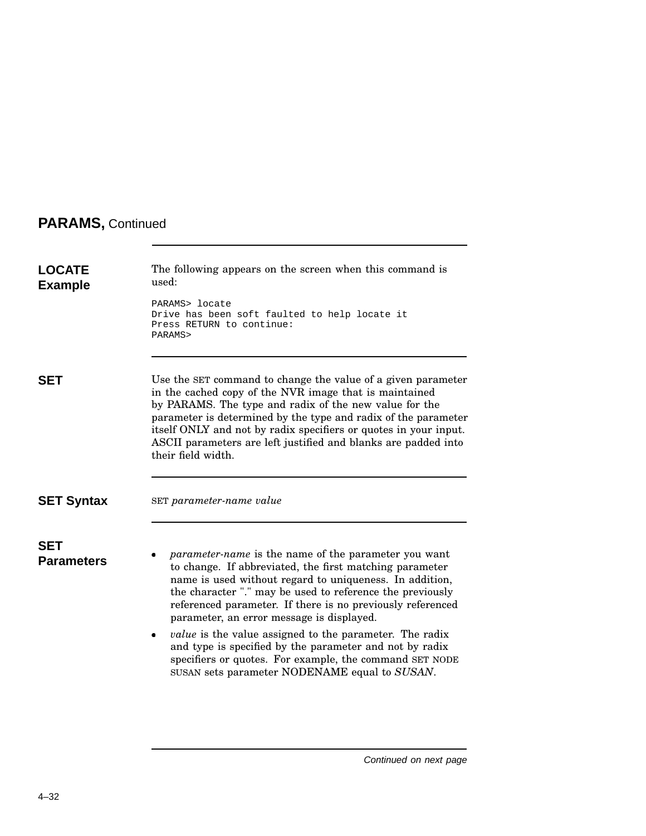| <b>LOCATE</b><br><b>Example</b> | The following appears on the screen when this command is<br>used:<br>PARAMS> locate<br>Drive has been soft faulted to help locate it                                                                                                                                                                                                                                                                                                                                                                                                                                                               |
|---------------------------------|----------------------------------------------------------------------------------------------------------------------------------------------------------------------------------------------------------------------------------------------------------------------------------------------------------------------------------------------------------------------------------------------------------------------------------------------------------------------------------------------------------------------------------------------------------------------------------------------------|
|                                 | Press RETURN to continue:<br>PARAMS>                                                                                                                                                                                                                                                                                                                                                                                                                                                                                                                                                               |
| <b>SET</b>                      | Use the SET command to change the value of a given parameter<br>in the cached copy of the NVR image that is maintained<br>by PARAMS. The type and radix of the new value for the<br>parameter is determined by the type and radix of the parameter<br>itself ONLY and not by radix specifiers or quotes in your input.<br>ASCII parameters are left justified and blanks are padded into<br>their field width.                                                                                                                                                                                     |
| <b>SET Syntax</b>               | SET parameter-name value                                                                                                                                                                                                                                                                                                                                                                                                                                                                                                                                                                           |
| <b>SET</b><br><b>Parameters</b> | <i>parameter-name</i> is the name of the parameter you want<br>to change. If abbreviated, the first matching parameter<br>name is used without regard to uniqueness. In addition,<br>the character "." may be used to reference the previously<br>referenced parameter. If there is no previously referenced<br>parameter, an error message is displayed.<br><i>value</i> is the value assigned to the parameter. The radix<br>and type is specified by the parameter and not by radix<br>specifiers or quotes. For example, the command SET NODE<br>SUSAN sets parameter NODENAME equal to SUSAN. |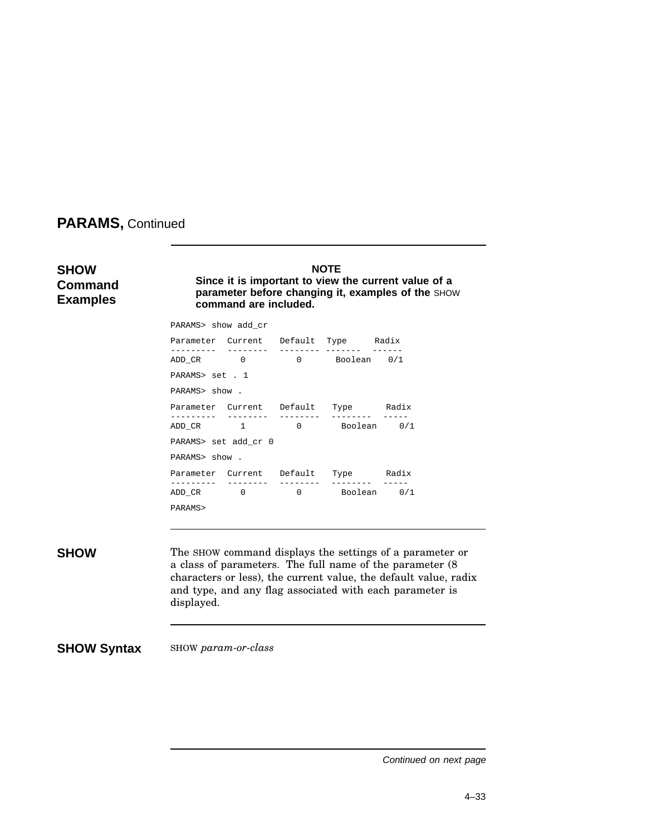| <b>SHOW</b><br><b>Command</b><br><b>Examples</b> | <b>NOTE</b><br>Since it is important to view the current value of a<br>parameter before changing it, examples of the SHOW<br>command are included. |                      |  |                                      |                                                                                                                                                                                                                                                       |  |
|--------------------------------------------------|----------------------------------------------------------------------------------------------------------------------------------------------------|----------------------|--|--------------------------------------|-------------------------------------------------------------------------------------------------------------------------------------------------------------------------------------------------------------------------------------------------------|--|
|                                                  | PARAMS> show add_cr                                                                                                                                |                      |  |                                      |                                                                                                                                                                                                                                                       |  |
|                                                  |                                                                                                                                                    |                      |  | Parameter Current Default Type Radix |                                                                                                                                                                                                                                                       |  |
|                                                  |                                                                                                                                                    |                      |  | ADD_CR 0 0 Boolean 0/1               |                                                                                                                                                                                                                                                       |  |
|                                                  | PARAMS> set . 1                                                                                                                                    |                      |  |                                      |                                                                                                                                                                                                                                                       |  |
|                                                  | PARAMS> show.                                                                                                                                      |                      |  |                                      |                                                                                                                                                                                                                                                       |  |
|                                                  |                                                                                                                                                    |                      |  | Parameter Current Default Type Radix |                                                                                                                                                                                                                                                       |  |
|                                                  |                                                                                                                                                    |                      |  | ADD_CR 1 0 Boolean 0/1               |                                                                                                                                                                                                                                                       |  |
|                                                  |                                                                                                                                                    | PARAMS> set add_cr 0 |  |                                      |                                                                                                                                                                                                                                                       |  |
|                                                  | PARAMS> show.                                                                                                                                      |                      |  |                                      |                                                                                                                                                                                                                                                       |  |
|                                                  |                                                                                                                                                    |                      |  | Parameter Current Default Type Radix | $- - - - -$                                                                                                                                                                                                                                           |  |
|                                                  |                                                                                                                                                    |                      |  | ADD_CR 0 0 0 Boolean 0/1             |                                                                                                                                                                                                                                                       |  |
|                                                  | PARAMS>                                                                                                                                            |                      |  |                                      |                                                                                                                                                                                                                                                       |  |
|                                                  |                                                                                                                                                    |                      |  |                                      |                                                                                                                                                                                                                                                       |  |
| <b>SHOW</b>                                      | displayed.                                                                                                                                         |                      |  |                                      | The SHOW command displays the settings of a parameter or<br>a class of parameters. The full name of the parameter (8)<br>characters or less), the current value, the default value, radix<br>and type, and any flag associated with each parameter is |  |
| <b>SHOW Syntax</b>                               |                                                                                                                                                    | SHOW param-or-class  |  |                                      |                                                                                                                                                                                                                                                       |  |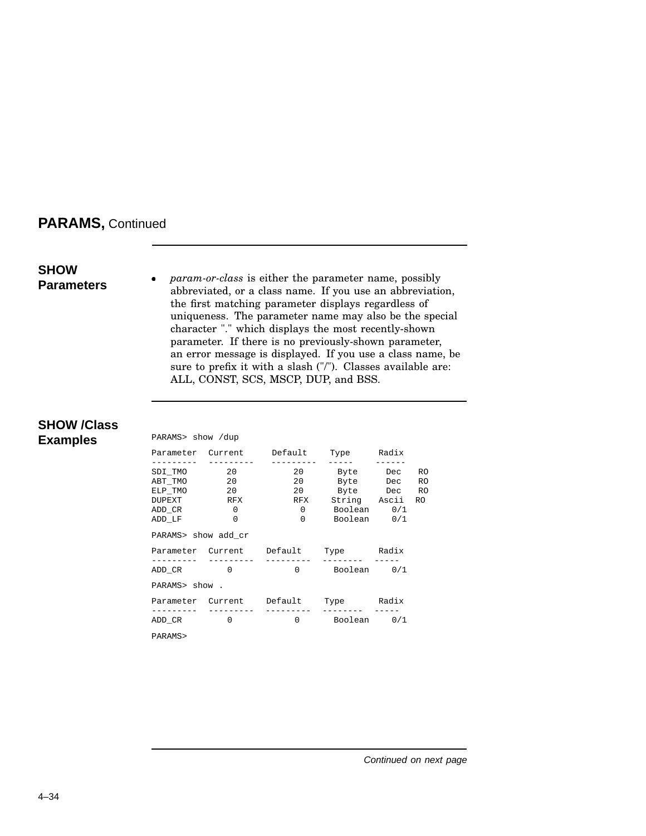## **SHOW Parameters**

*param-or-class* is either the parameter name, possibly abbreviated, or a class name. If you use an abbreviation, the first matching parameter displays regardless of uniqueness. The parameter name may also be the special character "." which displays the most recently-shown parameter. If there is no previously-shown parameter, an error message is displayed. If you use a class name, be sure to prefix it with a slash ("/"). Classes available are: ALL, CONST, SCS, MSCP, DUP, and BSS.

## **SHOW /Class Examples** PARAMS> show /dup

| PARAMS> | show |  |
|---------|------|--|
|         |      |  |

|                     | __________     __________ | Parameter Current Default            | Type          | Radix |           |
|---------------------|---------------------------|--------------------------------------|---------------|-------|-----------|
| SDI TMO             | 20                        |                                      | 20 Byte       | Dec   | <b>RO</b> |
| ABT TMO 20          |                           | 20                                   | Byte Dec      |       | <b>RO</b> |
| ELP TMO             | 20                        | 20                                   | Byte Dec RO   |       |           |
| DUPEXT              | RFX                       | RFX                                  | String Ascii  |       | RO.       |
| ADD CR              | $\mathbf{0}$              |                                      | 0 Boolean 0/1 |       |           |
| ADD LF              | $\Omega$                  |                                      | 0 Boolean 0/1 |       |           |
| PARAMS> show add_cr |                           |                                      |               |       |           |
|                     |                           |                                      |               |       |           |
|                     |                           | Parameter Current Default Type Radix |               |       |           |
| ADD CR 0            | ----------                |                                      | 0 Boolean 0/1 |       |           |
| PARAMS> show.       |                           |                                      |               |       |           |
|                     |                           | Parameter Current Default            | Type Radix    |       |           |
| ---------<br>ADD CR | $\Omega$                  |                                      | 0 Boolean 0/1 |       |           |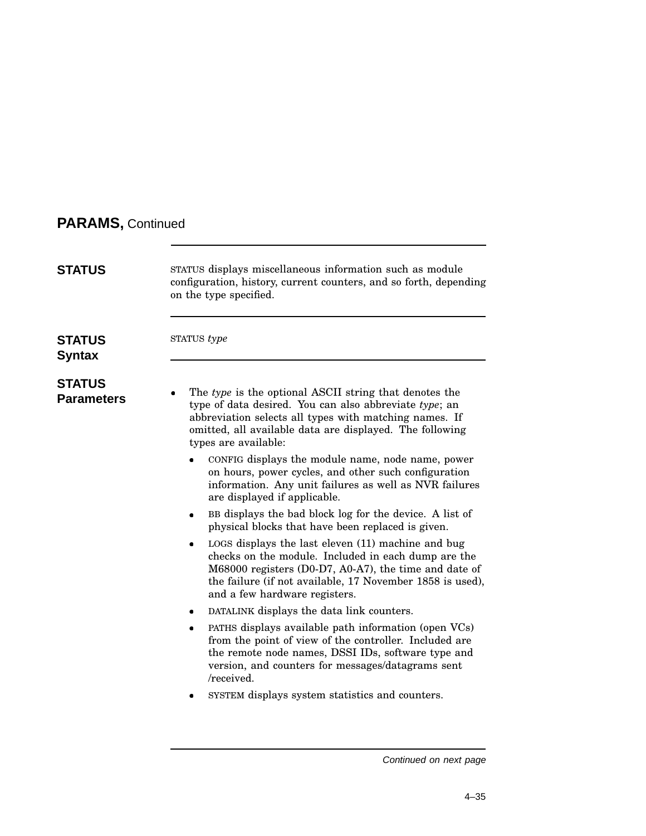| <b>STATUS</b>                      | STATUS displays miscellaneous information such as module<br>configuration, history, current counters, and so forth, depending<br>on the type specified.                                                                                                          |
|------------------------------------|------------------------------------------------------------------------------------------------------------------------------------------------------------------------------------------------------------------------------------------------------------------|
| <b>STATUS</b><br><b>Syntax</b>     | STATUS type                                                                                                                                                                                                                                                      |
| <b>STATUS</b><br><b>Parameters</b> | The type is the optional ASCII string that denotes the<br>type of data desired. You can also abbreviate type; an<br>abbreviation selects all types with matching names. If<br>omitted, all available data are displayed. The following<br>types are available:   |
|                                    | CONFIG displays the module name, node name, power<br>on hours, power cycles, and other such configuration<br>information. Any unit failures as well as NVR failures<br>are displayed if applicable.                                                              |
|                                    | BB displays the bad block log for the device. A list of<br>physical blocks that have been replaced is given.                                                                                                                                                     |
|                                    | LOGS displays the last eleven (11) machine and bug<br>checks on the module. Included in each dump are the<br>M68000 registers (D0-D7, A0-A7), the time and date of<br>the failure (if not available, 17 November 1858 is used),<br>and a few hardware registers. |
|                                    | DATALINK displays the data link counters.                                                                                                                                                                                                                        |
|                                    | PATHS displays available path information (open VCs)<br>from the point of view of the controller. Included are<br>the remote node names, DSSI IDs, software type and<br>version, and counters for messages/datagrams sent<br>/received.                          |
|                                    | SYSTEM displays system statistics and counters.                                                                                                                                                                                                                  |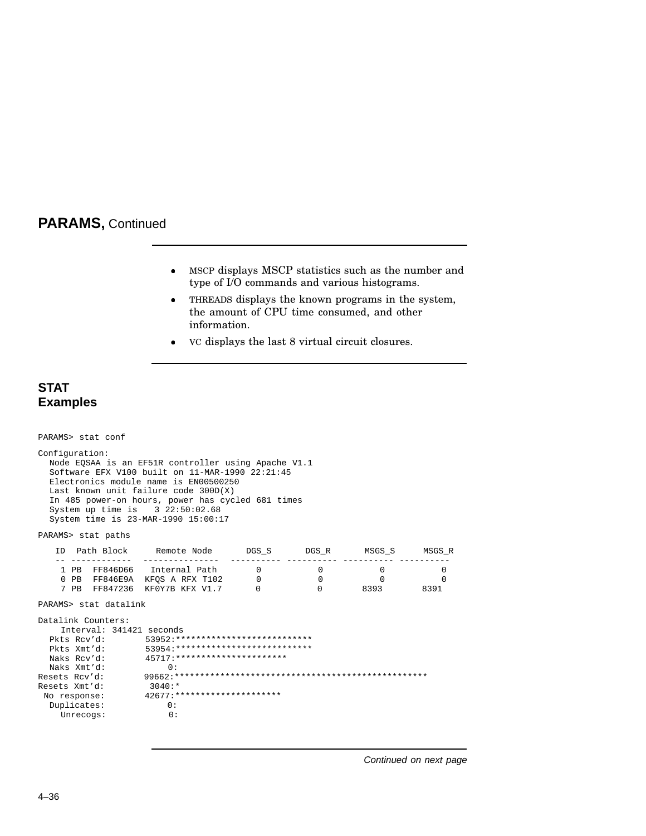- MSCP displays MSCP statistics such as the number and type of I/O commands and various histograms.
- THREADS displays the known programs in the system, the amount of CPU time consumed, and other information.
- VC displays the last 8 virtual circuit closures.

## **STAT Examples**

```
PARAMS> stat conf
Configuration:
  Node EQSAA is an EF51R controller using Apache V1.1
  Software EFX V100 built on 11-MAR-1990 22:21:45
  Electronics module name is EN00500250
  Last known unit failure code 300D(X)
  In 485 power-on hours, power has cycled 681 times
  System up time is 3 22:50:02.68
  System time is 23-MAR-1990 15:00:17
PARAMS> stat paths
   ID Path Block Remote Node DGS_S DGS_R MSGS_S MSGS_R
    -- ------------ --------------- ---------- ---------- ---------- ----------
                                        \begin{array}{ccccccc} 0 & & & 0 & & & 0 & & & 0 \ 0 & & & 0 & & & & 0 & & 0 \ 0 & & & & 0 & & & 8393 & & 8391 \end{array}0 PB FF846E9A KFQS A RFX T102 0 0 0 0
    7 PB FF847236 KF0Y7B KFX V1.7
PARAMS> stat datalink
Datalink Counters:
  Interval: 341421 seconds<br>Pkts Rev'd: 53952:**
  Pkts Rcv'd: 53952:***************************
  Pkts Xmt'd: 53954:***************************
                     Naks Rcv'd: 45717:**********************
Naks Xmt'd: 0:<br>Resets Rcv'd: 99662:*
                    Resets Rcv'd: 99662:**************************************************
Resets Xmt'd:<br>No response:
                      No response: 42677:*********************
  Duplicates:
    Unrecogs: 0:
```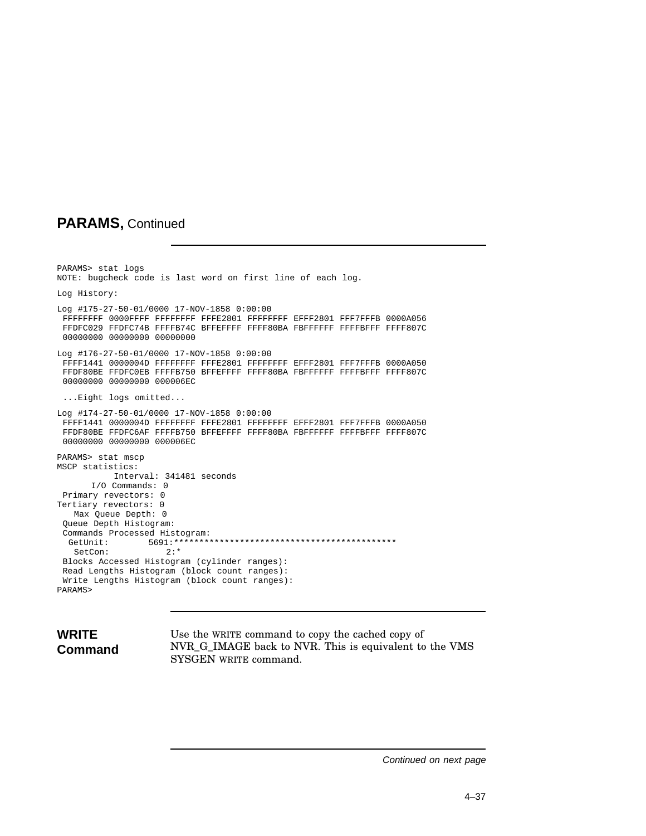PARAMS> stat logs NOTE: bugcheck code is last word on first line of each log. Log History: Log #175-27-50-01/0000 17-NOV-1858 0:00:00 FFFFFFFF 0000FFFF FFFFFFFF FFFE2801 FFFFFFFF EFFF2801 FFF7FFFB 0000A056 FFDFC029 FFDFC74B FFFFB74C BFFEFFFF FFFF80BA FBFFFFFF FFFFBFFF FFFF807C 00000000 00000000 00000000 Log #176-27-50-01/0000 17-NOV-1858 0:00:00 FFFF1441 0000004D FFFFFFFF FFFE2801 FFFFFFFF EFFF2801 FFF7FFFB 0000A050 FFDF80BE FFDFC0EB FFFFB750 BFFEFFFF FFFF80BA FBFFFFFF FFFFBFFF FFFF807C 00000000 00000000 000006EC ...Eight logs omitted... Log #174-27-50-01/0000 17-NOV-1858 0:00:00 FFFF1441 0000004D FFFFFFFF FFFE2801 FFFFFFFF EFFF2801 FFF7FFFB 0000A050 FFDF80BE FFDFC6AF FFFFB750 BFFEFFFF FFFF80BA FBFFFFFF FFFFBFFF FFFF807C 00000000 00000000 000006EC PARAMS> stat mscp MSCP statistics: Interval: 341481 seconds I/O Commands: 0 Primary revectors: 0 Tertiary revectors: 0 Max Queue Depth: 0 Queue Depth Histogram: Commands Processed Histogram: GetUnit: 5691:\*\*\*\*\*\*\*\*\*\*\*\*\*\*\*\*\*\*\*\*\*\*\*\*\*\*\*\*\*\*\*\*\*\*\*\*\*\*\*\*\*\*\*\* SetCon: Blocks Accessed Histogram (cylinder ranges): Read Lengths Histogram (block count ranges): Write Lengths Histogram (block count ranges): PARAMS>

# **WRITE Command**

Use the WRITE command to copy the cached copy of NVR\_G\_IMAGE back to NVR. This is equivalent to the VMS SYSGEN WRITE command.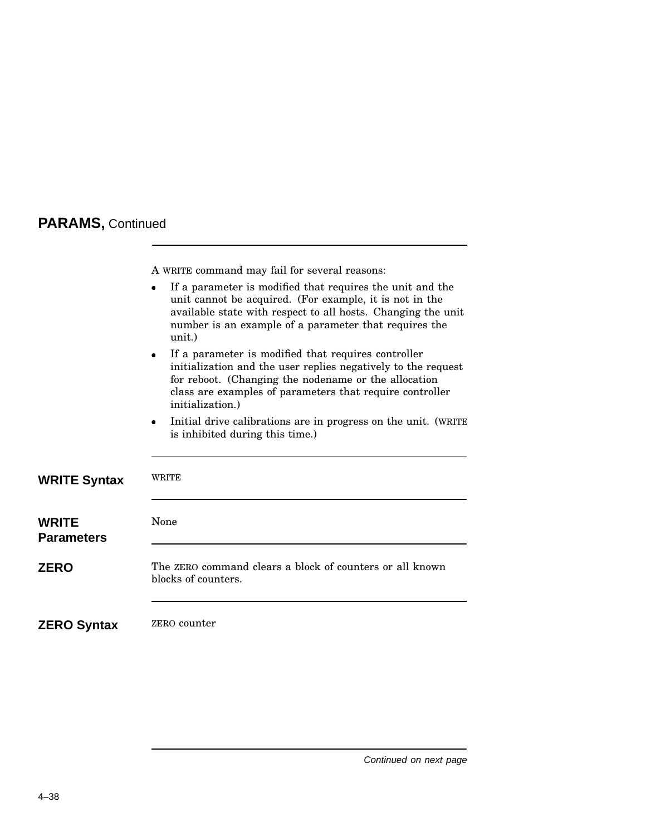A WRITE command may fail for several reasons:

|                                   | If a parameter is modified that requires the unit and the<br>unit cannot be acquired. (For example, it is not in the<br>available state with respect to all hosts. Changing the unit<br>number is an example of a parameter that requires the<br>unit.)                   |
|-----------------------------------|---------------------------------------------------------------------------------------------------------------------------------------------------------------------------------------------------------------------------------------------------------------------------|
|                                   | If a parameter is modified that requires controller<br>$\bullet$<br>initialization and the user replies negatively to the request<br>for reboot. (Changing the nodename or the allocation<br>class are examples of parameters that require controller<br>initialization.) |
|                                   | Initial drive calibrations are in progress on the unit. (WRITE<br>$\bullet$<br>is inhibited during this time.)                                                                                                                                                            |
| <b>WRITE Syntax</b>               | <b>WRITE</b>                                                                                                                                                                                                                                                              |
| <b>WRITE</b><br><b>Parameters</b> | None                                                                                                                                                                                                                                                                      |
| <b>ZERO</b>                       | The ZERO command clears a block of counters or all known<br>blocks of counters.                                                                                                                                                                                           |
| <b>ZERO Syntax</b>                | ZERO counter                                                                                                                                                                                                                                                              |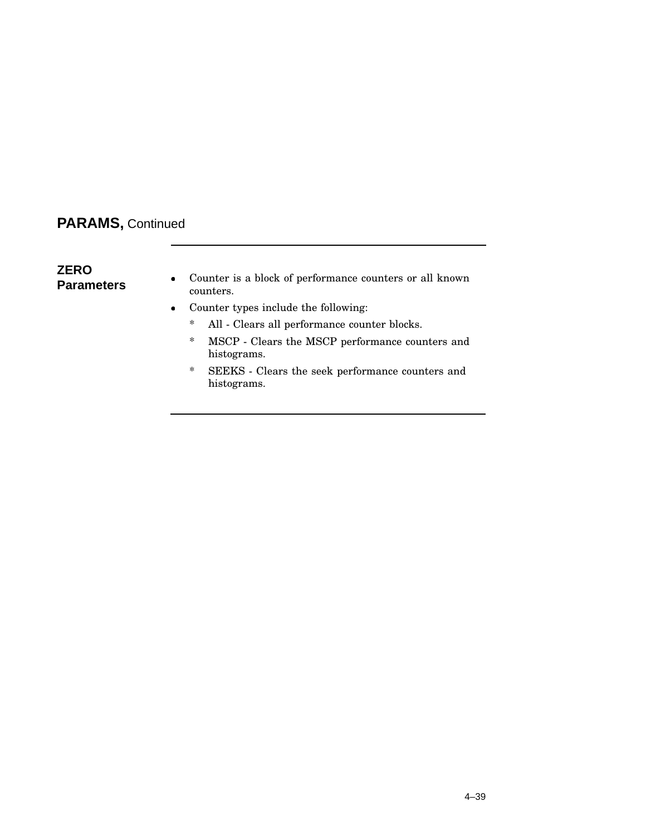## **ZERO Parameters**

- Counter is a block of performance counters or all known counters.
- Counter types include the following:
	- \* All Clears all performance counter blocks.
	- \* MSCP Clears the MSCP performance counters and histograms.
	- \* SEEKS Clears the seek performance counters and histograms.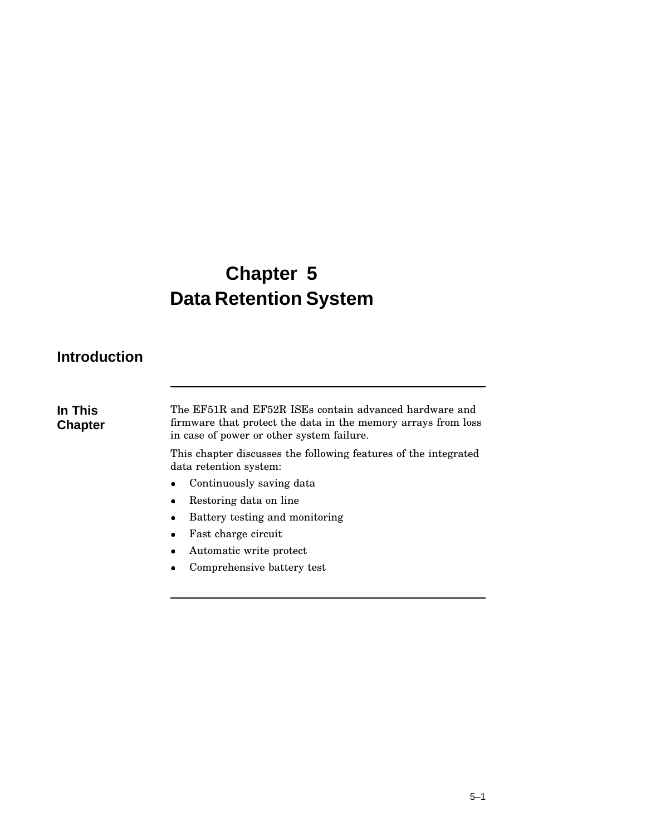# **Chapter 5 Data Retention System**

# **Introduction**

**In This Chapter** The EF51R and EF52R ISEs contain advanced hardware and firmware that protect the data in the memory arrays from loss in case of power or other system failure.

This chapter discusses the following features of the integrated data retention system:

- Continuously saving data
- Restoring data on line
- Battery testing and monitoring
- Fast charge circuit
- Automatic write protect
- Comprehensive battery test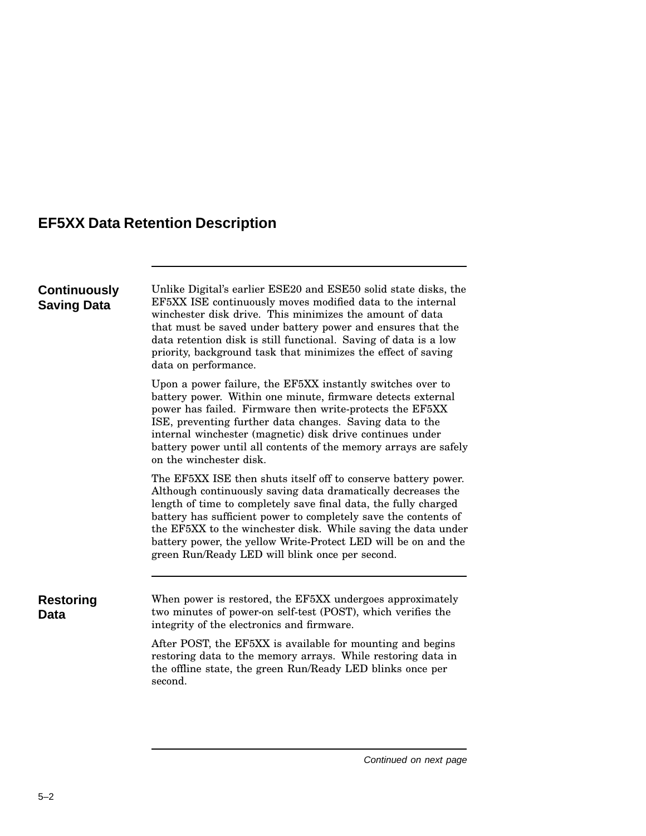# **EF5XX Data Retention Description**

| <b>Continuously</b><br><b>Saving Data</b> | Unlike Digital's earlier ESE20 and ESE50 solid state disks, the<br>EF5XX ISE continuously moves modified data to the internal<br>winchester disk drive. This minimizes the amount of data<br>that must be saved under battery power and ensures that the<br>data retention disk is still functional. Saving of data is a low<br>priority, background task that minimizes the effect of saving<br>data on performance.                                      |  |  |
|-------------------------------------------|------------------------------------------------------------------------------------------------------------------------------------------------------------------------------------------------------------------------------------------------------------------------------------------------------------------------------------------------------------------------------------------------------------------------------------------------------------|--|--|
|                                           | Upon a power failure, the EF5XX instantly switches over to<br>battery power. Within one minute, firmware detects external<br>power has failed. Firmware then write-protects the EF5XX<br>ISE, preventing further data changes. Saving data to the<br>internal winchester (magnetic) disk drive continues under<br>battery power until all contents of the memory arrays are safely<br>on the winchester disk.                                              |  |  |
|                                           | The EF5XX ISE then shuts itself off to conserve battery power.<br>Although continuously saving data dramatically decreases the<br>length of time to completely save final data, the fully charged<br>battery has sufficient power to completely save the contents of<br>the EF5XX to the winchester disk. While saving the data under<br>battery power, the yellow Write-Protect LED will be on and the<br>green Run/Ready LED will blink once per second. |  |  |
| <b>Restoring</b><br><b>Data</b>           | When power is restored, the EF5XX undergoes approximately<br>two minutes of power-on self-test (POST), which verifies the<br>integrity of the electronics and firmware.                                                                                                                                                                                                                                                                                    |  |  |
|                                           | After POST, the EF5XX is available for mounting and begins<br>restoring data to the memory arrays. While restoring data in<br>the offline state, the green Run/Ready LED blinks once per<br>second.                                                                                                                                                                                                                                                        |  |  |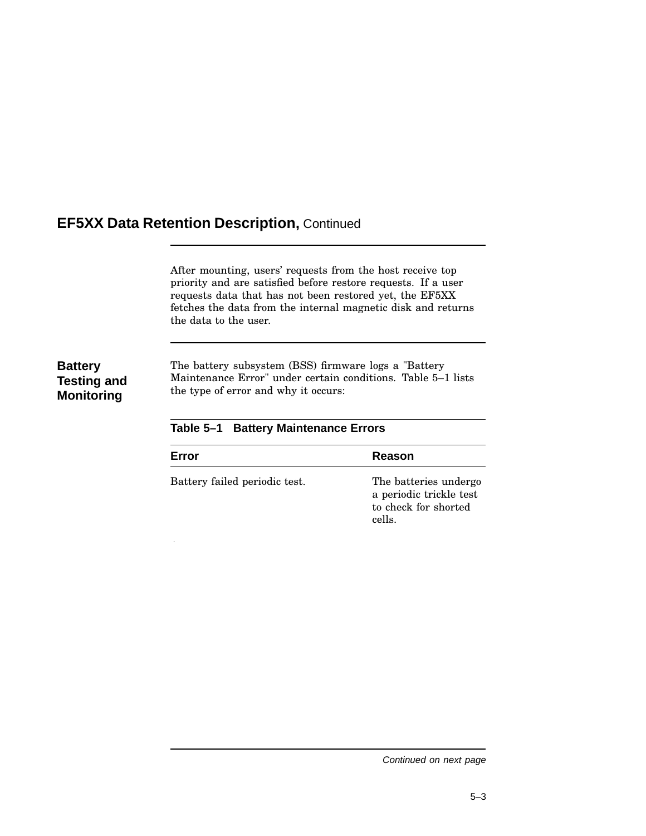After mounting, users' requests from the host receive top priority and are satisfied before restore requests. If a user requests data that has not been restored yet, the EF5XX fetches the data from the internal magnetic disk and returns the data to the user.

## **Battery Testing and Monitoring**

The battery subsystem (BSS) firmware logs a "Battery Maintenance Error" under certain conditions. Table 5–1 lists the type of error and why it occurs:

| Error                         | Reason                                                                             |
|-------------------------------|------------------------------------------------------------------------------------|
| Battery failed periodic test. | The batteries undergo<br>a periodic trickle test<br>to check for shorted<br>cells. |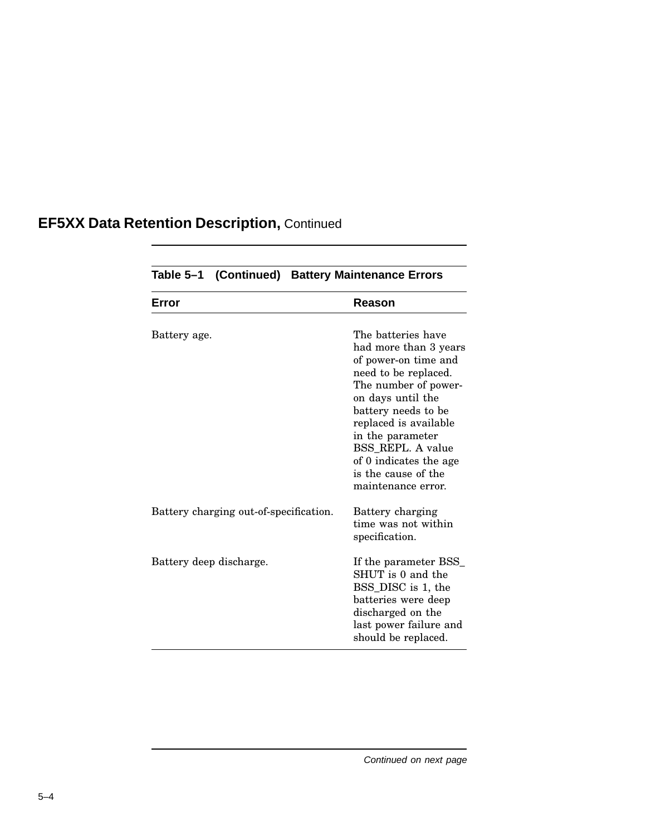|              |                                        | Table 5-1 (Continued) Battery Maintenance Errors                                                                                                                                                                                                                                                         |
|--------------|----------------------------------------|----------------------------------------------------------------------------------------------------------------------------------------------------------------------------------------------------------------------------------------------------------------------------------------------------------|
| Error        |                                        | Reason                                                                                                                                                                                                                                                                                                   |
| Battery age. |                                        | The batteries have<br>had more than 3 years<br>of power-on time and<br>need to be replaced.<br>The number of power-<br>on days until the<br>battery needs to be<br>replaced is available<br>in the parameter<br>BSS REPL. A value<br>of 0 indicates the age<br>is the cause of the<br>maintenance error. |
|              | Battery charging out-of-specification. | Battery charging<br>time was not within<br>specification.                                                                                                                                                                                                                                                |
|              | Battery deep discharge.                | If the parameter BSS<br>SHUT is 0 and the<br>BSS_DISC is 1, the<br>batteries were deep<br>discharged on the<br>last power failure and<br>should be replaced.                                                                                                                                             |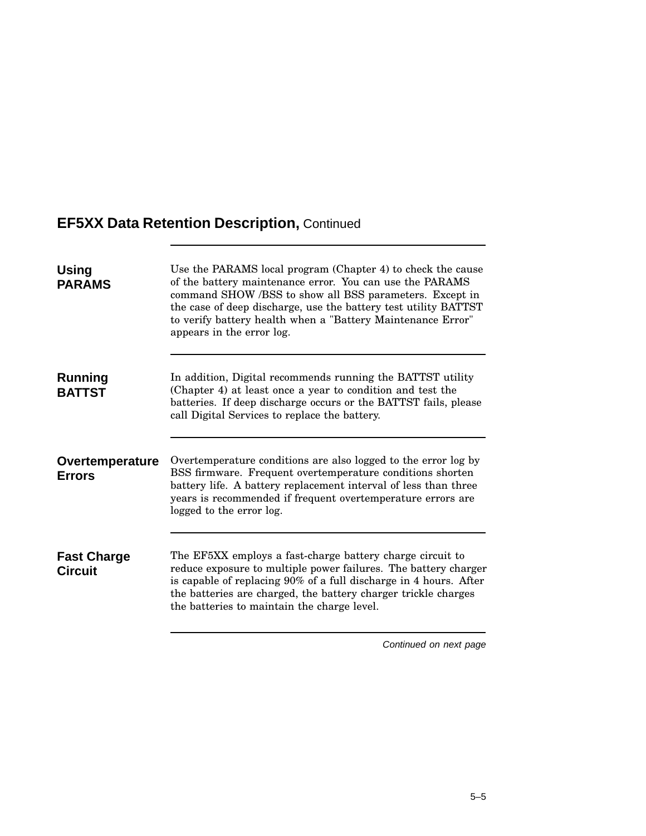| <b>Using</b><br><b>PARAMS</b>        | Use the PARAMS local program (Chapter 4) to check the cause<br>of the battery maintenance error. You can use the PARAMS<br>command SHOW/BSS to show all BSS parameters. Except in<br>the case of deep discharge, use the battery test utility BATTST<br>to verify battery health when a "Battery Maintenance Error"<br>appears in the error log. |  |
|--------------------------------------|--------------------------------------------------------------------------------------------------------------------------------------------------------------------------------------------------------------------------------------------------------------------------------------------------------------------------------------------------|--|
| <b>Running</b><br><b>BATTST</b>      | In addition, Digital recommends running the BATTST utility<br>(Chapter 4) at least once a year to condition and test the<br>batteries. If deep discharge occurs or the BATTST fails, please<br>call Digital Services to replace the battery.                                                                                                     |  |
| Overtemperature<br><b>Errors</b>     | Overtemperature conditions are also logged to the error log by<br>BSS firmware. Frequent overtemperature conditions shorten<br>battery life. A battery replacement interval of less than three<br>years is recommended if frequent overtemperature errors are<br>logged to the error log.                                                        |  |
| <b>Fast Charge</b><br><b>Circuit</b> | The EF5XX employs a fast-charge battery charge circuit to<br>reduce exposure to multiple power failures. The battery charger<br>is capable of replacing 90% of a full discharge in 4 hours. After<br>the batteries are charged, the battery charger trickle charges<br>the batteries to maintain the charge level.                               |  |
|                                      |                                                                                                                                                                                                                                                                                                                                                  |  |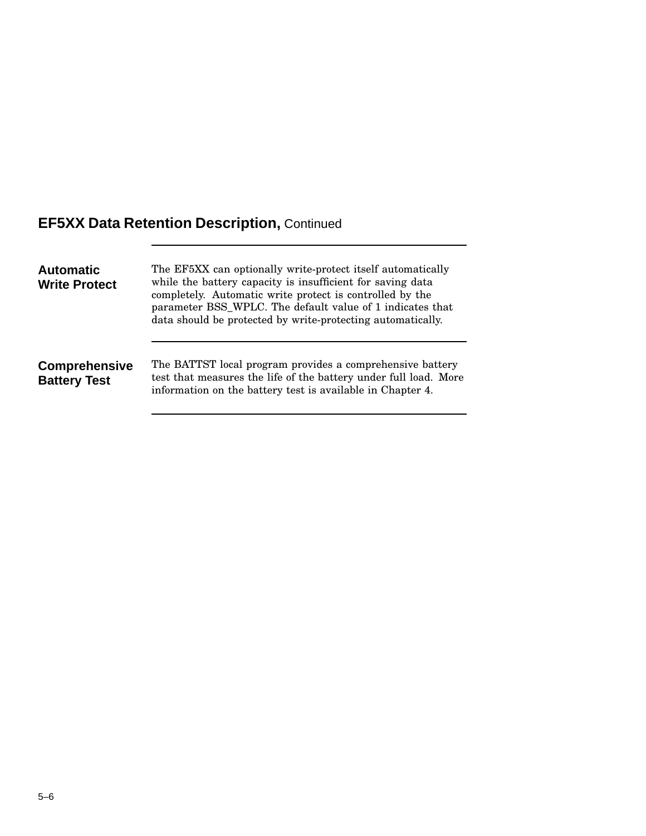| <b>Automatic</b><br><b>Write Protect</b>    | The EF5XX can optionally write-protect itself automatically<br>while the battery capacity is insufficient for saving data<br>completely. Automatic write protect is controlled by the<br>parameter BSS_WPLC. The default value of 1 indicates that<br>data should be protected by write-protecting automatically. |  |
|---------------------------------------------|-------------------------------------------------------------------------------------------------------------------------------------------------------------------------------------------------------------------------------------------------------------------------------------------------------------------|--|
| <b>Comprehensive</b><br><b>Battery Test</b> | The BATTST local program provides a comprehensive battery<br>test that measures the life of the battery under full load. More<br>information on the battery test is available in Chapter 4.                                                                                                                       |  |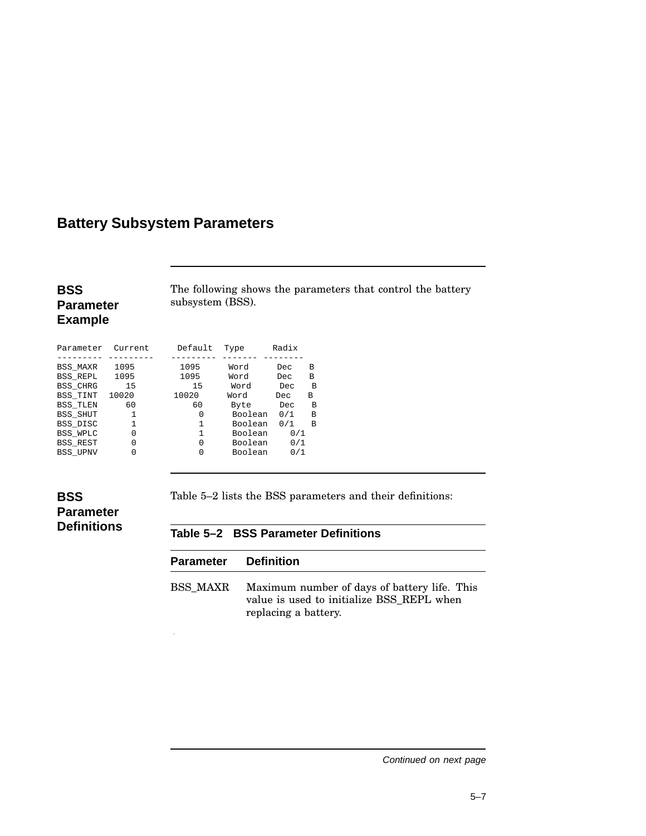# **Battery Subsystem Parameters**

# **BSS Parameter**

The following shows the parameters that control the battery subsystem (BSS).

# **Example**

| Parameter       | Current. | Default | Type    | Radix |   |
|-----------------|----------|---------|---------|-------|---|
| <b>BSS MAXR</b> | 1095     | 1095    | Word    | Dec   | B |
| <b>BSS REPL</b> | 1095     | 1095    | Word    | Dec   | B |
| <b>BSS CHRG</b> | 15       | 15      | Word    | Dec   | B |
| <b>BSS TINT</b> | 10020    | 10020   | Word    | Dec   | в |
| <b>BSS TLEN</b> | 60       | 60      | Byte    | Dec   | в |
| <b>BSS SHUT</b> | 1        | 0       | Boolean | 0/1   | в |
| BSS_DISC        | 1        | 1       | Boolean | 0/1   | в |
| BSS WPLC        | 0        | 1       | Boolean | 0/1   |   |
| BSS REST        | 0        | 0       | Boolean | 0/1   |   |
| <b>BSS UPNV</b> | O        | 0       | Boolean | 0/1   |   |

## **BSS Parameter Definitions**

Table 5–2 lists the BSS parameters and their definitions:

### **Table 5–2 BSS Parameter Definitions**

| <b>Parameter</b> Definition |                                                                                                                   |
|-----------------------------|-------------------------------------------------------------------------------------------------------------------|
| <b>BSS MAXR</b>             | Maximum number of days of battery life. This<br>value is used to initialize BSS REPL when<br>replacing a battery. |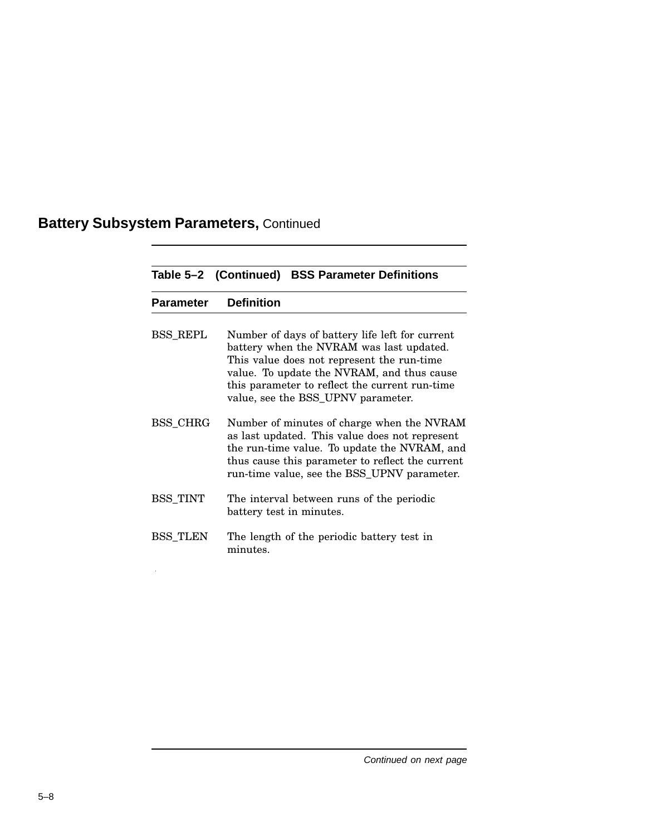# **Battery Subsystem Parameters,** Continued

 $\sim 10^6$ 

|                  | Table 5-2 (Continued) BSS Parameter Definitions                                                                                                                                                                                                                                 |  |
|------------------|---------------------------------------------------------------------------------------------------------------------------------------------------------------------------------------------------------------------------------------------------------------------------------|--|
| <b>Parameter</b> | <b>Definition</b>                                                                                                                                                                                                                                                               |  |
| <b>BSS REPL</b>  | Number of days of battery life left for current<br>battery when the NVRAM was last updated.<br>This value does not represent the run-time<br>value. To update the NVRAM, and thus cause<br>this parameter to reflect the current run-time<br>value, see the BSS_UPNV parameter. |  |
| BSS_CHRG         | Number of minutes of charge when the NVRAM<br>as last updated. This value does not represent<br>the run-time value. To update the NVRAM, and<br>thus cause this parameter to reflect the current<br>run-time value, see the BSS_UPNV parameter.                                 |  |
| <b>BSS TINT</b>  | The interval between runs of the periodic<br>battery test in minutes.                                                                                                                                                                                                           |  |
| <b>BSS TLEN</b>  | The length of the periodic battery test in<br>minutes.                                                                                                                                                                                                                          |  |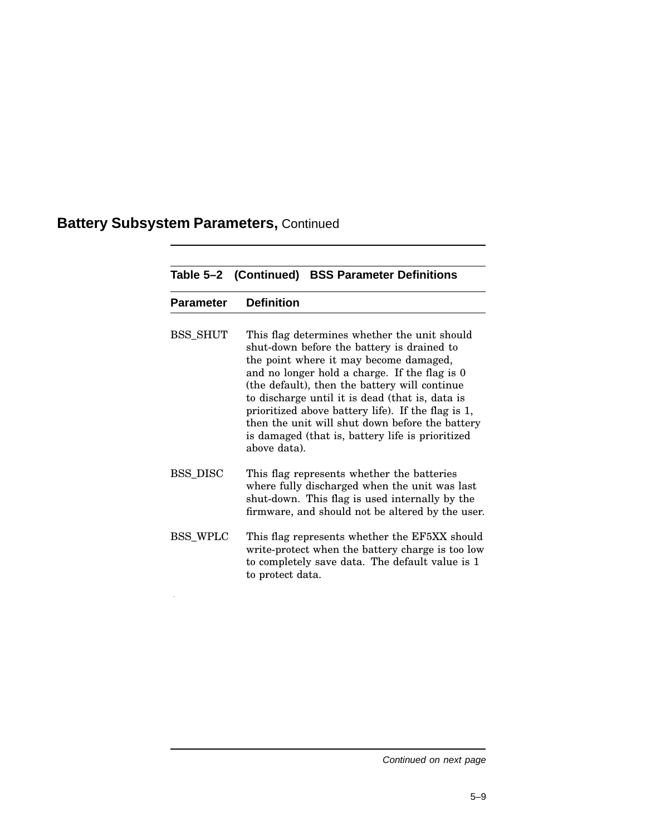# **Battery Subsystem Parameters,** Continued

 $\hat{\mathcal{A}}$ 

|                  | Table 5-2 (Continued) BSS Parameter Definitions                                                                                                                                                                                                                                                                                                                                                                                                                        |
|------------------|------------------------------------------------------------------------------------------------------------------------------------------------------------------------------------------------------------------------------------------------------------------------------------------------------------------------------------------------------------------------------------------------------------------------------------------------------------------------|
| <b>Parameter</b> | <b>Definition</b>                                                                                                                                                                                                                                                                                                                                                                                                                                                      |
| <b>BSS_SHUT</b>  | This flag determines whether the unit should<br>shut-down before the battery is drained to<br>the point where it may become damaged,<br>and no longer hold a charge. If the flag is 0<br>(the default), then the battery will continue<br>to discharge until it is dead (that is, data is<br>prioritized above battery life). If the flag is 1,<br>then the unit will shut down before the battery<br>is damaged (that is, battery life is prioritized<br>above data). |
| <b>BSS DISC</b>  | This flag represents whether the batteries<br>where fully discharged when the unit was last<br>shut-down. This flag is used internally by the<br>firmware, and should not be altered by the user.                                                                                                                                                                                                                                                                      |
| <b>BSS WPLC</b>  | This flag represents whether the EF5XX should<br>write-protect when the battery charge is too low<br>to completely save data. The default value is 1<br>to protect data.                                                                                                                                                                                                                                                                                               |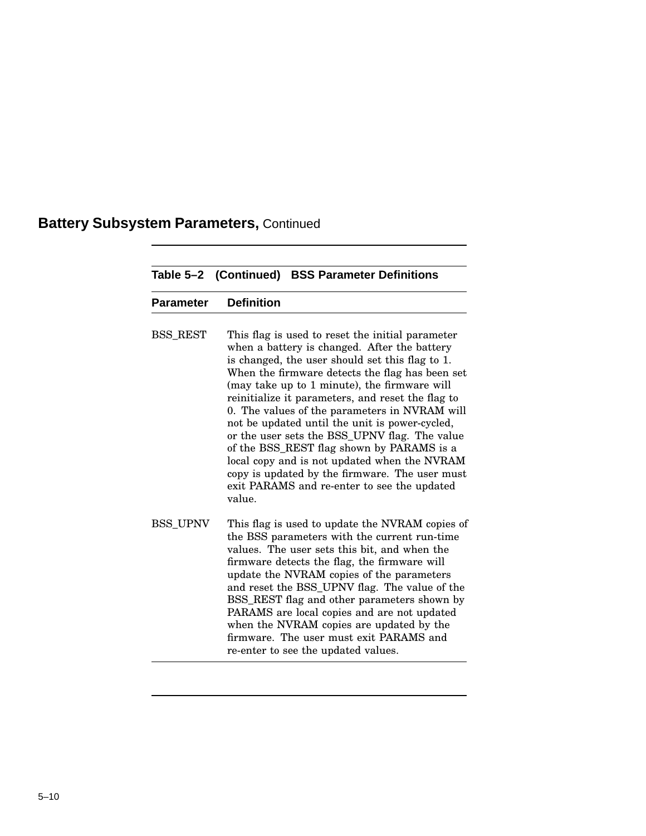# **Battery Subsystem Parameters,** Continued

|                  | Table 5-2 (Continued) BSS Parameter Definitions                                                                                                                                                                                                                                                                                                                                                                                                                                                                                                                                                                                                                         |
|------------------|-------------------------------------------------------------------------------------------------------------------------------------------------------------------------------------------------------------------------------------------------------------------------------------------------------------------------------------------------------------------------------------------------------------------------------------------------------------------------------------------------------------------------------------------------------------------------------------------------------------------------------------------------------------------------|
| <b>Parameter</b> | <b>Definition</b>                                                                                                                                                                                                                                                                                                                                                                                                                                                                                                                                                                                                                                                       |
| <b>BSS REST</b>  | This flag is used to reset the initial parameter<br>when a battery is changed. After the battery<br>is changed, the user should set this flag to 1.<br>When the firmware detects the flag has been set<br>(may take up to 1 minute), the firmware will<br>reinitialize it parameters, and reset the flag to<br>0. The values of the parameters in NVRAM will<br>not be updated until the unit is power-cycled,<br>or the user sets the BSS_UPNV flag. The value<br>of the BSS_REST flag shown by PARAMS is a<br>local copy and is not updated when the NVRAM<br>copy is updated by the firmware. The user must<br>exit PARAMS and re-enter to see the updated<br>value. |
| <b>BSS UPNV</b>  | This flag is used to update the NVRAM copies of<br>the BSS parameters with the current run-time<br>values. The user sets this bit, and when the<br>firmware detects the flag, the firmware will<br>update the NVRAM copies of the parameters<br>and reset the BSS_UPNV flag. The value of the<br>BSS_REST flag and other parameters shown by<br>PARAMS are local copies and are not updated<br>when the NVRAM copies are updated by the<br>firmware. The user must exit PARAMS and<br>re-enter to see the updated values.                                                                                                                                               |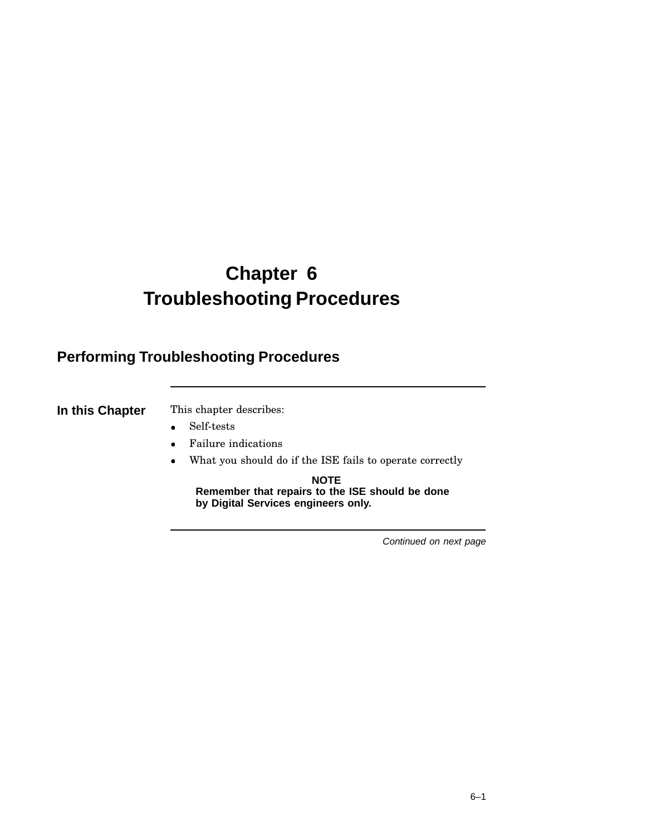# **Chapter 6 Troubleshooting Procedures**

# **Performing Troubleshooting Procedures**

**In this Chapter** This chapter describes:

- Self-tests
- Failure indications
- What you should do if the ISE fails to operate correctly

**NOTE Remember that repairs to the ISE should be done by Digital Services engineers only.**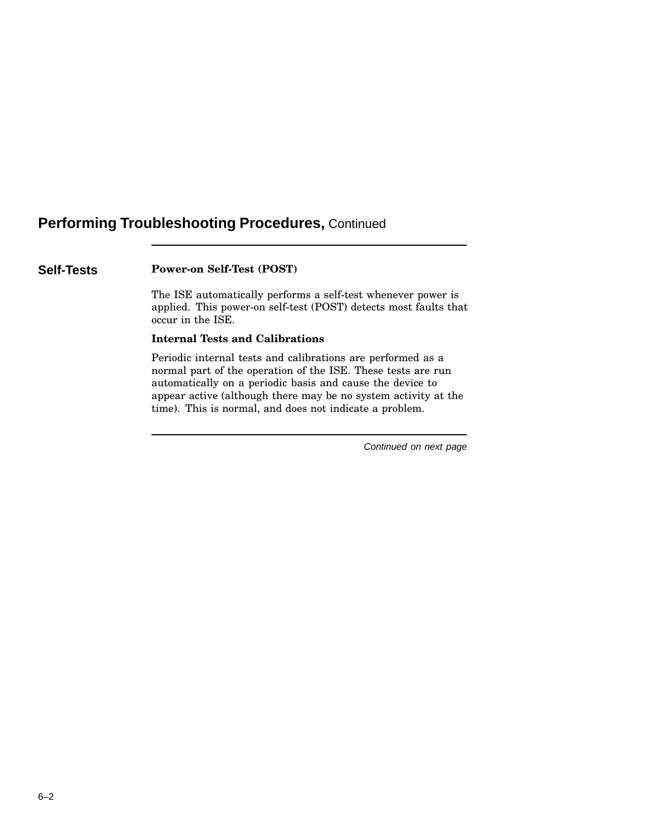# **Performing Troubleshooting Procedures,** Continued

## **Self-Tests Power-on Self-Test (POST)**

The ISE automatically performs a self-test whenever power is applied. This power-on self-test (POST) detects most faults that occur in the ISE.

## **Internal Tests and Calibrations**

Periodic internal tests and calibrations are performed as a normal part of the operation of the ISE. These tests are run automatically on a periodic basis and cause the device to appear active (although there may be no system activity at the time). This is normal, and does not indicate a problem.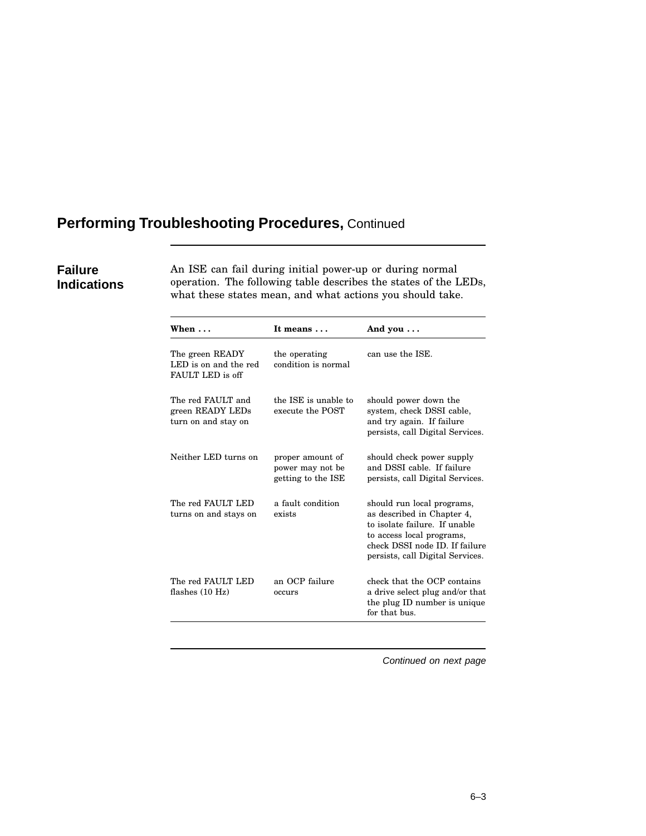# **Performing Troubleshooting Procedures,** Continued

## **Failure Indications**

An ISE can fail during initial power-up or during normal operation. The following table describes the states of the LEDs, what these states mean, and what actions you should take.

| When $\ldots$                                                | It means                                                   | And you $\ldots$                                                                                                                                                                             |
|--------------------------------------------------------------|------------------------------------------------------------|----------------------------------------------------------------------------------------------------------------------------------------------------------------------------------------------|
| The green READY<br>LED is on and the red<br>FAULT LED is off | the operating<br>condition is normal                       | can use the ISE.                                                                                                                                                                             |
| The red FAULT and<br>green READY LEDs<br>turn on and stay on | the ISE is unable to<br>execute the POST                   | should power down the<br>system, check DSSI cable,<br>and try again. If failure<br>persists, call Digital Services.                                                                          |
| Neither LED turns on                                         | proper amount of<br>power may not be<br>getting to the ISE | should check power supply<br>and DSSI cable. If failure<br>persists, call Digital Services.                                                                                                  |
| The red FAULT LED<br>turns on and stays on                   | a fault condition<br>exists                                | should run local programs,<br>as described in Chapter 4.<br>to isolate failure. If unable<br>to access local programs,<br>check DSSI node ID. If failure<br>persists, call Digital Services. |
| The red FAULT LED<br>flashes $(10 Hz)$                       | an OCP failure<br>occurs                                   | check that the OCP contains<br>a drive select plug and/or that<br>the plug ID number is unique<br>for that bus.                                                                              |
|                                                              |                                                            |                                                                                                                                                                                              |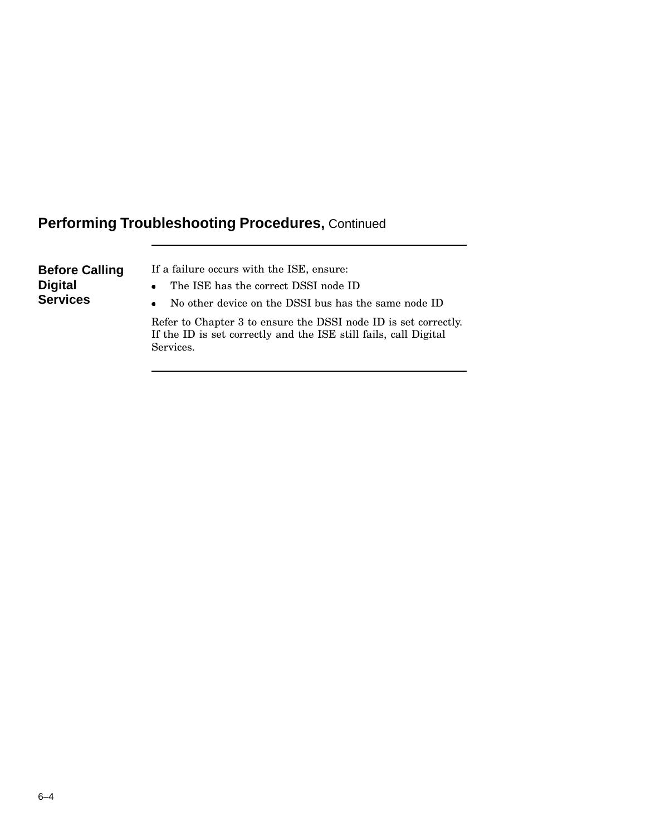# **Performing Troubleshooting Procedures,** Continued

| If a failure occurs with the ISE, ensure:<br><b>Before Calling</b><br><b>Digital</b><br>The ISE has the correct DSSI node ID<br>$\bullet$<br><b>Services</b><br>No other device on the DSSI bus has the same node ID<br>$\bullet$<br>Refer to Chapter 3 to ensure the DSSI node ID is set correctly.<br>If the ID is set correctly and the ISE still fails, call Digital<br>Services. |  |
|---------------------------------------------------------------------------------------------------------------------------------------------------------------------------------------------------------------------------------------------------------------------------------------------------------------------------------------------------------------------------------------|--|
|---------------------------------------------------------------------------------------------------------------------------------------------------------------------------------------------------------------------------------------------------------------------------------------------------------------------------------------------------------------------------------------|--|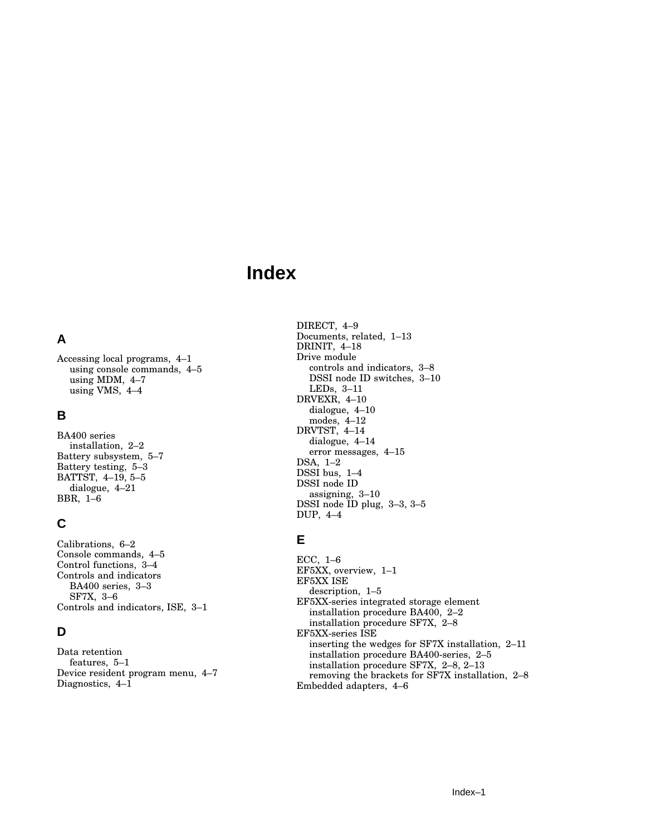# **Index**

# **A**

Accessing local programs, 4–1 using console commands, 4–5 using MDM, 4–7 using VMS, 4–4

## **B**

BA400 series installation, 2–2 Battery subsystem, 5–7 Battery testing, 5–3 BATTST, 4–19, 5–5 dialogue, 4–21 BBR, 1–6

## **C**

Calibrations, 6–2 Console commands, 4–5 Control functions, 3–4 Controls and indicators BA400 series, 3–3 SF7X, 3–6 Controls and indicators, ISE, 3–1

# **D**

Data retention features, 5–1 Device resident program menu, 4–7 Diagnostics, 4–1

DIRECT, 4–9 Documents, related, 1–13 DRINIT, 4–18 Drive module controls and indicators, 3–8 DSSI node ID switches, 3–10 LEDs, 3–11 DRVEXR, 4–10 dialogue, 4–10 modes, 4–12 DRVTST, 4–14 dialogue, 4–14 error messages, 4–15 DSA, 1–2 DSSI bus, 1-4 DSSI node ID assigning, 3–10 DSSI node ID plug, 3–3, 3–5 DUP, 4–4

# **E**

ECC, 1–6 EF5XX, overview, 1–1 EF5XX ISE description, 1–5 EF5XX-series integrated storage element installation procedure BA400, 2–2 installation procedure SF7X, 2–8 EF5XX-series ISE inserting the wedges for SF7X installation, 2–11 installation procedure BA400-series, 2–5 installation procedure SF7X, 2–8, 2–13 removing the brackets for SF7X installation, 2–8 Embedded adapters, 4–6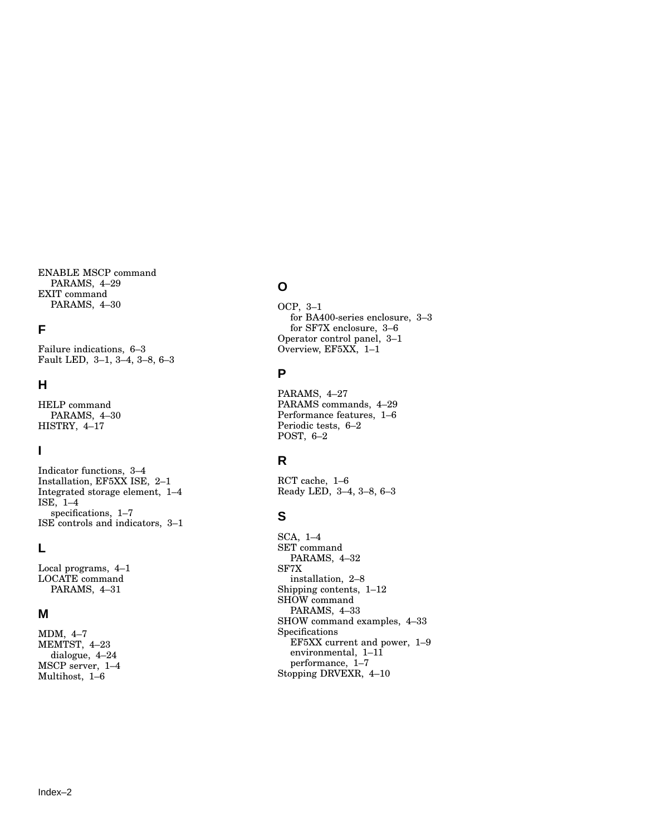ENABLE MSCP command PARAMS, 4–29 EXIT command PARAMS, 4–30

## **F**

Failure indications, 6–3 Fault LED, 3–1, 3–4, 3–8, 6–3

## **H**

HELP command PARAMS, 4–30 HISTRY, 4–17

## **I**

Indicator functions, 3–4 Installation, EF5XX ISE, 2–1 Integrated storage element, 1–4 ISE, 1–4 specifications, 1–7 ISE controls and indicators, 3–1

## **L**

Local programs, 4–1 LOCATE command PARAMS, 4–31

## **M**

MDM, 4–7 MEMTST, 4–23 dialogue, 4–24 MSCP server, 1–4 Multihost, 1–6

## **O**

OCP, 3–1 for BA400-series enclosure, 3–3 for SF7X enclosure, 3–6 Operator control panel, 3–1 Overview, EF5XX, 1–1

## **P**

PARAMS, 4–27 PARAMS commands, 4–29 Performance features, 1–6 Periodic tests, 6–2 POST, 6–2

# **R**

RCT cache, 1–6 Ready LED, 3–4, 3–8, 6–3

# **S**

SCA, 1–4 SET command PARAMS, 4–32 SF7X installation, 2–8 Shipping contents, 1–12 SHOW command PARAMS, 4–33 SHOW command examples, 4–33 Specifications EF5XX current and power, 1–9 environmental, 1–11 performance, 1–7 Stopping DRVEXR, 4–10